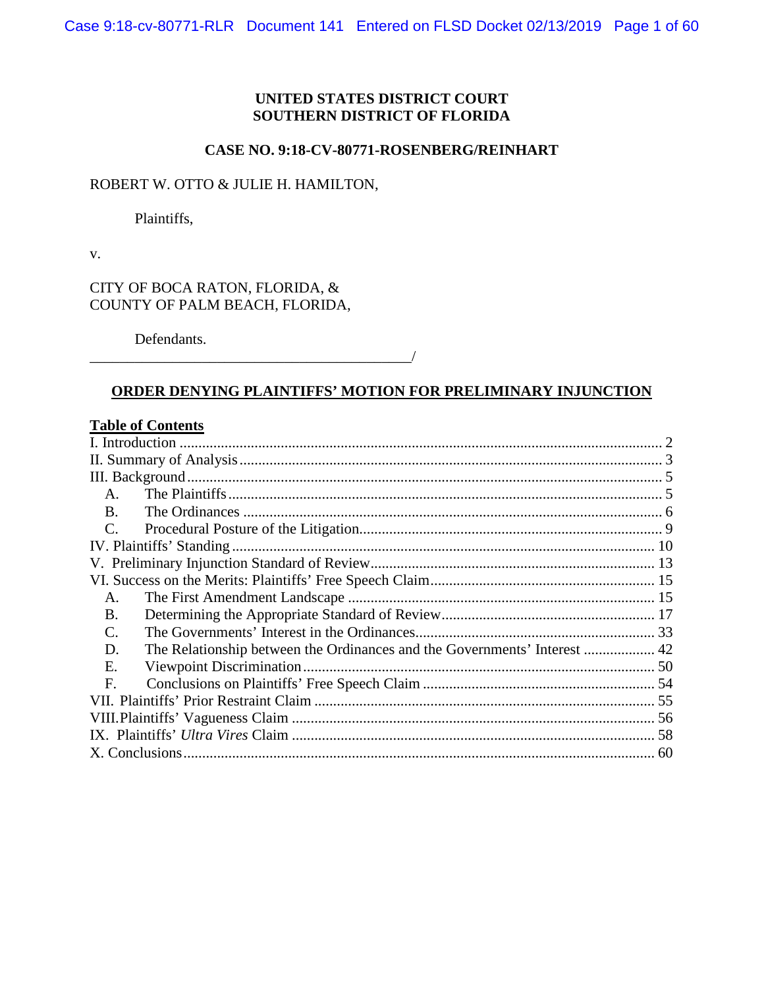# **UNITED STATES DISTRICT COURT SOUTHERN DISTRICT OF FLORIDA**

# **CASE NO. 9:18-CV-80771-ROSENBERG/REINHART**

# ROBERT W. OTTO & JULIE H. HAMILTON,

Plaintiffs,

v.

CITY OF BOCA RATON, FLORIDA, & COUNTY OF PALM BEACH, FLORIDA,

Defendants.

# **ORDER DENYING PLAINTIFFS' MOTION FOR PRELIMINARY INJUNCTION**

 $\overline{\phantom{a}}$ 

# **Table of Contents**

| A.                        |                          |  |
|---------------------------|--------------------------|--|
| B.                        |                          |  |
| C.                        |                          |  |
| IV. Plaintiffs' Standing. |                          |  |
|                           |                          |  |
|                           |                          |  |
| A.                        |                          |  |
| B.                        |                          |  |
| C.                        |                          |  |
| D.                        |                          |  |
| Е.                        | Viewpoint Discrimination |  |
| $F_{\cdot}$               |                          |  |
|                           |                          |  |
|                           |                          |  |
|                           |                          |  |
|                           |                          |  |
|                           |                          |  |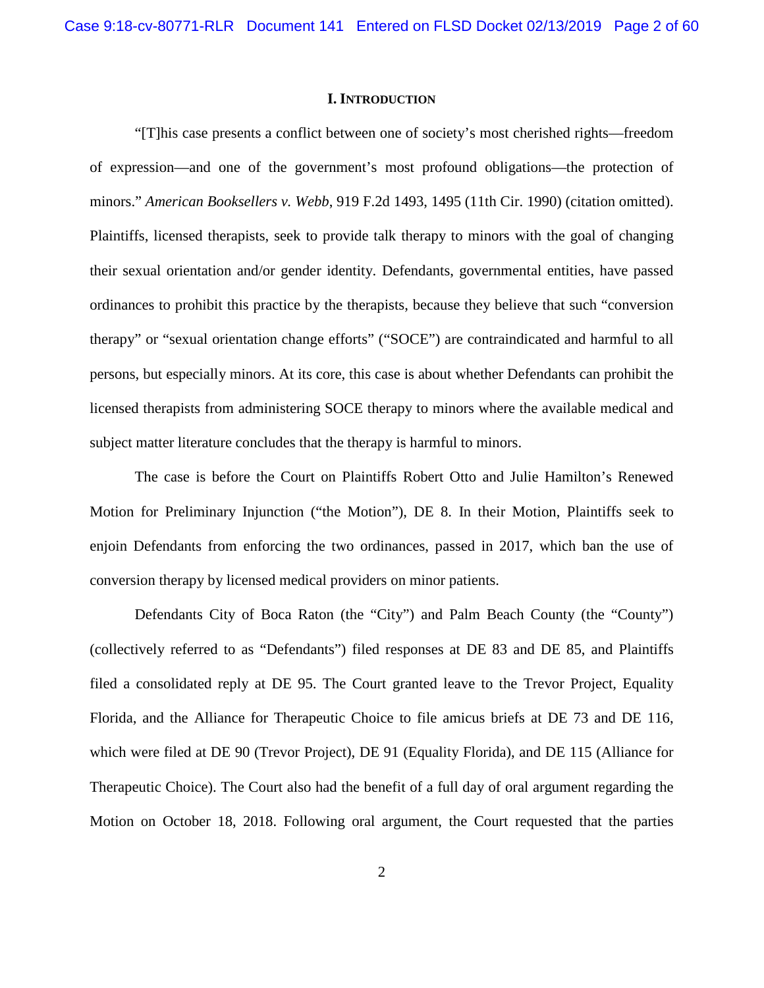### **I. INTRODUCTION**

<span id="page-1-0"></span>"[T]his case presents a conflict between one of society's most cherished rights—freedom of expression—and one of the government's most profound obligations—the protection of minors." *American Booksellers v. Webb*, 919 F.2d 1493, 1495 (11th Cir. 1990) (citation omitted). Plaintiffs, licensed therapists, seek to provide talk therapy to minors with the goal of changing their sexual orientation and/or gender identity. Defendants, governmental entities, have passed ordinances to prohibit this practice by the therapists, because they believe that such "conversion therapy" or "sexual orientation change efforts" ("SOCE") are contraindicated and harmful to all persons, but especially minors. At its core, this case is about whether Defendants can prohibit the licensed therapists from administering SOCE therapy to minors where the available medical and subject matter literature concludes that the therapy is harmful to minors.

The case is before the Court on Plaintiffs Robert Otto and Julie Hamilton's Renewed Motion for Preliminary Injunction ("the Motion"), DE 8. In their Motion, Plaintiffs seek to enjoin Defendants from enforcing the two ordinances, passed in 2017, which ban the use of conversion therapy by licensed medical providers on minor patients.

Defendants City of Boca Raton (the "City") and Palm Beach County (the "County") (collectively referred to as "Defendants") filed responses at DE 83 and DE 85, and Plaintiffs filed a consolidated reply at DE 95. The Court granted leave to the Trevor Project, Equality Florida, and the Alliance for Therapeutic Choice to file amicus briefs at DE 73 and DE 116, which were filed at DE 90 (Trevor Project), DE 91 (Equality Florida), and DE 115 (Alliance for Therapeutic Choice). The Court also had the benefit of a full day of oral argument regarding the Motion on October 18, 2018. Following oral argument, the Court requested that the parties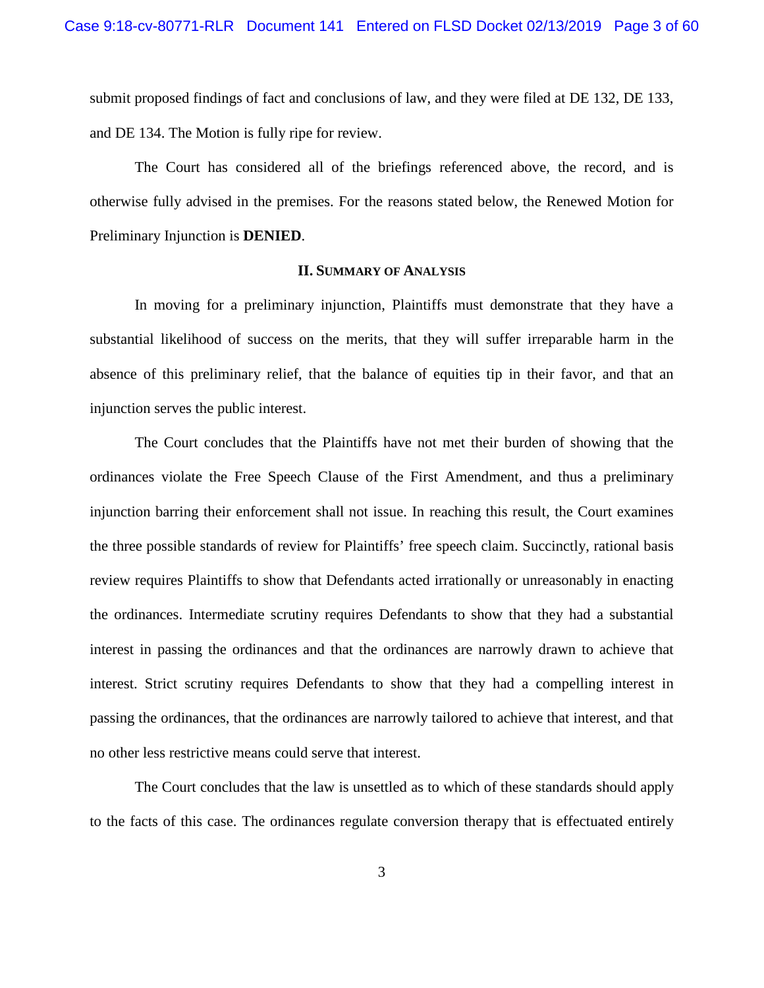submit proposed findings of fact and conclusions of law, and they were filed at DE 132, DE 133, and DE 134. The Motion is fully ripe for review.

The Court has considered all of the briefings referenced above, the record, and is otherwise fully advised in the premises. For the reasons stated below, the Renewed Motion for Preliminary Injunction is **DENIED**.

## **II. SUMMARY OF ANALYSIS**

<span id="page-2-0"></span>In moving for a preliminary injunction, Plaintiffs must demonstrate that they have a substantial likelihood of success on the merits, that they will suffer irreparable harm in the absence of this preliminary relief, that the balance of equities tip in their favor, and that an injunction serves the public interest.

The Court concludes that the Plaintiffs have not met their burden of showing that the ordinances violate the Free Speech Clause of the First Amendment, and thus a preliminary injunction barring their enforcement shall not issue. In reaching this result, the Court examines the three possible standards of review for Plaintiffs' free speech claim. Succinctly, rational basis review requires Plaintiffs to show that Defendants acted irrationally or unreasonably in enacting the ordinances. Intermediate scrutiny requires Defendants to show that they had a substantial interest in passing the ordinances and that the ordinances are narrowly drawn to achieve that interest. Strict scrutiny requires Defendants to show that they had a compelling interest in passing the ordinances, that the ordinances are narrowly tailored to achieve that interest, and that no other less restrictive means could serve that interest.

The Court concludes that the law is unsettled as to which of these standards should apply to the facts of this case. The ordinances regulate conversion therapy that is effectuated entirely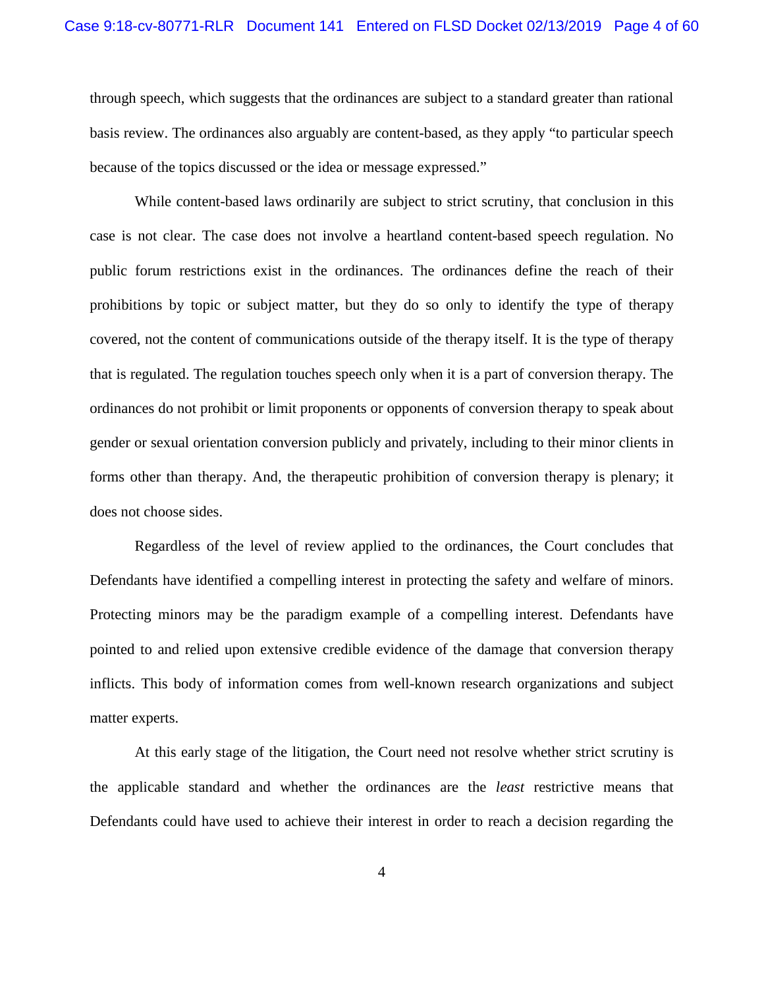through speech, which suggests that the ordinances are subject to a standard greater than rational basis review. The ordinances also arguably are content-based, as they apply "to particular speech because of the topics discussed or the idea or message expressed."

While content-based laws ordinarily are subject to strict scrutiny, that conclusion in this case is not clear. The case does not involve a heartland content-based speech regulation. No public forum restrictions exist in the ordinances. The ordinances define the reach of their prohibitions by topic or subject matter, but they do so only to identify the type of therapy covered, not the content of communications outside of the therapy itself. It is the type of therapy that is regulated. The regulation touches speech only when it is a part of conversion therapy. The ordinances do not prohibit or limit proponents or opponents of conversion therapy to speak about gender or sexual orientation conversion publicly and privately, including to their minor clients in forms other than therapy. And, the therapeutic prohibition of conversion therapy is plenary; it does not choose sides.

Regardless of the level of review applied to the ordinances, the Court concludes that Defendants have identified a compelling interest in protecting the safety and welfare of minors. Protecting minors may be the paradigm example of a compelling interest. Defendants have pointed to and relied upon extensive credible evidence of the damage that conversion therapy inflicts. This body of information comes from well-known research organizations and subject matter experts.

At this early stage of the litigation, the Court need not resolve whether strict scrutiny is the applicable standard and whether the ordinances are the *least* restrictive means that Defendants could have used to achieve their interest in order to reach a decision regarding the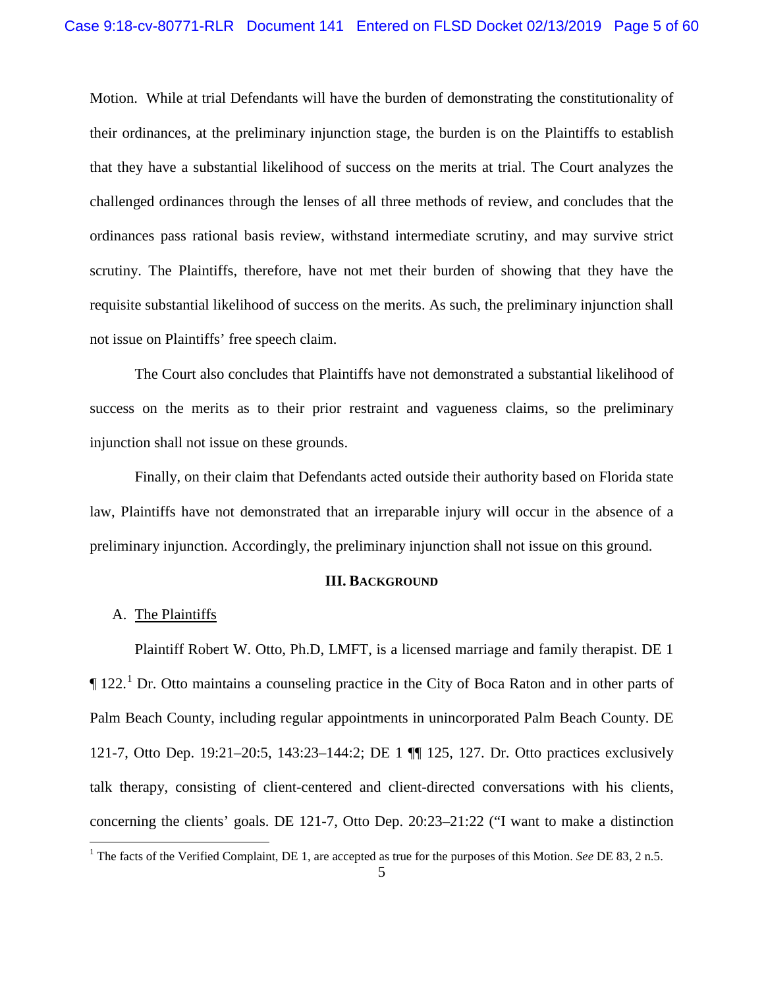Motion. While at trial Defendants will have the burden of demonstrating the constitutionality of their ordinances, at the preliminary injunction stage, the burden is on the Plaintiffs to establish that they have a substantial likelihood of success on the merits at trial. The Court analyzes the challenged ordinances through the lenses of all three methods of review, and concludes that the ordinances pass rational basis review, withstand intermediate scrutiny, and may survive strict scrutiny. The Plaintiffs, therefore, have not met their burden of showing that they have the requisite substantial likelihood of success on the merits. As such, the preliminary injunction shall not issue on Plaintiffs' free speech claim.

The Court also concludes that Plaintiffs have not demonstrated a substantial likelihood of success on the merits as to their prior restraint and vagueness claims, so the preliminary injunction shall not issue on these grounds.

Finally, on their claim that Defendants acted outside their authority based on Florida state law, Plaintiffs have not demonstrated that an irreparable injury will occur in the absence of a preliminary injunction. Accordingly, the preliminary injunction shall not issue on this ground.

## **III. BACKGROUND**

## <span id="page-4-1"></span><span id="page-4-0"></span>A. The Plaintiffs

Plaintiff Robert W. Otto, Ph.D, LMFT, is a licensed marriage and family therapist. DE 1  $\P$  [1](#page-4-2)22.<sup>1</sup> Dr. Otto maintains a counseling practice in the City of Boca Raton and in other parts of Palm Beach County, including regular appointments in unincorporated Palm Beach County. DE 121-7, Otto Dep. 19:21–20:5, 143:23–144:2; DE 1 ¶¶ 125, 127. Dr. Otto practices exclusively talk therapy, consisting of client-centered and client-directed conversations with his clients, concerning the clients' goals. DE 121-7, Otto Dep. 20:23–21:22 ("I want to make a distinction

<span id="page-4-2"></span> <sup>1</sup> The facts of the Verified Complaint, DE 1, are accepted as true for the purposes of this Motion. *See* DE 83, 2 n.5.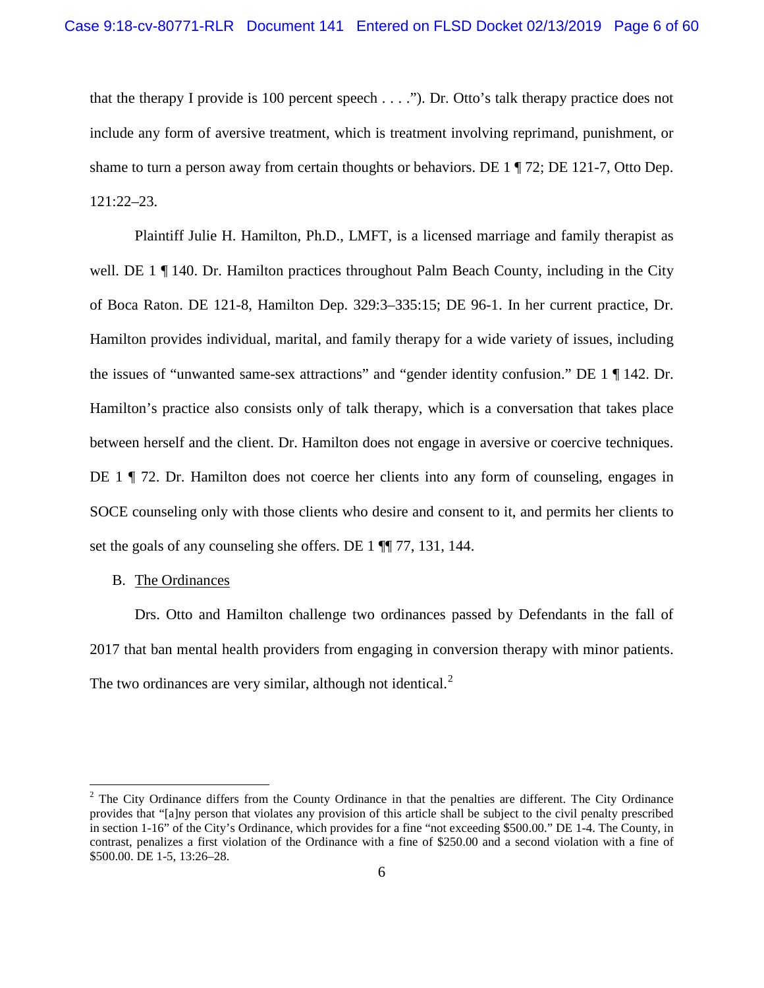that the therapy I provide is 100 percent speech . . . ."). Dr. Otto's talk therapy practice does not include any form of aversive treatment, which is treatment involving reprimand, punishment, or shame to turn a person away from certain thoughts or behaviors. DE 1 ¶ 72; DE 121-7, Otto Dep. 121:22–23.

Plaintiff Julie H. Hamilton, Ph.D., LMFT, is a licensed marriage and family therapist as well. DE 1  $\P$  140. Dr. Hamilton practices throughout Palm Beach County, including in the City of Boca Raton. DE 121-8, Hamilton Dep. 329:3–335:15; DE 96-1. In her current practice, Dr. Hamilton provides individual, marital, and family therapy for a wide variety of issues, including the issues of "unwanted same-sex attractions" and "gender identity confusion." DE 1 ¶ 142. Dr. Hamilton's practice also consists only of talk therapy, which is a conversation that takes place between herself and the client. Dr. Hamilton does not engage in aversive or coercive techniques. DE 1 ¶ 72. Dr. Hamilton does not coerce her clients into any form of counseling, engages in SOCE counseling only with those clients who desire and consent to it, and permits her clients to set the goals of any counseling she offers. DE 1  $\P$  77, 131, 144.

# <span id="page-5-0"></span>B. The Ordinances

Drs. Otto and Hamilton challenge two ordinances passed by Defendants in the fall of 2017 that ban mental health providers from engaging in conversion therapy with minor patients. The two ordinances are very similar, although not identical. $<sup>2</sup>$  $<sup>2</sup>$  $<sup>2</sup>$ </sup>

<span id="page-5-1"></span><sup>&</sup>lt;sup>2</sup> The City Ordinance differs from the County Ordinance in that the penalties are different. The City Ordinance provides that "[a]ny person that violates any provision of this article shall be subject to the civil penalty prescribed in section 1-16" of the City's Ordinance, which provides for a fine "not exceeding \$500.00." DE 1-4. The County, in contrast, penalizes a first violation of the Ordinance with a fine of \$250.00 and a second violation with a fine of \$500.00. DE 1-5, 13:26–28.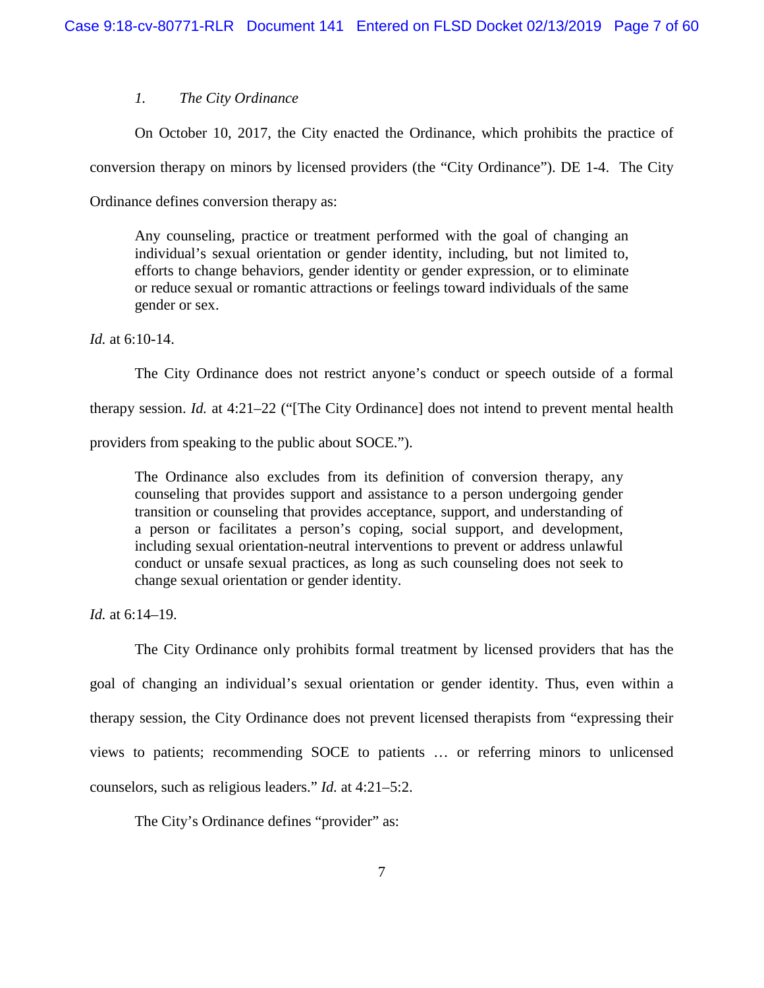# *1. The City Ordinance*

On October 10, 2017, the City enacted the Ordinance, which prohibits the practice of

conversion therapy on minors by licensed providers (the "City Ordinance"). DE 1-4. The City

Ordinance defines conversion therapy as:

Any counseling, practice or treatment performed with the goal of changing an individual's sexual orientation or gender identity, including, but not limited to, efforts to change behaviors, gender identity or gender expression, or to eliminate or reduce sexual or romantic attractions or feelings toward individuals of the same gender or sex.

*Id.* at 6:10-14.

The City Ordinance does not restrict anyone's conduct or speech outside of a formal therapy session. *Id.* at 4:21–22 ("[The City Ordinance] does not intend to prevent mental health providers from speaking to the public about SOCE.").

The Ordinance also excludes from its definition of conversion therapy, any counseling that provides support and assistance to a person undergoing gender transition or counseling that provides acceptance, support, and understanding of a person or facilitates a person's coping, social support, and development, including sexual orientation-neutral interventions to prevent or address unlawful conduct or unsafe sexual practices, as long as such counseling does not seek to change sexual orientation or gender identity.

*Id.* at 6:14–19.

The City Ordinance only prohibits formal treatment by licensed providers that has the goal of changing an individual's sexual orientation or gender identity. Thus, even within a therapy session, the City Ordinance does not prevent licensed therapists from "expressing their views to patients; recommending SOCE to patients … or referring minors to unlicensed counselors, such as religious leaders." *Id.* at 4:21–5:2.

The City's Ordinance defines "provider" as: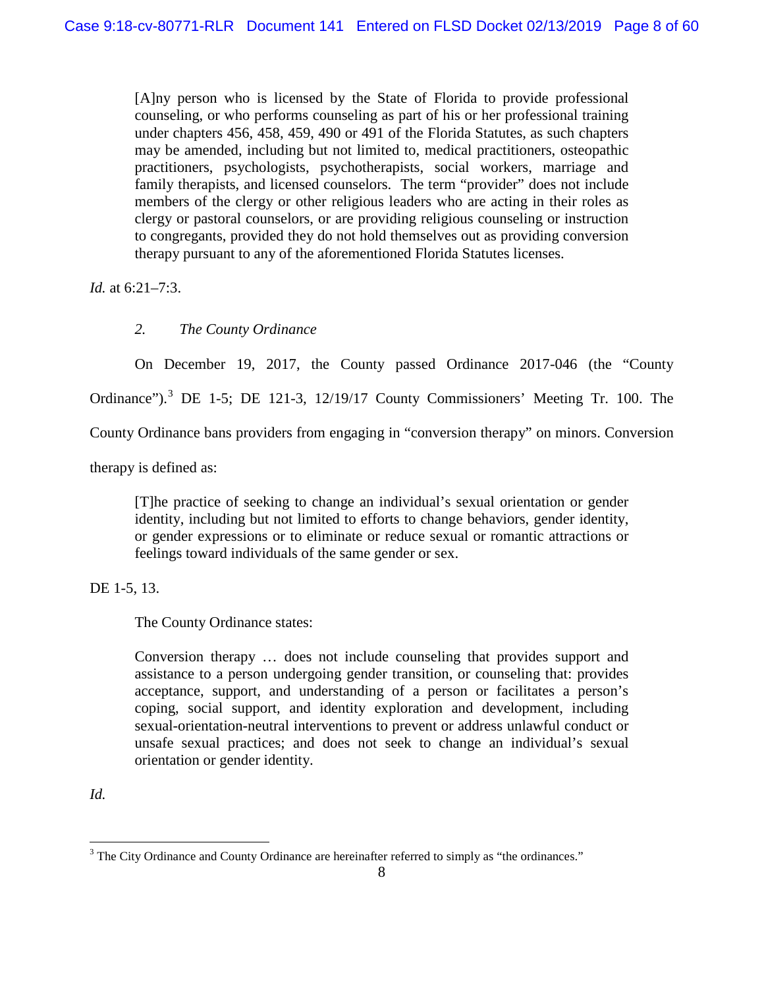[A]ny person who is licensed by the State of Florida to provide professional counseling, or who performs counseling as part of his or her professional training under chapters 456, 458, 459, 490 or 491 of the Florida Statutes, as such chapters may be amended, including but not limited to, medical practitioners, osteopathic practitioners, psychologists, psychotherapists, social workers, marriage and family therapists, and licensed counselors. The term "provider" does not include members of the clergy or other religious leaders who are acting in their roles as clergy or pastoral counselors, or are providing religious counseling or instruction to congregants, provided they do not hold themselves out as providing conversion therapy pursuant to any of the aforementioned Florida Statutes licenses.

*Id.* at 6:21–7:3.

# *2. The County Ordinance*

On December 19, 2017, the County passed Ordinance 2017-046 (the "County Ordinance").<sup>[3](#page-7-0)</sup> DE 1-5; DE 121-3, 12/19/17 County Commissioners' Meeting Tr. 100. The

County Ordinance bans providers from engaging in "conversion therapy" on minors. Conversion

therapy is defined as:

[T]he practice of seeking to change an individual's sexual orientation or gender identity, including but not limited to efforts to change behaviors, gender identity, or gender expressions or to eliminate or reduce sexual or romantic attractions or feelings toward individuals of the same gender or sex.

DE 1-5, 13.

The County Ordinance states:

Conversion therapy … does not include counseling that provides support and assistance to a person undergoing gender transition, or counseling that: provides acceptance, support, and understanding of a person or facilitates a person's coping, social support, and identity exploration and development, including sexual-orientation-neutral interventions to prevent or address unlawful conduct or unsafe sexual practices; and does not seek to change an individual's sexual orientation or gender identity.

*Id.* 

<span id="page-7-0"></span><sup>&</sup>lt;sup>3</sup> The City Ordinance and County Ordinance are hereinafter referred to simply as "the ordinances."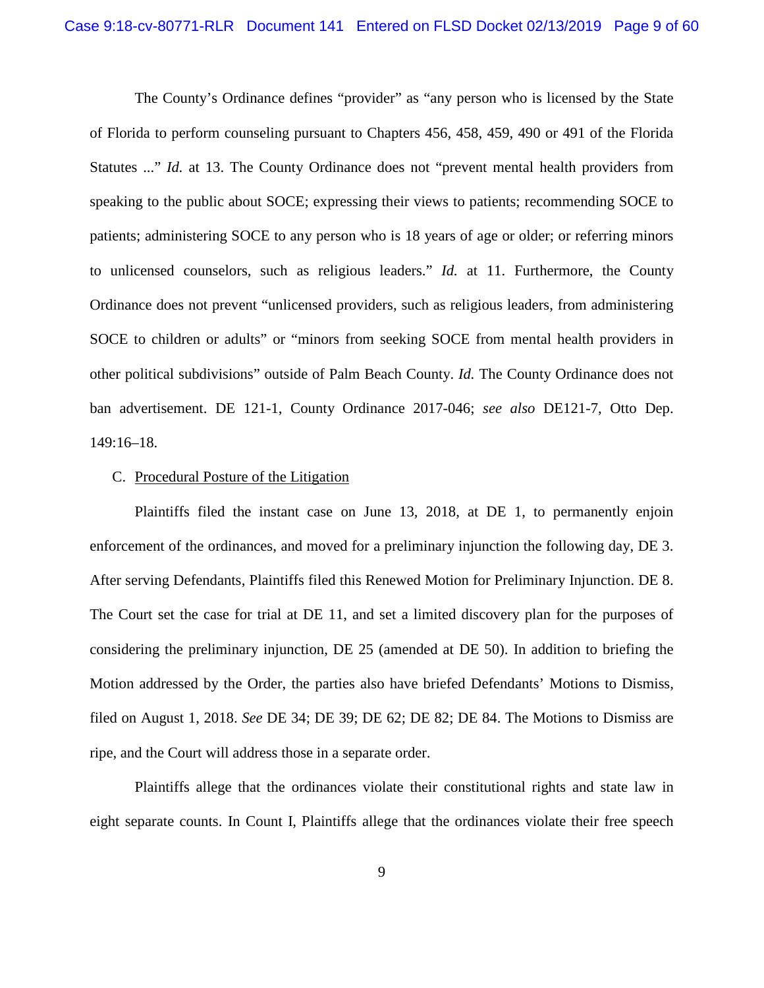The County's Ordinance defines "provider" as "any person who is licensed by the State of Florida to perform counseling pursuant to Chapters 456, 458, 459, 490 or 491 of the Florida Statutes ..." *Id.* at 13. The County Ordinance does not "prevent mental health providers from speaking to the public about SOCE; expressing their views to patients; recommending SOCE to patients; administering SOCE to any person who is 18 years of age or older; or referring minors to unlicensed counselors, such as religious leaders." *Id.* at 11. Furthermore, the County Ordinance does not prevent "unlicensed providers, such as religious leaders, from administering SOCE to children or adults" or "minors from seeking SOCE from mental health providers in other political subdivisions" outside of Palm Beach County. *Id.* The County Ordinance does not ban advertisement. DE 121-1, County Ordinance 2017-046; *see also* DE121-7, Otto Dep. 149:16–18.

#### <span id="page-8-0"></span>C. Procedural Posture of the Litigation

Plaintiffs filed the instant case on June 13, 2018, at DE 1, to permanently enjoin enforcement of the ordinances, and moved for a preliminary injunction the following day, DE 3. After serving Defendants, Plaintiffs filed this Renewed Motion for Preliminary Injunction. DE 8. The Court set the case for trial at DE 11, and set a limited discovery plan for the purposes of considering the preliminary injunction, DE 25 (amended at DE 50). In addition to briefing the Motion addressed by the Order, the parties also have briefed Defendants' Motions to Dismiss, filed on August 1, 2018. *See* DE 34; DE 39; DE 62; DE 82; DE 84. The Motions to Dismiss are ripe, and the Court will address those in a separate order.

Plaintiffs allege that the ordinances violate their constitutional rights and state law in eight separate counts. In Count I, Plaintiffs allege that the ordinances violate their free speech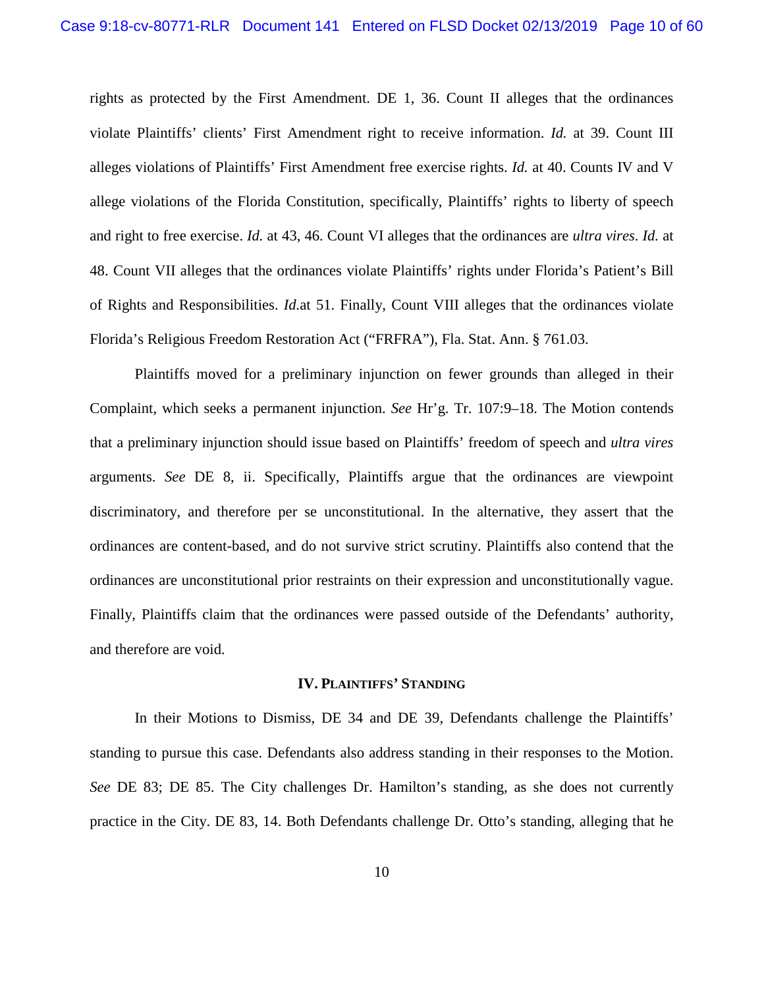rights as protected by the First Amendment. DE 1, 36. Count II alleges that the ordinances violate Plaintiffs' clients' First Amendment right to receive information. *Id.* at 39. Count III alleges violations of Plaintiffs' First Amendment free exercise rights. *Id.* at 40. Counts IV and V allege violations of the Florida Constitution, specifically, Plaintiffs' rights to liberty of speech and right to free exercise. *Id.* at 43, 46. Count VI alleges that the ordinances are *ultra vires*. *Id.* at 48. Count VII alleges that the ordinances violate Plaintiffs' rights under Florida's Patient's Bill of Rights and Responsibilities. *Id.*at 51. Finally, Count VIII alleges that the ordinances violate Florida's Religious Freedom Restoration Act ("FRFRA"), Fla. Stat. Ann. § 761.03.

Plaintiffs moved for a preliminary injunction on fewer grounds than alleged in their Complaint, which seeks a permanent injunction. *See* Hr'g. Tr. 107:9–18. The Motion contends that a preliminary injunction should issue based on Plaintiffs' freedom of speech and *ultra vires* arguments. *See* DE 8, ii. Specifically, Plaintiffs argue that the ordinances are viewpoint discriminatory, and therefore per se unconstitutional. In the alternative, they assert that the ordinances are content-based, and do not survive strict scrutiny. Plaintiffs also contend that the ordinances are unconstitutional prior restraints on their expression and unconstitutionally vague. Finally, Plaintiffs claim that the ordinances were passed outside of the Defendants' authority, and therefore are void.

#### **IV. PLAINTIFFS' STANDING**

<span id="page-9-0"></span>In their Motions to Dismiss, DE 34 and DE 39, Defendants challenge the Plaintiffs' standing to pursue this case. Defendants also address standing in their responses to the Motion. *See* DE 83; DE 85. The City challenges Dr. Hamilton's standing, as she does not currently practice in the City. DE 83, 14. Both Defendants challenge Dr. Otto's standing, alleging that he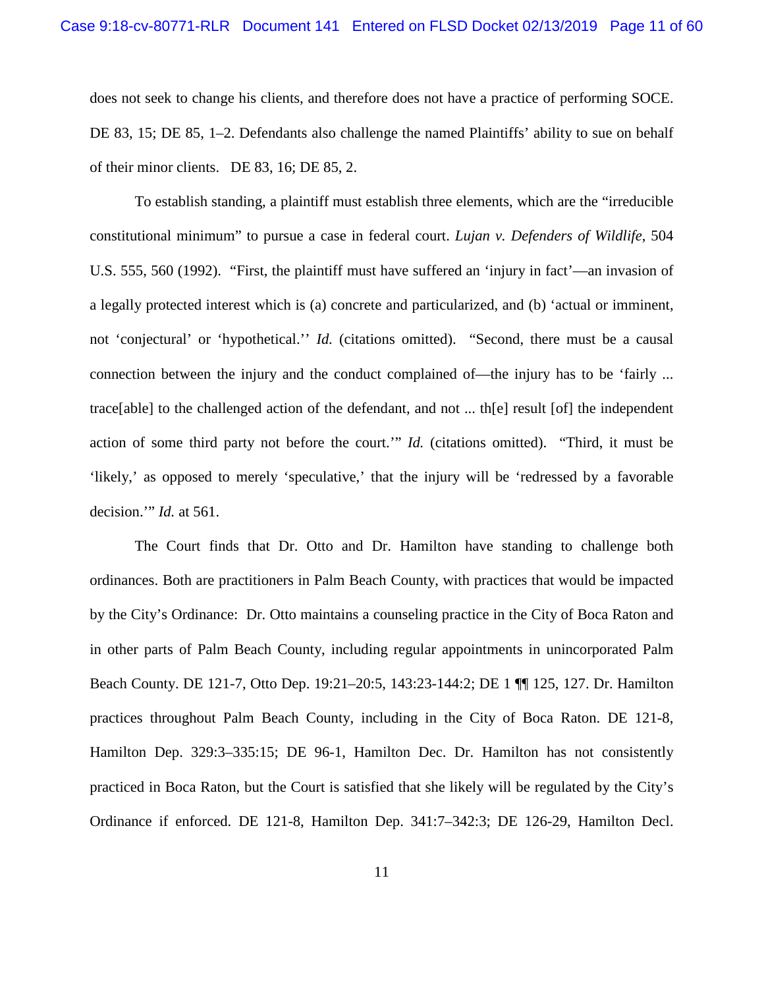does not seek to change his clients, and therefore does not have a practice of performing SOCE. DE 83, 15; DE 85, 1–2. Defendants also challenge the named Plaintiffs' ability to sue on behalf of their minor clients. DE 83, 16; DE 85, 2.

To establish standing, a plaintiff must establish three elements, which are the "irreducible constitutional minimum" to pursue a case in federal court. *Lujan v. Defenders of Wildlife*, 504 U.S. 555, 560 (1992). "First, the plaintiff must have suffered an 'injury in fact'—an invasion of a legally protected interest which is (a) concrete and particularized, and (b) 'actual or imminent, not 'conjectural' or 'hypothetical.'' *Id.* (citations omitted). "Second, there must be a causal connection between the injury and the conduct complained of—the injury has to be 'fairly ... trace[able] to the challenged action of the defendant, and not ... th[e] result [of] the independent action of some third party not before the court.'" *Id.* (citations omitted). "Third, it must be 'likely,' as opposed to merely 'speculative,' that the injury will be 'redressed by a favorable decision.'" *Id.* at 561.

The Court finds that Dr. Otto and Dr. Hamilton have standing to challenge both ordinances. Both are practitioners in Palm Beach County, with practices that would be impacted by the City's Ordinance: Dr. Otto maintains a counseling practice in the City of Boca Raton and in other parts of Palm Beach County, including regular appointments in unincorporated Palm Beach County. DE 121-7, Otto Dep. 19:21–20:5, 143:23-144:2; DE 1 ¶¶ 125, 127. Dr. Hamilton practices throughout Palm Beach County, including in the City of Boca Raton. DE 121-8, Hamilton Dep. 329:3–335:15; DE 96-1, Hamilton Dec. Dr. Hamilton has not consistently practiced in Boca Raton, but the Court is satisfied that she likely will be regulated by the City's Ordinance if enforced. DE 121-8, Hamilton Dep. 341:7–342:3; DE 126-29, Hamilton Decl.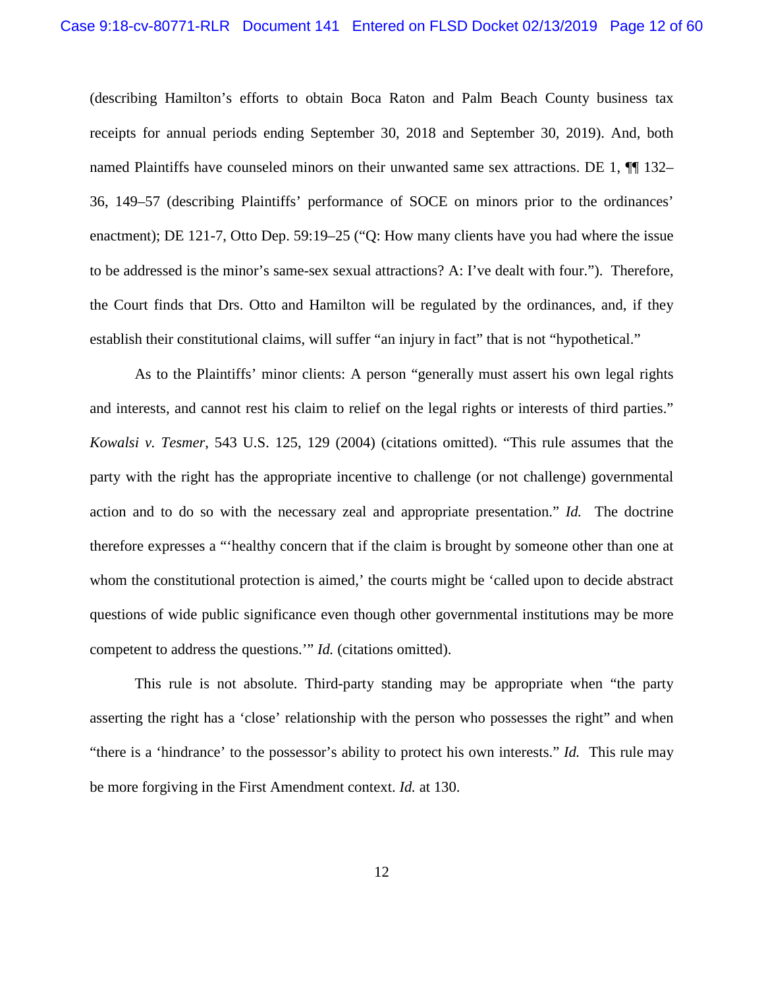(describing Hamilton's efforts to obtain Boca Raton and Palm Beach County business tax receipts for annual periods ending September 30, 2018 and September 30, 2019). And, both named Plaintiffs have counseled minors on their unwanted same sex attractions. DE 1,  $\P$  132– 36, 149–57 (describing Plaintiffs' performance of SOCE on minors prior to the ordinances' enactment); DE 121-7, Otto Dep. 59:19–25 ("Q: How many clients have you had where the issue to be addressed is the minor's same-sex sexual attractions? A: I've dealt with four."). Therefore, the Court finds that Drs. Otto and Hamilton will be regulated by the ordinances, and, if they establish their constitutional claims, will suffer "an injury in fact" that is not "hypothetical."

As to the Plaintiffs' minor clients: A person "generally must assert his own legal rights and interests, and cannot rest his claim to relief on the legal rights or interests of third parties." *Kowalsi v. Tesmer*, 543 U.S. 125, 129 (2004) (citations omitted). "This rule assumes that the party with the right has the appropriate incentive to challenge (or not challenge) governmental action and to do so with the necessary zeal and appropriate presentation." *Id.* The doctrine therefore expresses a "'healthy concern that if the claim is brought by someone other than one at whom the constitutional protection is aimed,' the courts might be 'called upon to decide abstract questions of wide public significance even though other governmental institutions may be more competent to address the questions.'" *Id.* (citations omitted).

This rule is not absolute. Third-party standing may be appropriate when "the party asserting the right has a 'close' relationship with the person who possesses the right" and when "there is a 'hindrance' to the possessor's ability to protect his own interests." *Id.* This rule may be more forgiving in the First Amendment context. *Id.* at 130.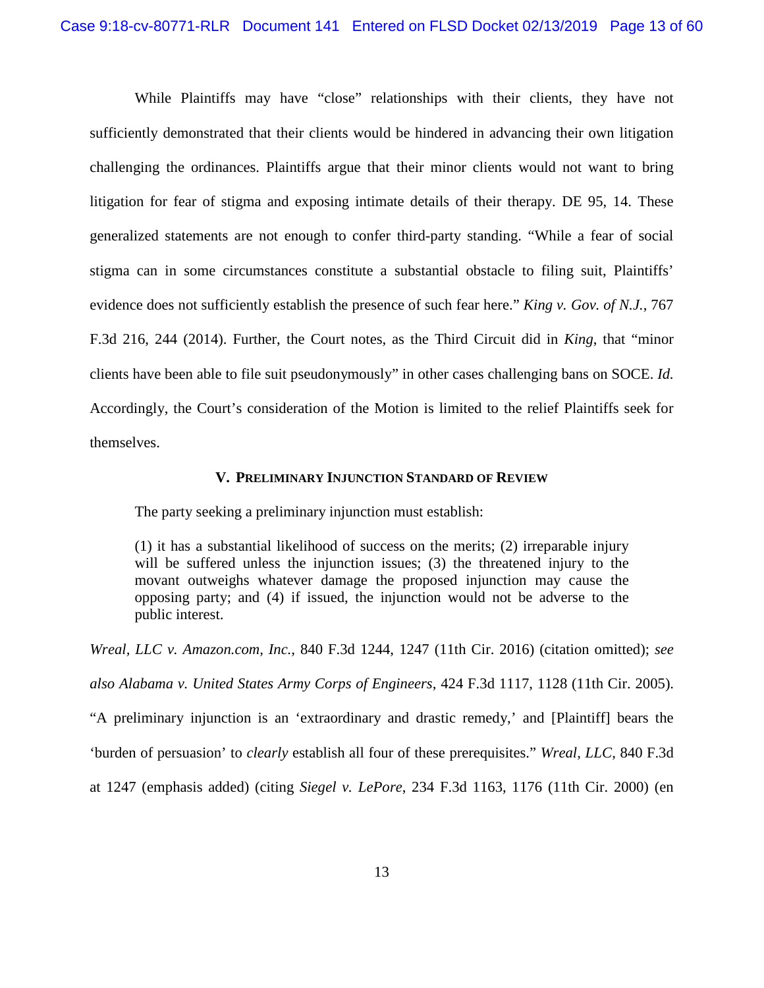While Plaintiffs may have "close" relationships with their clients, they have not sufficiently demonstrated that their clients would be hindered in advancing their own litigation challenging the ordinances. Plaintiffs argue that their minor clients would not want to bring litigation for fear of stigma and exposing intimate details of their therapy. DE 95, 14. These generalized statements are not enough to confer third-party standing. "While a fear of social stigma can in some circumstances constitute a substantial obstacle to filing suit, Plaintiffs' evidence does not sufficiently establish the presence of such fear here." *King v. Gov. of N.J.*, 767 F.3d 216, 244 (2014). Further, the Court notes, as the Third Circuit did in *King*, that "minor clients have been able to file suit pseudonymously" in other cases challenging bans on SOCE. *Id.*  Accordingly, the Court's consideration of the Motion is limited to the relief Plaintiffs seek for themselves.

### **V. PRELIMINARY INJUNCTION STANDARD OF REVIEW**

<span id="page-12-0"></span>The party seeking a preliminary injunction must establish:

(1) it has a substantial likelihood of success on the merits; (2) irreparable injury will be suffered unless the injunction issues; (3) the threatened injury to the movant outweighs whatever damage the proposed injunction may cause the opposing party; and (4) if issued, the injunction would not be adverse to the public interest.

*Wreal, LLC v. Amazon.com, Inc.*, 840 F.3d 1244, 1247 (11th Cir. 2016) (citation omitted); *see also Alabama v. United States Army Corps of Engineers*, 424 F.3d 1117, 1128 (11th Cir. 2005). "A preliminary injunction is an 'extraordinary and drastic remedy,' and [Plaintiff] bears the 'burden of persuasion' to *clearly* establish all four of these prerequisites." *Wreal, LLC*, 840 F.3d at 1247 (emphasis added) (citing *Siegel v. LePore*, 234 F.3d 1163, 1176 (11th Cir. 2000) (en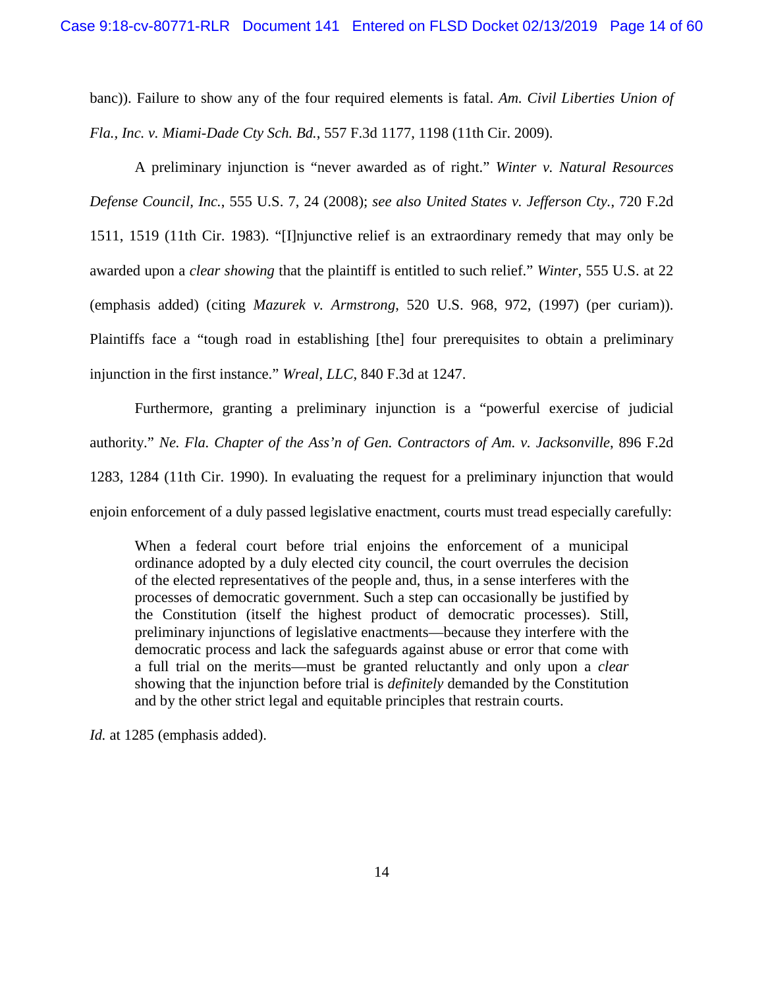banc)). Failure to show any of the four required elements is fatal. *Am. Civil Liberties Union of Fla., Inc. v. Miami-Dade Cty Sch. Bd.*, 557 F.3d 1177, 1198 (11th Cir. 2009).

A preliminary injunction is "never awarded as of right." *Winter v. Natural Resources Defense Council, Inc.*, 555 U.S. 7, 24 (2008); *see also United States v. Jefferson Cty.*, 720 F.2d 1511, 1519 (11th Cir. 1983). "[I]njunctive relief is an extraordinary remedy that may only be awarded upon a *clear showing* that the plaintiff is entitled to such relief." *Winter*, 555 U.S. at 22 (emphasis added) (citing *Mazurek v. Armstrong*, 520 U.S. 968, 972, (1997) (per curiam)). Plaintiffs face a "tough road in establishing [the] four prerequisites to obtain a preliminary injunction in the first instance." *Wreal*, *LLC*, 840 F.3d at 1247.

Furthermore, granting a preliminary injunction is a "powerful exercise of judicial authority." *Ne. Fla. Chapter of the Ass'n of Gen. Contractors of Am. v. Jacksonville*, 896 F.2d 1283, 1284 (11th Cir. 1990). In evaluating the request for a preliminary injunction that would enjoin enforcement of a duly passed legislative enactment, courts must tread especially carefully:

When a federal court before trial enjoins the enforcement of a municipal ordinance adopted by a duly elected city council, the court overrules the decision of the elected representatives of the people and, thus, in a sense interferes with the processes of democratic government. Such a step can occasionally be justified by the Constitution (itself the highest product of democratic processes). Still, preliminary injunctions of legislative enactments—because they interfere with the democratic process and lack the safeguards against abuse or error that come with a full trial on the merits—must be granted reluctantly and only upon a *clear* showing that the injunction before trial is *definitely* demanded by the Constitution and by the other strict legal and equitable principles that restrain courts.

*Id.* at 1285 (emphasis added).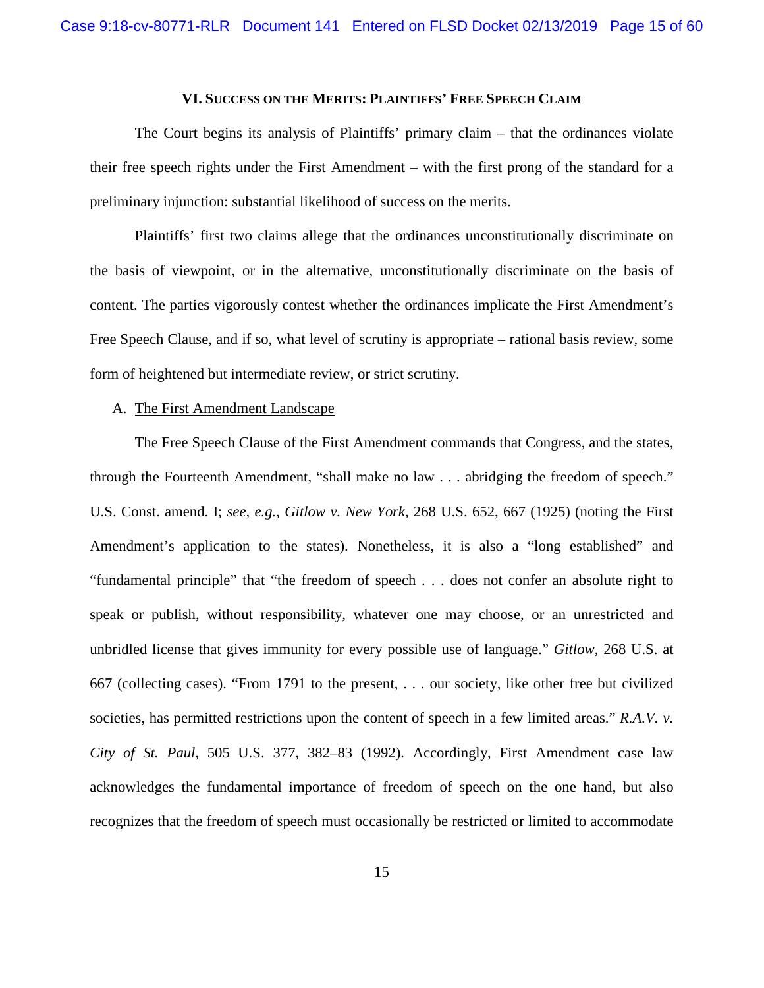## **VI. SUCCESS ON THE MERITS: PLAINTIFFS' FREE SPEECH CLAIM**

<span id="page-14-0"></span>The Court begins its analysis of Plaintiffs' primary claim – that the ordinances violate their free speech rights under the First Amendment – with the first prong of the standard for a preliminary injunction: substantial likelihood of success on the merits.

Plaintiffs' first two claims allege that the ordinances unconstitutionally discriminate on the basis of viewpoint, or in the alternative, unconstitutionally discriminate on the basis of content. The parties vigorously contest whether the ordinances implicate the First Amendment's Free Speech Clause, and if so, what level of scrutiny is appropriate – rational basis review, some form of heightened but intermediate review, or strict scrutiny.

#### <span id="page-14-1"></span>A. The First Amendment Landscape

The Free Speech Clause of the First Amendment commands that Congress, and the states, through the Fourteenth Amendment, "shall make no law . . . abridging the freedom of speech." U.S. Const. amend. I; *see, e.g.*, *Gitlow v. New York*, 268 U.S. 652, 667 (1925) (noting the First Amendment's application to the states). Nonetheless, it is also a "long established" and "fundamental principle" that "the freedom of speech . . . does not confer an absolute right to speak or publish, without responsibility, whatever one may choose, or an unrestricted and unbridled license that gives immunity for every possible use of language." *Gitlow*, 268 U.S. at 667 (collecting cases). "From 1791 to the present, . . . our society, like other free but civilized societies, has permitted restrictions upon the content of speech in a few limited areas." *R.A.V. v. City of St. Paul*, 505 U.S. 377, 382–83 (1992). Accordingly, First Amendment case law acknowledges the fundamental importance of freedom of speech on the one hand, but also recognizes that the freedom of speech must occasionally be restricted or limited to accommodate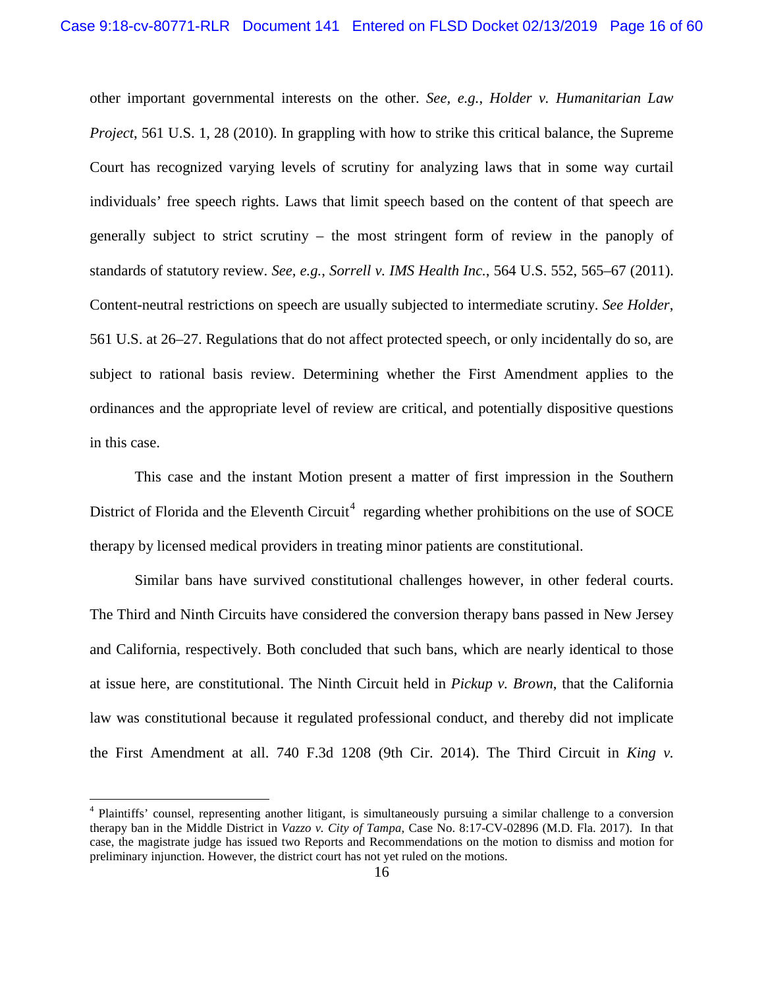other important governmental interests on the other. *See, e.g.*, *Holder v. Humanitarian Law Project*, 561 U.S. 1, 28 (2010). In grappling with how to strike this critical balance, the Supreme Court has recognized varying levels of scrutiny for analyzing laws that in some way curtail individuals' free speech rights. Laws that limit speech based on the content of that speech are generally subject to strict scrutiny – the most stringent form of review in the panoply of standards of statutory review. *See, e.g.*, *Sorrell v. IMS Health Inc.*, 564 U.S. 552, 565–67 (2011). Content-neutral restrictions on speech are usually subjected to intermediate scrutiny. *See Holder*, 561 U.S. at 26–27. Regulations that do not affect protected speech, or only incidentally do so, are subject to rational basis review. Determining whether the First Amendment applies to the ordinances and the appropriate level of review are critical, and potentially dispositive questions in this case.

This case and the instant Motion present a matter of first impression in the Southern District of Florida and the Eleventh Circuit<sup>[4](#page-15-0)</sup> regarding whether prohibitions on the use of SOCE therapy by licensed medical providers in treating minor patients are constitutional.

Similar bans have survived constitutional challenges however, in other federal courts. The Third and Ninth Circuits have considered the conversion therapy bans passed in New Jersey and California, respectively. Both concluded that such bans, which are nearly identical to those at issue here, are constitutional. The Ninth Circuit held in *Pickup v. Brown*, that the California law was constitutional because it regulated professional conduct, and thereby did not implicate the First Amendment at all. 740 F.3d 1208 (9th Cir. 2014). The Third Circuit in *King v.* 

<span id="page-15-0"></span><sup>&</sup>lt;sup>4</sup> Plaintiffs' counsel, representing another litigant, is simultaneously pursuing a similar challenge to a conversion therapy ban in the Middle District in *Vazzo v. City of Tampa*, Case No. 8:17-CV-02896 (M.D. Fla. 2017). In that case, the magistrate judge has issued two Reports and Recommendations on the motion to dismiss and motion for preliminary injunction. However, the district court has not yet ruled on the motions.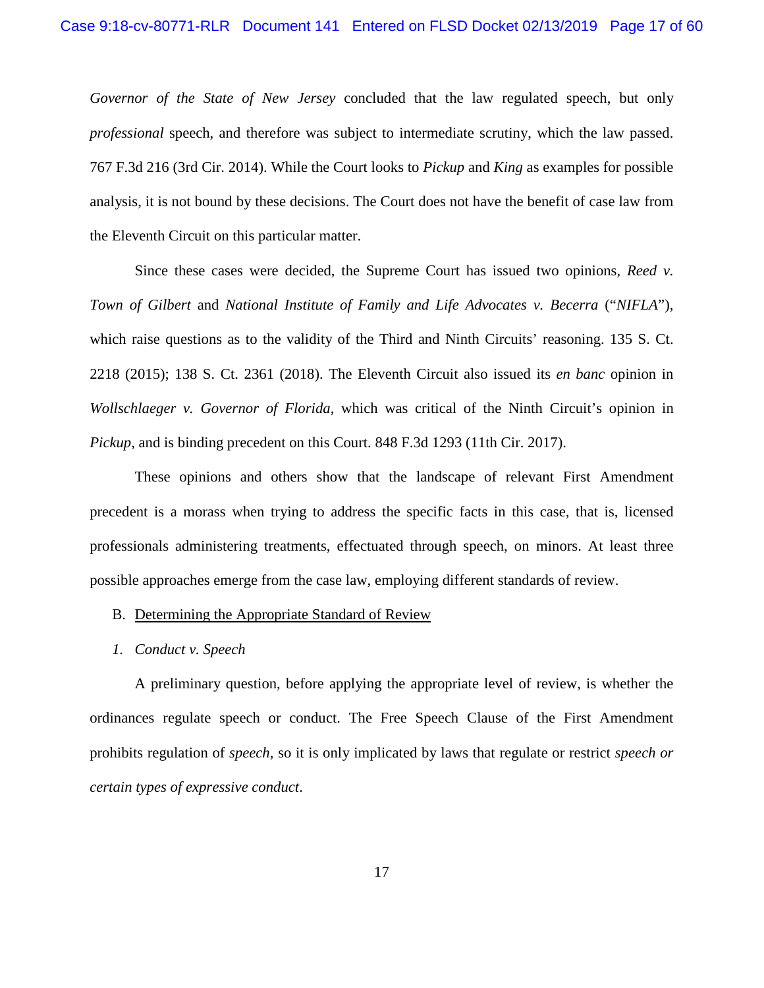*Governor of the State of New Jersey* concluded that the law regulated speech, but only *professional* speech, and therefore was subject to intermediate scrutiny, which the law passed. 767 F.3d 216 (3rd Cir. 2014). While the Court looks to *Pickup* and *King* as examples for possible analysis, it is not bound by these decisions. The Court does not have the benefit of case law from the Eleventh Circuit on this particular matter.

Since these cases were decided, the Supreme Court has issued two opinions, *Reed v. Town of Gilbert* and *National Institute of Family and Life Advocates v. Becerra* ("*NIFLA*"), which raise questions as to the validity of the Third and Ninth Circuits' reasoning. 135 S. Ct. 2218 (2015); 138 S. Ct. 2361 (2018). The Eleventh Circuit also issued its *en banc* opinion in *Wollschlaeger v. Governor of Florida*, which was critical of the Ninth Circuit's opinion in *Pickup*, and is binding precedent on this Court. 848 F.3d 1293 (11th Cir. 2017).

These opinions and others show that the landscape of relevant First Amendment precedent is a morass when trying to address the specific facts in this case, that is, licensed professionals administering treatments, effectuated through speech, on minors. At least three possible approaches emerge from the case law, employing different standards of review.

- <span id="page-16-0"></span>B. Determining the Appropriate Standard of Review
- *1. Conduct v. Speech*

A preliminary question, before applying the appropriate level of review, is whether the ordinances regulate speech or conduct. The Free Speech Clause of the First Amendment prohibits regulation of *speech*, so it is only implicated by laws that regulate or restrict *speech or certain types of expressive conduct*.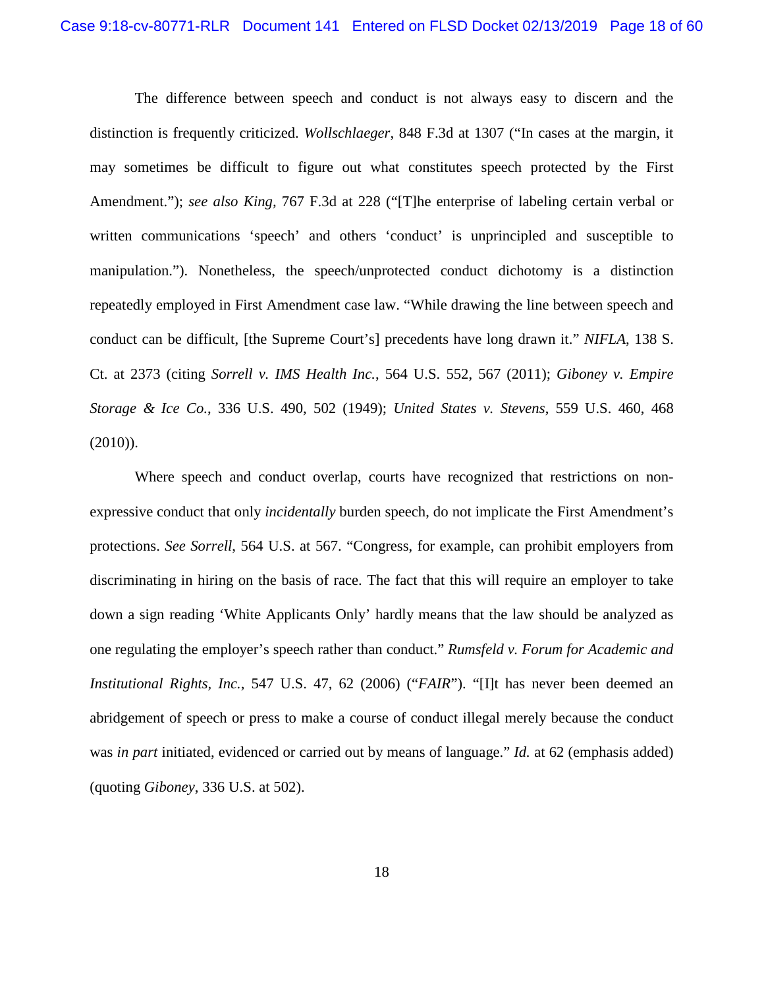The difference between speech and conduct is not always easy to discern and the distinction is frequently criticized. *Wollschlaeger*, 848 F.3d at 1307 ("In cases at the margin, it may sometimes be difficult to figure out what constitutes speech protected by the First Amendment."); *see also King,* 767 F.3d at 228 ("[T]he enterprise of labeling certain verbal or written communications 'speech' and others 'conduct' is unprincipled and susceptible to manipulation."). Nonetheless, the speech/unprotected conduct dichotomy is a distinction repeatedly employed in First Amendment case law. "While drawing the line between speech and conduct can be difficult, [the Supreme Court's] precedents have long drawn it." *NIFLA*, 138 S. Ct. at 2373 (citing *Sorrell v. IMS Health Inc.*, 564 U.S. 552, 567 (2011); *Giboney v. Empire Storage & Ice Co.*, 336 U.S. 490, 502 (1949); *United States v. Stevens*, 559 U.S. 460, 468 (2010)).

Where speech and conduct overlap, courts have recognized that restrictions on nonexpressive conduct that only *incidentally* burden speech, do not implicate the First Amendment's protections. *See Sorrell*, 564 U.S. at 567. "Congress, for example, can prohibit employers from discriminating in hiring on the basis of race. The fact that this will require an employer to take down a sign reading 'White Applicants Only' hardly means that the law should be analyzed as one regulating the employer's speech rather than conduct." *Rumsfeld v. Forum for Academic and Institutional Rights, Inc.*, 547 U.S. 47, 62 (2006) ("*FAIR*"). "[I]t has never been deemed an abridgement of speech or press to make a course of conduct illegal merely because the conduct was *in part* initiated, evidenced or carried out by means of language." *Id.* at 62 (emphasis added) (quoting *Giboney*, 336 U.S. at 502).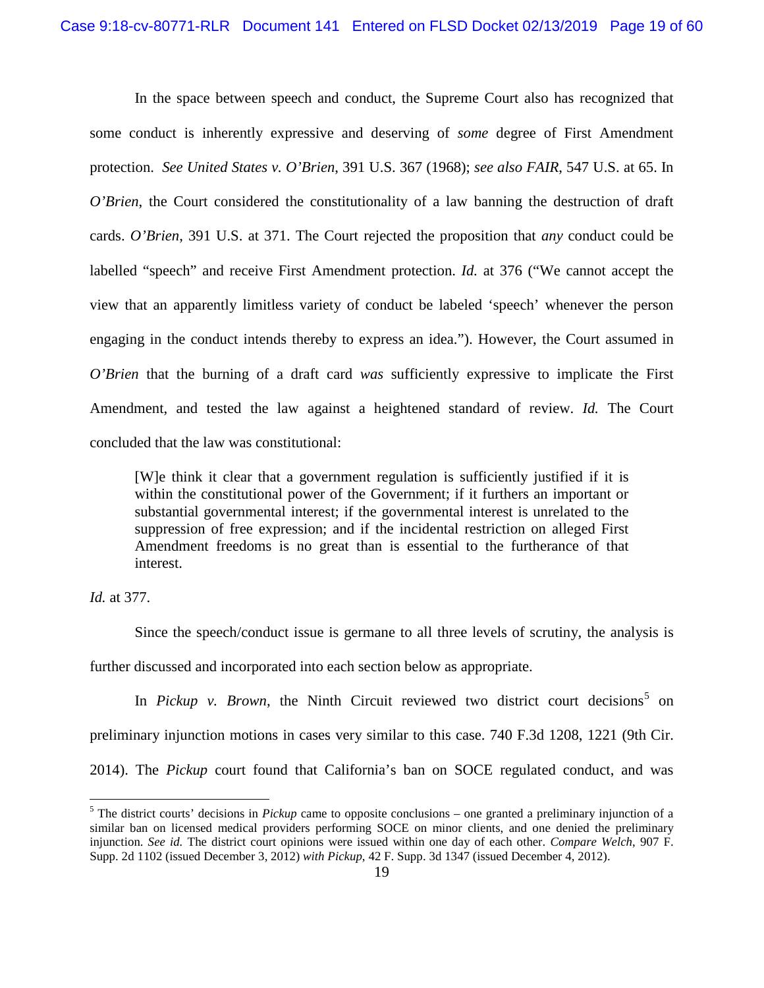In the space between speech and conduct, the Supreme Court also has recognized that some conduct is inherently expressive and deserving of *some* degree of First Amendment protection. *See United States v. O'Brien*, 391 U.S. 367 (1968); *see also FAIR*, 547 U.S. at 65. In *O'Brien*, the Court considered the constitutionality of a law banning the destruction of draft cards. *O'Brien*, 391 U.S. at 371. The Court rejected the proposition that *any* conduct could be labelled "speech" and receive First Amendment protection. *Id.* at 376 ("We cannot accept the view that an apparently limitless variety of conduct be labeled 'speech' whenever the person engaging in the conduct intends thereby to express an idea."). However, the Court assumed in *O'Brien* that the burning of a draft card *was* sufficiently expressive to implicate the First Amendment, and tested the law against a heightened standard of review. *Id.* The Court concluded that the law was constitutional:

[W]e think it clear that a government regulation is sufficiently justified if it is within the constitutional power of the Government; if it furthers an important or substantial governmental interest; if the governmental interest is unrelated to the suppression of free expression; and if the incidental restriction on alleged First Amendment freedoms is no great than is essential to the furtherance of that interest.

*Id.* at 377.

Since the speech/conduct issue is germane to all three levels of scrutiny, the analysis is further discussed and incorporated into each section below as appropriate.

In *Pickup v. Brown*, the Ninth Circuit reviewed two district court decisions<sup>[5](#page-18-0)</sup> on preliminary injunction motions in cases very similar to this case. 740 F.3d 1208, 1221 (9th Cir. 2014). The *Pickup* court found that California's ban on SOCE regulated conduct, and was

<span id="page-18-0"></span><sup>&</sup>lt;sup>5</sup> The district courts' decisions in *Pickup* came to opposite conclusions – one granted a preliminary injunction of a similar ban on licensed medical providers performing SOCE on minor clients, and one denied the preliminary injunction. *See id.* The district court opinions were issued within one day of each other. *Compare Welch*, 907 F. Supp. 2d 1102 (issued December 3, 2012) *with Pickup*, 42 F. Supp. 3d 1347 (issued December 4, 2012).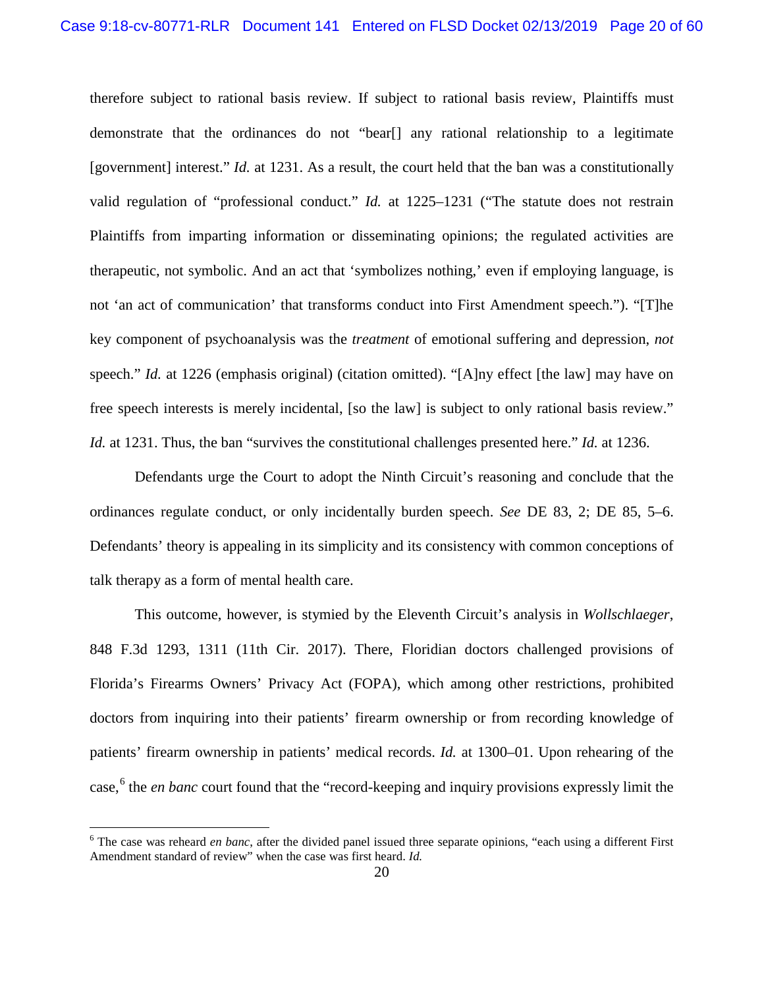therefore subject to rational basis review. If subject to rational basis review, Plaintiffs must demonstrate that the ordinances do not "bear[] any rational relationship to a legitimate [government] interest." *Id.* at 1231. As a result, the court held that the ban was a constitutionally valid regulation of "professional conduct." *Id.* at 1225–1231 ("The statute does not restrain Plaintiffs from imparting information or disseminating opinions; the regulated activities are therapeutic, not symbolic. And an act that 'symbolizes nothing,' even if employing language, is not 'an act of communication' that transforms conduct into First Amendment speech."). "[T]he key component of psychoanalysis was the *treatment* of emotional suffering and depression, *not* speech." *Id.* at 1226 (emphasis original) (citation omitted). "[A]ny effect [the law] may have on free speech interests is merely incidental, [so the law] is subject to only rational basis review." *Id.* at 1231. Thus, the ban "survives the constitutional challenges presented here." *Id.* at 1236.

Defendants urge the Court to adopt the Ninth Circuit's reasoning and conclude that the ordinances regulate conduct, or only incidentally burden speech. *See* DE 83, 2; DE 85, 5–6. Defendants' theory is appealing in its simplicity and its consistency with common conceptions of talk therapy as a form of mental health care.

This outcome, however, is stymied by the Eleventh Circuit's analysis in *Wollschlaeger*, 848 F.3d 1293, 1311 (11th Cir. 2017). There, Floridian doctors challenged provisions of Florida's Firearms Owners' Privacy Act (FOPA), which among other restrictions, prohibited doctors from inquiring into their patients' firearm ownership or from recording knowledge of patients' firearm ownership in patients' medical records. *Id.* at 1300–01. Upon rehearing of the case,<sup>[6](#page-19-0)</sup> the *en banc* court found that the "record-keeping and inquiry provisions expressly limit the

<span id="page-19-0"></span> <sup>6</sup> The case was reheard *en banc*, after the divided panel issued three separate opinions, "each using a different First Amendment standard of review" when the case was first heard. *Id.*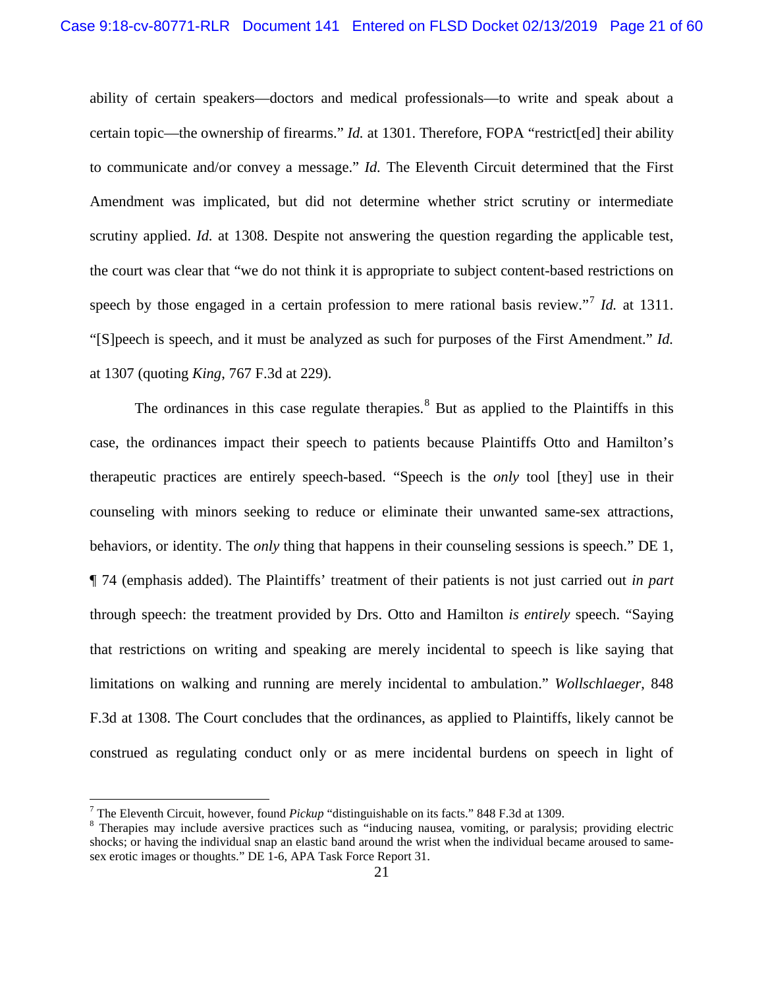ability of certain speakers—doctors and medical professionals—to write and speak about a certain topic—the ownership of firearms." *Id.* at 1301. Therefore, FOPA "restrict[ed] their ability to communicate and/or convey a message." *Id.* The Eleventh Circuit determined that the First Amendment was implicated, but did not determine whether strict scrutiny or intermediate scrutiny applied. *Id.* at 1308. Despite not answering the question regarding the applicable test, the court was clear that "we do not think it is appropriate to subject content-based restrictions on speech by those engaged in a certain profession to mere rational basis review."[7](#page-20-0) *Id.* at 1311. "[S]peech is speech, and it must be analyzed as such for purposes of the First Amendment." *Id.*  at 1307 (quoting *King*, 767 F.3d at 229).

The ordinances in this case regulate therapies.<sup>[8](#page-20-1)</sup> But as applied to the Plaintiffs in this case, the ordinances impact their speech to patients because Plaintiffs Otto and Hamilton's therapeutic practices are entirely speech-based. "Speech is the *only* tool [they] use in their counseling with minors seeking to reduce or eliminate their unwanted same-sex attractions, behaviors, or identity. The *only* thing that happens in their counseling sessions is speech." DE 1, ¶ 74 (emphasis added). The Plaintiffs' treatment of their patients is not just carried out *in part* through speech: the treatment provided by Drs. Otto and Hamilton *is entirely* speech. "Saying that restrictions on writing and speaking are merely incidental to speech is like saying that limitations on walking and running are merely incidental to ambulation." *Wollschlaeger*, 848 F.3d at 1308. The Court concludes that the ordinances, as applied to Plaintiffs, likely cannot be construed as regulating conduct only or as mere incidental burdens on speech in light of

<span id="page-20-1"></span>

<span id="page-20-0"></span><sup>&</sup>lt;sup>7</sup> The Eleventh Circuit, however, found *Pickup* "distinguishable on its facts." 848 F.3d at 1309.<br><sup>8</sup> Therapies may include aversive practices such as "inducing nausea, vomiting, or paralysis; providing electric shocks; or having the individual snap an elastic band around the wrist when the individual became aroused to samesex erotic images or thoughts." DE 1-6, APA Task Force Report 31.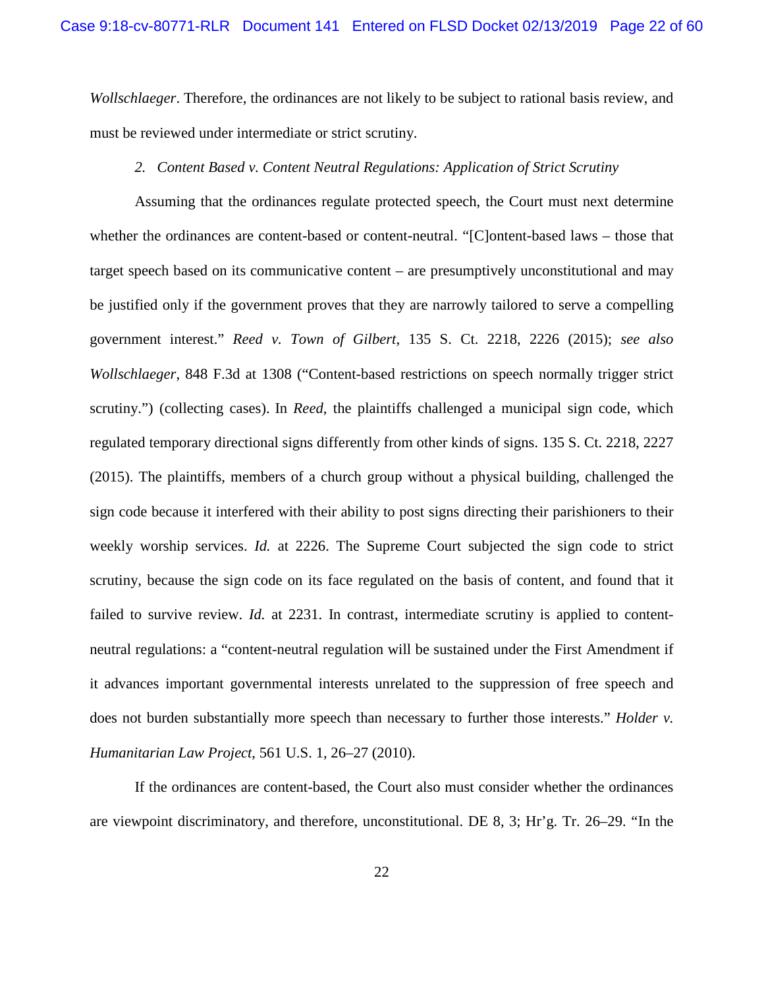*Wollschlaeger*. Therefore, the ordinances are not likely to be subject to rational basis review, and must be reviewed under intermediate or strict scrutiny.

## *2. Content Based v. Content Neutral Regulations: Application of Strict Scrutiny*

Assuming that the ordinances regulate protected speech, the Court must next determine whether the ordinances are content-based or content-neutral. "[C]ontent-based laws – those that target speech based on its communicative content – are presumptively unconstitutional and may be justified only if the government proves that they are narrowly tailored to serve a compelling government interest." *Reed v. Town of Gilbert*, 135 S. Ct. 2218, 2226 (2015); *see also Wollschlaeger*, 848 F.3d at 1308 ("Content-based restrictions on speech normally trigger strict scrutiny.") (collecting cases). In *Reed*, the plaintiffs challenged a municipal sign code, which regulated temporary directional signs differently from other kinds of signs. 135 S. Ct. 2218, 2227 (2015). The plaintiffs, members of a church group without a physical building, challenged the sign code because it interfered with their ability to post signs directing their parishioners to their weekly worship services. *Id.* at 2226. The Supreme Court subjected the sign code to strict scrutiny, because the sign code on its face regulated on the basis of content, and found that it failed to survive review. *Id.* at 2231. In contrast, intermediate scrutiny is applied to contentneutral regulations: a "content-neutral regulation will be sustained under the First Amendment if it advances important governmental interests unrelated to the suppression of free speech and does not burden substantially more speech than necessary to further those interests." *Holder v. Humanitarian Law Project*, 561 U.S. 1, 26–27 (2010).

If the ordinances are content-based, the Court also must consider whether the ordinances are viewpoint discriminatory, and therefore, unconstitutional. DE 8, 3; Hr'g. Tr. 26–29. "In the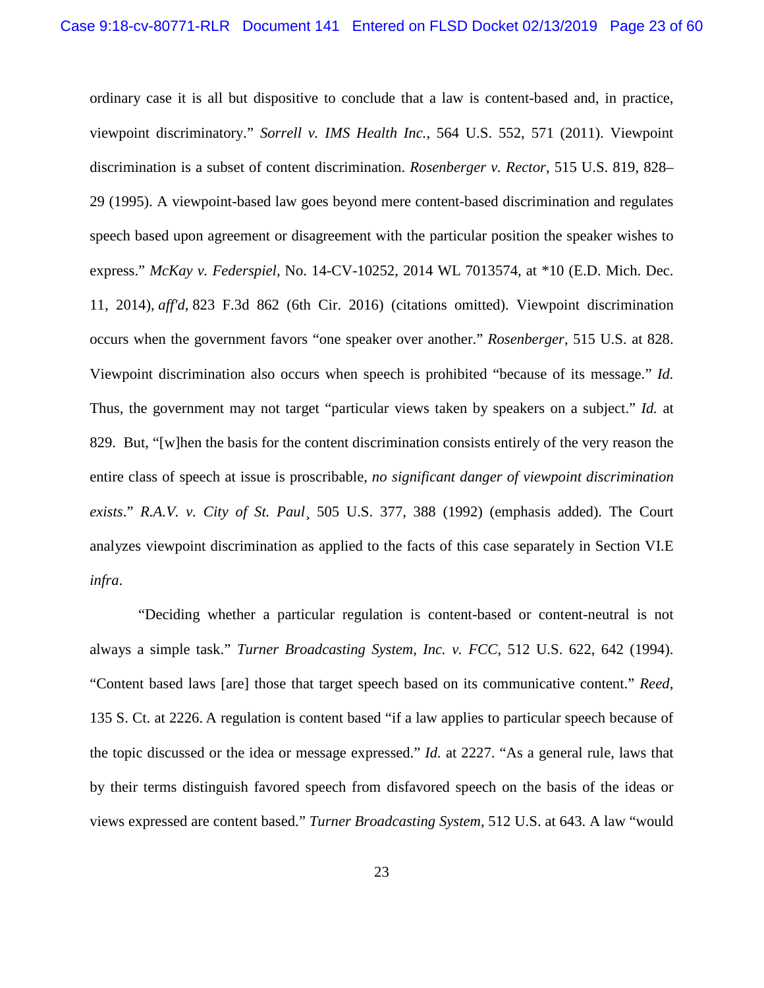ordinary case it is all but dispositive to conclude that a law is content-based and, in practice, viewpoint discriminatory." *Sorrell v. IMS Health Inc.*, 564 U.S. 552, 571 (2011). Viewpoint discrimination is a subset of content discrimination. *Rosenberger v. Rector*, 515 U.S. 819, 828– 29 (1995). A viewpoint-based law goes beyond mere content-based discrimination and regulates speech based upon agreement or disagreement with the particular position the speaker wishes to express." *McKay v. Federspiel,* No. 14-CV-10252, 2014 WL 7013574, at \*10 (E.D. Mich. Dec. 11, 2014), *aff'd*, 823 F.3d 862 (6th Cir. 2016) (citations omitted). Viewpoint discrimination occurs when the government favors "one speaker over another." *Rosenberger*, 515 U.S. at 828. Viewpoint discrimination also occurs when speech is prohibited "because of its message." *Id.*  Thus, the government may not target "particular views taken by speakers on a subject." *Id.* at 829. But, "[w]hen the basis for the content discrimination consists entirely of the very reason the entire class of speech at issue is proscribable, *no significant danger of viewpoint discrimination exists*." *R.A.V. v. City of St. Paul*¸ 505 U.S. 377, 388 (1992) (emphasis added). The Court analyzes viewpoint discrimination as applied to the facts of this case separately in Section VI.E *infra*.

"Deciding whether a particular regulation is content-based or content-neutral is not always a simple task." *Turner Broadcasting System, Inc. v. FCC*, 512 U.S. 622, 642 (1994). "Content based laws [are] those that target speech based on its communicative content." *Reed*, 135 S. Ct. at 2226. A regulation is content based "if a law applies to particular speech because of the topic discussed or the idea or message expressed." *Id.* at 2227. "As a general rule, laws that by their terms distinguish favored speech from disfavored speech on the basis of the ideas or views expressed are content based." *Turner Broadcasting System*, 512 U.S. at 643. A law "would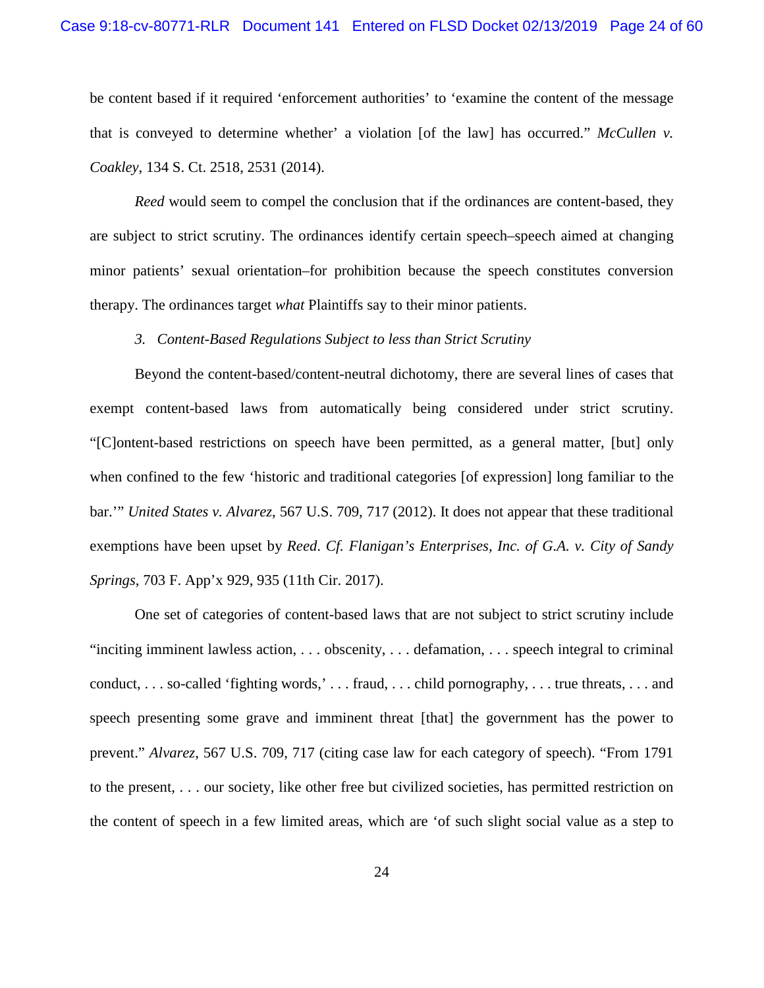be content based if it required 'enforcement authorities' to 'examine the content of the message that is conveyed to determine whether' a violation [of the law] has occurred." *McCullen v. Coakley*, 134 S. Ct. 2518, 2531 (2014).

*Reed* would seem to compel the conclusion that if the ordinances are content-based, they are subject to strict scrutiny. The ordinances identify certain speech–speech aimed at changing minor patients' sexual orientation–for prohibition because the speech constitutes conversion therapy. The ordinances target *what* Plaintiffs say to their minor patients.

## *3. Content-Based Regulations Subject to less than Strict Scrutiny*

Beyond the content-based/content-neutral dichotomy, there are several lines of cases that exempt content-based laws from automatically being considered under strict scrutiny. "[C]ontent-based restrictions on speech have been permitted, as a general matter, [but] only when confined to the few 'historic and traditional categories [of expression] long familiar to the bar.'" *United States v. Alvarez*, 567 U.S. 709, 717 (2012). It does not appear that these traditional exemptions have been upset by *Reed*. *Cf. Flanigan's Enterprises, Inc. of G.A. v. City of Sandy Springs*, 703 F. App'x 929, 935 (11th Cir. 2017).

One set of categories of content-based laws that are not subject to strict scrutiny include "inciting imminent lawless action, . . . obscenity, . . . defamation, . . . speech integral to criminal conduct, . . . so-called 'fighting words,' . . . fraud, . . . child pornography, . . . true threats, . . . and speech presenting some grave and imminent threat [that] the government has the power to prevent." *Alvarez*, 567 U.S. 709, 717 (citing case law for each category of speech). "From 1791 to the present, . . . our society, like other free but civilized societies, has permitted restriction on the content of speech in a few limited areas, which are 'of such slight social value as a step to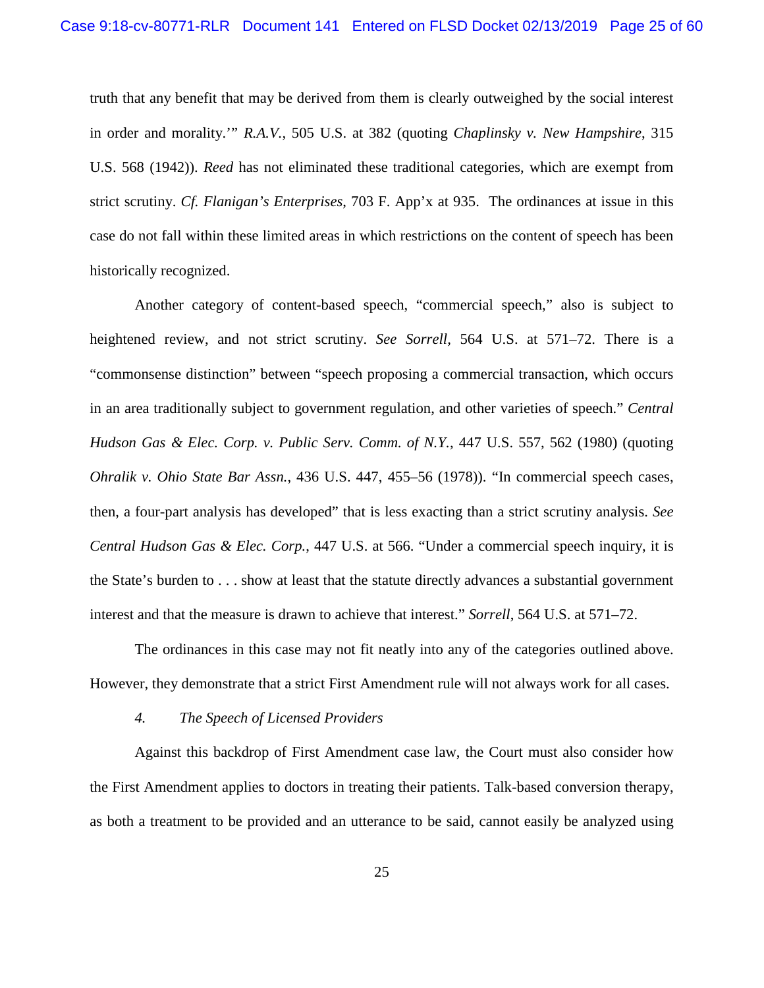truth that any benefit that may be derived from them is clearly outweighed by the social interest in order and morality.'" *R.A.V.*, 505 U.S. at 382 (quoting *Chaplinsky v. New Hampshire*, 315 U.S. 568 (1942)). *Reed* has not eliminated these traditional categories, which are exempt from strict scrutiny. *Cf. Flanigan's Enterprises*, 703 F. App'x at 935. The ordinances at issue in this case do not fall within these limited areas in which restrictions on the content of speech has been historically recognized.

Another category of content-based speech, "commercial speech," also is subject to heightened review, and not strict scrutiny. *See Sorrell,* 564 U.S. at 571–72. There is a "commonsense distinction" between "speech proposing a commercial transaction, which occurs in an area traditionally subject to government regulation, and other varieties of speech." *Central Hudson Gas & Elec. Corp. v. Public Serv. Comm. of N.Y.*, 447 U.S. 557, 562 (1980) (quoting *Ohralik v. Ohio State Bar Assn.*, 436 U.S. 447, 455–56 (1978)). "In commercial speech cases, then, a four-part analysis has developed" that is less exacting than a strict scrutiny analysis. *See Central Hudson Gas & Elec. Corp.*, 447 U.S. at 566. "Under a commercial speech inquiry, it is the State's burden to . . . show at least that the statute directly advances a substantial government interest and that the measure is drawn to achieve that interest." *Sorrell*, 564 U.S. at 571–72.

The ordinances in this case may not fit neatly into any of the categories outlined above. However, they demonstrate that a strict First Amendment rule will not always work for all cases.

#### *4. The Speech of Licensed Providers*

Against this backdrop of First Amendment case law, the Court must also consider how the First Amendment applies to doctors in treating their patients. Talk-based conversion therapy, as both a treatment to be provided and an utterance to be said, cannot easily be analyzed using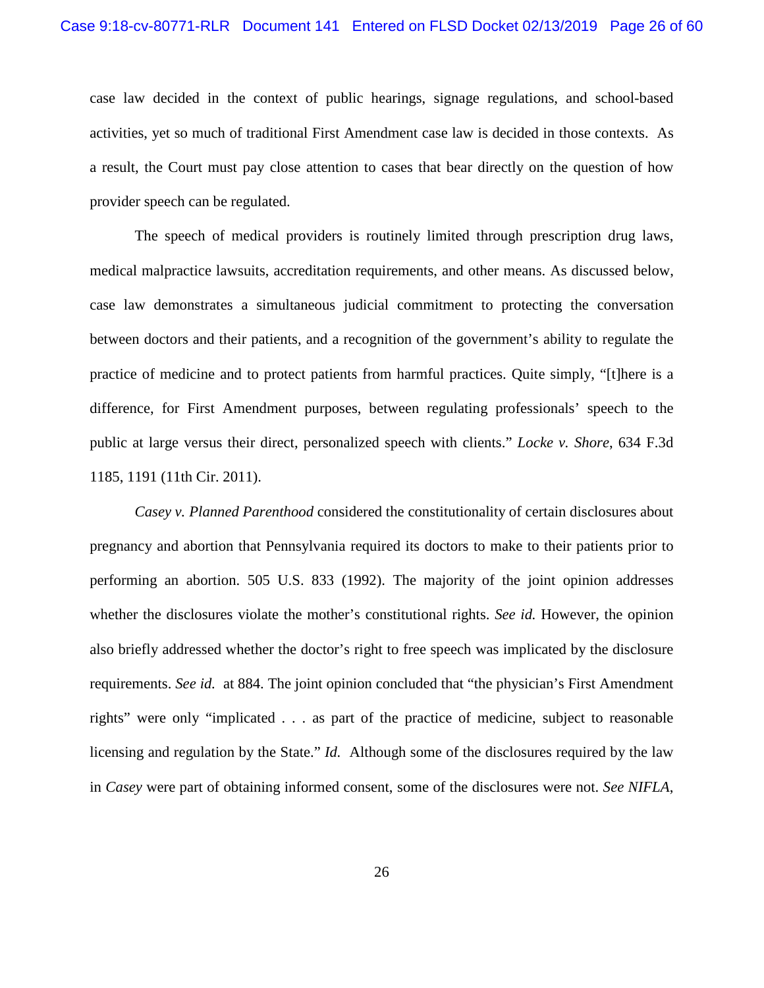case law decided in the context of public hearings, signage regulations, and school-based activities, yet so much of traditional First Amendment case law is decided in those contexts. As a result, the Court must pay close attention to cases that bear directly on the question of how provider speech can be regulated.

The speech of medical providers is routinely limited through prescription drug laws, medical malpractice lawsuits, accreditation requirements, and other means. As discussed below, case law demonstrates a simultaneous judicial commitment to protecting the conversation between doctors and their patients, and a recognition of the government's ability to regulate the practice of medicine and to protect patients from harmful practices. Quite simply, "[t]here is a difference, for First Amendment purposes, between regulating professionals' speech to the public at large versus their direct, personalized speech with clients." *Locke v. Shore*, 634 F.3d 1185, 1191 (11th Cir. 2011).

*Casey v. Planned Parenthood* considered the constitutionality of certain disclosures about pregnancy and abortion that Pennsylvania required its doctors to make to their patients prior to performing an abortion. 505 U.S. 833 (1992). The majority of the joint opinion addresses whether the disclosures violate the mother's constitutional rights. *See id.* However, the opinion also briefly addressed whether the doctor's right to free speech was implicated by the disclosure requirements. *See id.* at 884. The joint opinion concluded that "the physician's First Amendment rights" were only "implicated . . . as part of the practice of medicine, subject to reasonable licensing and regulation by the State." *Id.* Although some of the disclosures required by the law in *Casey* were part of obtaining informed consent, some of the disclosures were not. *See NIFLA*,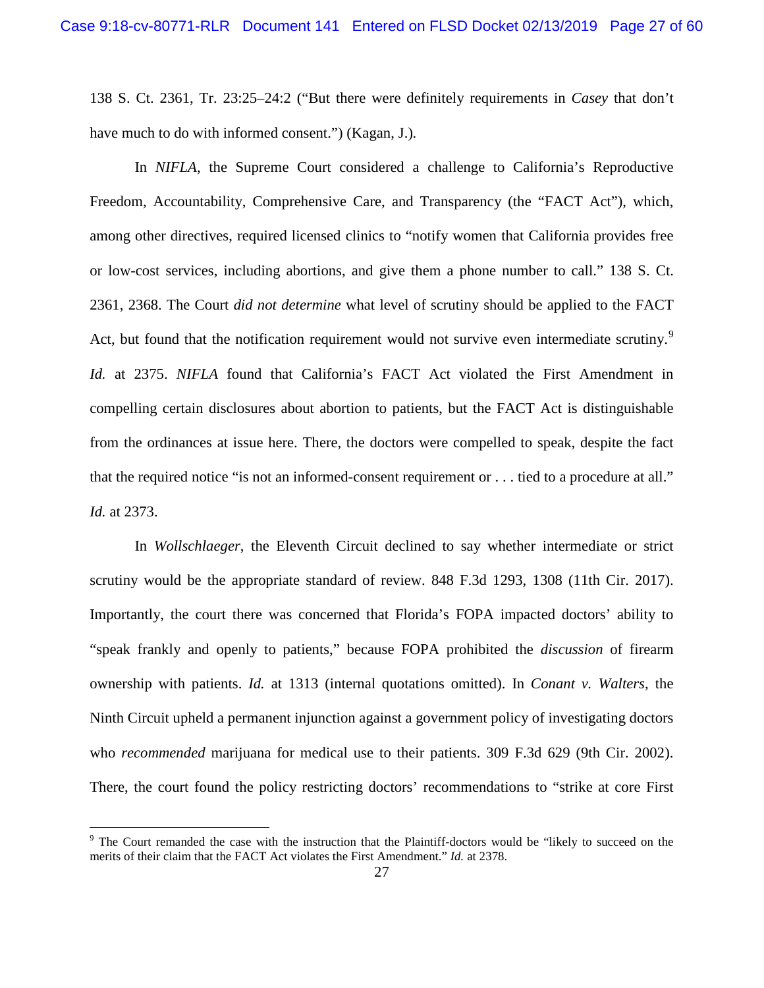138 S. Ct. 2361, Tr. 23:25–24:2 ("But there were definitely requirements in *Casey* that don't have much to do with informed consent.") (Kagan, J.)*.*

In *NIFLA*, the Supreme Court considered a challenge to California's Reproductive Freedom, Accountability, Comprehensive Care, and Transparency (the "FACT Act"), which, among other directives, required licensed clinics to "notify women that California provides free or low-cost services, including abortions, and give them a phone number to call." 138 S. Ct. 2361, 2368. The Court *did not determine* what level of scrutiny should be applied to the FACT Act, but found that the notification requirement would not survive even intermediate scrutiny.<sup>[9](#page-26-0)</sup> *Id.* at 2375. *NIFLA* found that California's FACT Act violated the First Amendment in compelling certain disclosures about abortion to patients, but the FACT Act is distinguishable from the ordinances at issue here. There, the doctors were compelled to speak, despite the fact that the required notice "is not an informed-consent requirement or . . . tied to a procedure at all." *Id.* at 2373.

In *Wollschlaeger*, the Eleventh Circuit declined to say whether intermediate or strict scrutiny would be the appropriate standard of review. 848 F.3d 1293, 1308 (11th Cir. 2017). Importantly, the court there was concerned that Florida's FOPA impacted doctors' ability to "speak frankly and openly to patients," because FOPA prohibited the *discussion* of firearm ownership with patients. *Id.* at 1313 (internal quotations omitted). In *Conant v. Walters*, the Ninth Circuit upheld a permanent injunction against a government policy of investigating doctors who *recommended* marijuana for medical use to their patients. 309 F.3d 629 (9th Cir. 2002). There, the court found the policy restricting doctors' recommendations to "strike at core First

<span id="page-26-0"></span><sup>&</sup>lt;sup>9</sup> The Court remanded the case with the instruction that the Plaintiff-doctors would be "likely to succeed on the merits of their claim that the FACT Act violates the First Amendment." *Id.* at 2378.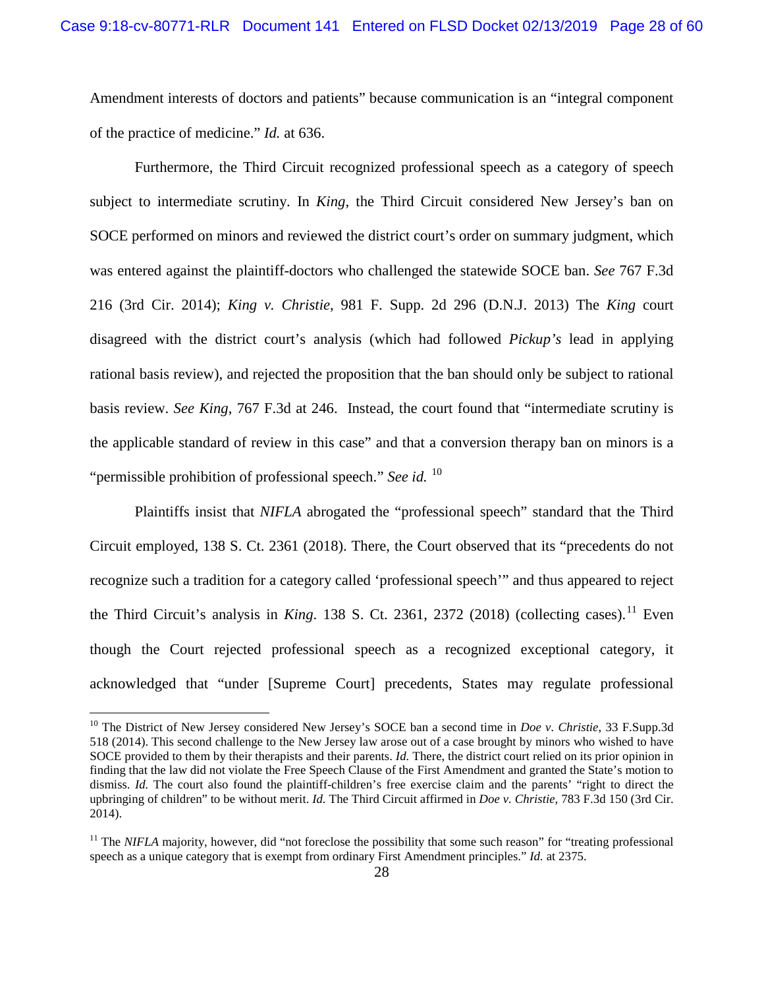Amendment interests of doctors and patients" because communication is an "integral component of the practice of medicine." *Id.* at 636.

Furthermore, the Third Circuit recognized professional speech as a category of speech subject to intermediate scrutiny. In *King*, the Third Circuit considered New Jersey's ban on SOCE performed on minors and reviewed the district court's order on summary judgment, which was entered against the plaintiff-doctors who challenged the statewide SOCE ban. *See* 767 F.3d 216 (3rd Cir. 2014); *King v. Christie*, 981 F. Supp. 2d 296 (D.N.J. 2013) The *King* court disagreed with the district court's analysis (which had followed *Pickup's* lead in applying rational basis review), and rejected the proposition that the ban should only be subject to rational basis review. *See King*, 767 F.3d at 246. Instead, the court found that "intermediate scrutiny is the applicable standard of review in this case" and that a conversion therapy ban on minors is a "permissible prohibition of professional speech." *See id.* <sup>[10](#page-27-0)</sup>

Plaintiffs insist that *NIFLA* abrogated the "professional speech" standard that the Third Circuit employed, 138 S. Ct. 2361 (2018). There, the Court observed that its "precedents do not recognize such a tradition for a category called 'professional speech'" and thus appeared to reject the Third Circuit's analysis in *King*. 138 S. Ct. 2361, 2372 (2018) (collecting cases).<sup>[11](#page-27-1)</sup> Even though the Court rejected professional speech as a recognized exceptional category, it acknowledged that "under [Supreme Court] precedents, States may regulate professional

<span id="page-27-0"></span> <sup>10</sup> The District of New Jersey considered New Jersey's SOCE ban a second time in *Doe v. Christie*, 33 F.Supp.3d 518 (2014). This second challenge to the New Jersey law arose out of a case brought by minors who wished to have SOCE provided to them by their therapists and their parents. *Id.* There, the district court relied on its prior opinion in finding that the law did not violate the Free Speech Clause of the First Amendment and granted the State's motion to dismiss. *Id.* The court also found the plaintiff-children's free exercise claim and the parents' "right to direct the upbringing of children" to be without merit. *Id.* The Third Circuit affirmed in *Doe v. Christie*, 783 F.3d 150 (3rd Cir. 2014).

<span id="page-27-1"></span><sup>&</sup>lt;sup>11</sup> The *NIFLA* majority, however, did "not foreclose the possibility that some such reason" for "treating professional speech as a unique category that is exempt from ordinary First Amendment principles." *Id.* at 2375.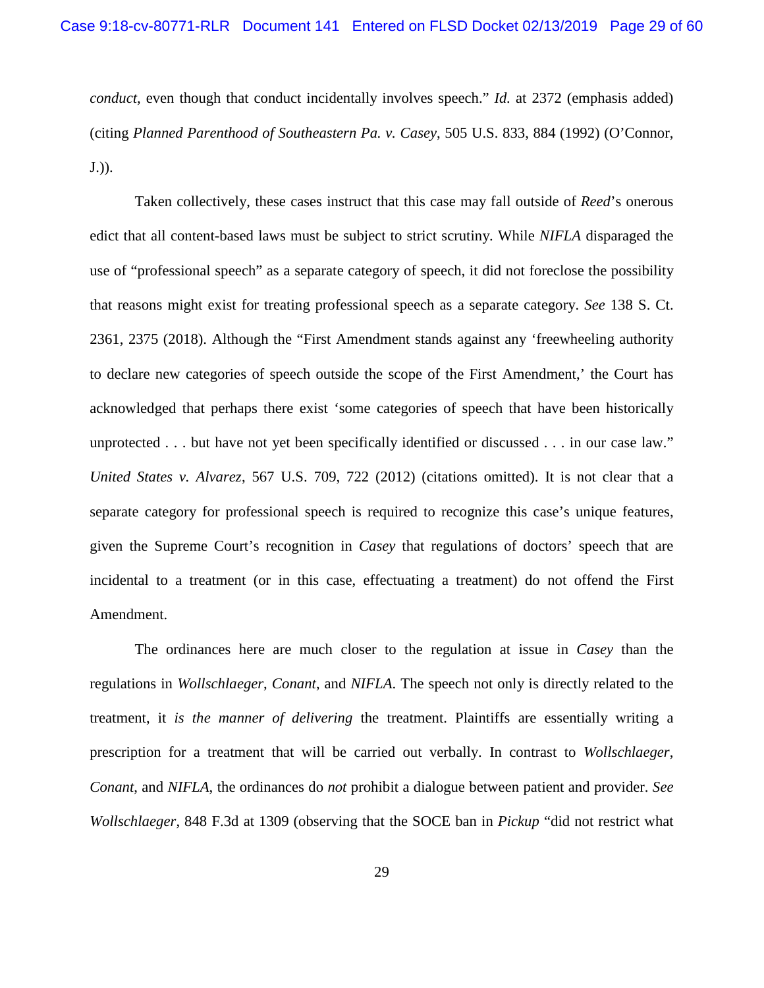*conduct*, even though that conduct incidentally involves speech." *Id.* at 2372 (emphasis added) (citing *Planned Parenthood of Southeastern Pa. v. Casey*, 505 U.S. 833, 884 (1992) (O'Connor, J.)).

Taken collectively, these cases instruct that this case may fall outside of *Reed*'s onerous edict that all content-based laws must be subject to strict scrutiny. While *NIFLA* disparaged the use of "professional speech" as a separate category of speech, it did not foreclose the possibility that reasons might exist for treating professional speech as a separate category. *See* 138 S. Ct. 2361, 2375 (2018). Although the "First Amendment stands against any 'freewheeling authority to declare new categories of speech outside the scope of the First Amendment,' the Court has acknowledged that perhaps there exist 'some categories of speech that have been historically unprotected . . . but have not yet been specifically identified or discussed . . . in our case law." *United States v. Alvarez*, 567 U.S. 709, 722 (2012) (citations omitted). It is not clear that a separate category for professional speech is required to recognize this case's unique features, given the Supreme Court's recognition in *Casey* that regulations of doctors' speech that are incidental to a treatment (or in this case, effectuating a treatment) do not offend the First Amendment.

The ordinances here are much closer to the regulation at issue in *Casey* than the regulations in *Wollschlaeger*, *Conant*, and *NIFLA*. The speech not only is directly related to the treatment, it *is the manner of delivering* the treatment. Plaintiffs are essentially writing a prescription for a treatment that will be carried out verbally. In contrast to *Wollschlaeger*, *Conant*, and *NIFLA*, the ordinances do *not* prohibit a dialogue between patient and provider. *See Wollschlaeger*, 848 F.3d at 1309 (observing that the SOCE ban in *Pickup* "did not restrict what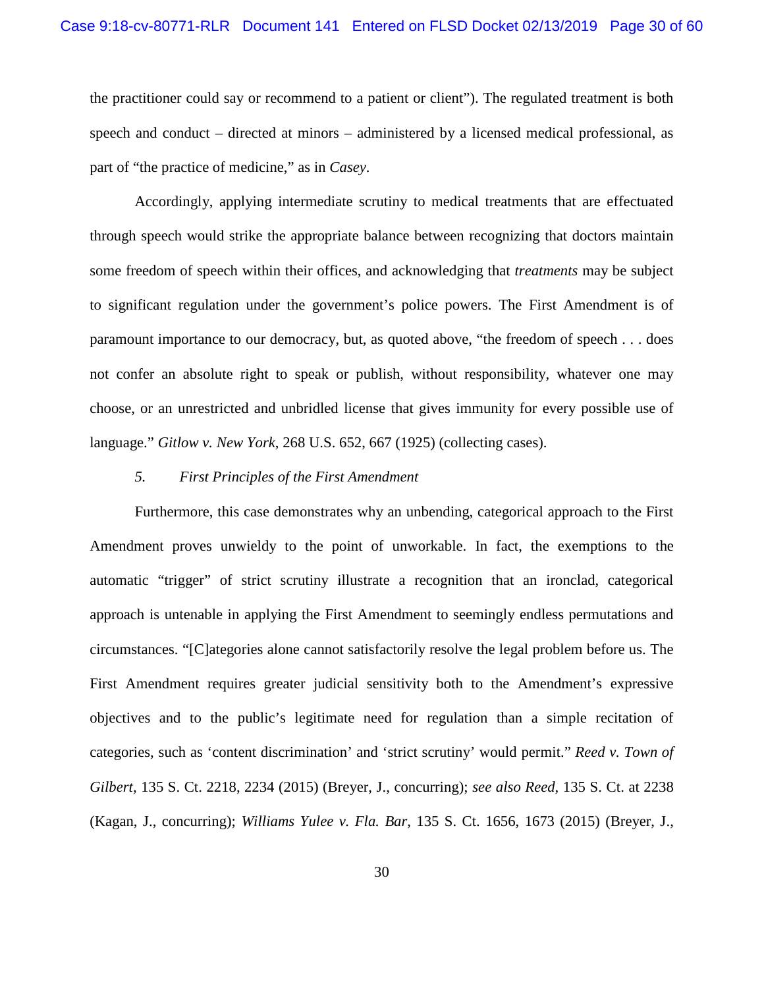the practitioner could say or recommend to a patient or client"). The regulated treatment is both speech and conduct – directed at minors – administered by a licensed medical professional, as part of "the practice of medicine," as in *Casey*.

Accordingly, applying intermediate scrutiny to medical treatments that are effectuated through speech would strike the appropriate balance between recognizing that doctors maintain some freedom of speech within their offices, and acknowledging that *treatments* may be subject to significant regulation under the government's police powers. The First Amendment is of paramount importance to our democracy, but, as quoted above, "the freedom of speech . . . does not confer an absolute right to speak or publish, without responsibility, whatever one may choose, or an unrestricted and unbridled license that gives immunity for every possible use of language." *Gitlow v. New York*, 268 U.S. 652, 667 (1925) (collecting cases).

### *5. First Principles of the First Amendment*

Furthermore, this case demonstrates why an unbending, categorical approach to the First Amendment proves unwieldy to the point of unworkable. In fact, the exemptions to the automatic "trigger" of strict scrutiny illustrate a recognition that an ironclad, categorical approach is untenable in applying the First Amendment to seemingly endless permutations and circumstances. "[C]ategories alone cannot satisfactorily resolve the legal problem before us. The First Amendment requires greater judicial sensitivity both to the Amendment's expressive objectives and to the public's legitimate need for regulation than a simple recitation of categories, such as 'content discrimination' and 'strict scrutiny' would permit." *Reed v. Town of Gilbert*, 135 S. Ct. 2218, 2234 (2015) (Breyer, J., concurring); *see also Reed*, 135 S. Ct. at 2238 (Kagan, J., concurring); *Williams Yulee v. Fla. Bar*, 135 S. Ct. 1656, 1673 (2015) (Breyer, J.,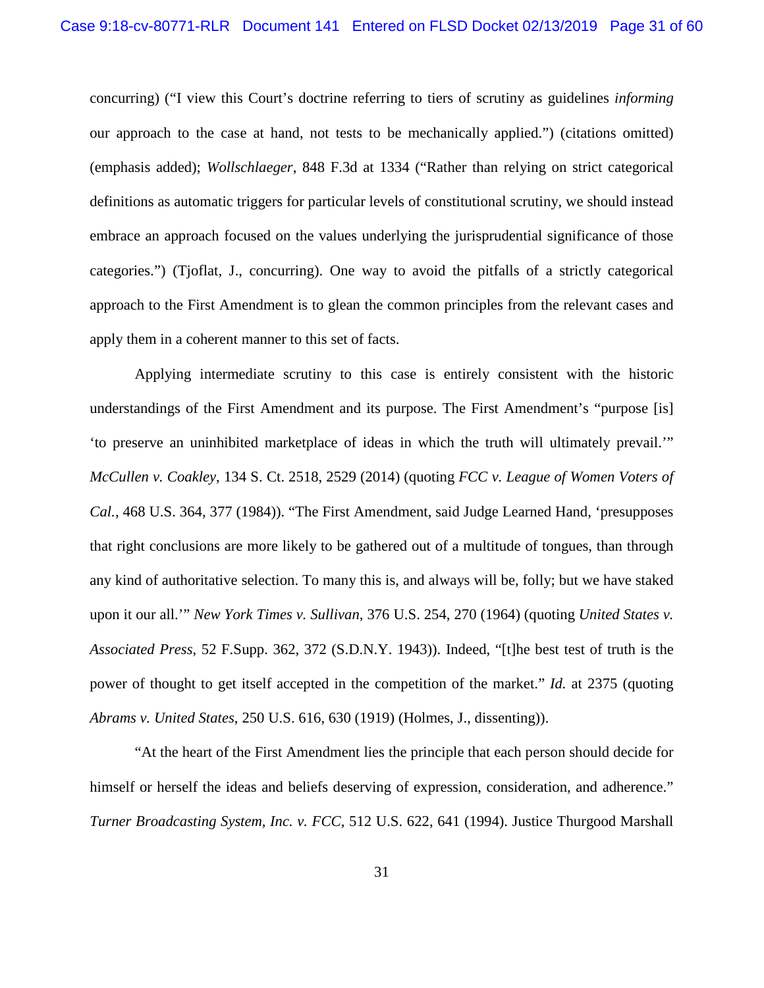concurring) ("I view this Court's doctrine referring to tiers of scrutiny as guidelines *informing* our approach to the case at hand, not tests to be mechanically applied.") (citations omitted) (emphasis added); *Wollschlaeger*, 848 F.3d at 1334 ("Rather than relying on strict categorical definitions as automatic triggers for particular levels of constitutional scrutiny, we should instead embrace an approach focused on the values underlying the jurisprudential significance of those categories.") (Tjoflat, J., concurring). One way to avoid the pitfalls of a strictly categorical approach to the First Amendment is to glean the common principles from the relevant cases and apply them in a coherent manner to this set of facts.

Applying intermediate scrutiny to this case is entirely consistent with the historic understandings of the First Amendment and its purpose. The First Amendment's "purpose [is] 'to preserve an uninhibited marketplace of ideas in which the truth will ultimately prevail.'" *McCullen v. Coakley*, 134 S. Ct. 2518, 2529 (2014) (quoting *FCC v. League of Women Voters of Cal.*, 468 U.S. 364, 377 (1984)). "The First Amendment, said Judge Learned Hand, 'presupposes that right conclusions are more likely to be gathered out of a multitude of tongues, than through any kind of authoritative selection. To many this is, and always will be, folly; but we have staked upon it our all.'" *New York Times v. Sullivan*, 376 U.S. 254, 270 (1964) (quoting *United States v. Associated Press*, 52 F.Supp. 362, 372 (S.D.N.Y. 1943)). Indeed, "[t]he best test of truth is the power of thought to get itself accepted in the competition of the market." *Id.* at 2375 (quoting *Abrams v. United States*, 250 U.S. 616, 630 (1919) (Holmes, J., dissenting)).

"At the heart of the First Amendment lies the principle that each person should decide for himself or herself the ideas and beliefs deserving of expression, consideration, and adherence." *Turner Broadcasting System, Inc. v. FCC*, 512 U.S. 622, 641 (1994). Justice Thurgood Marshall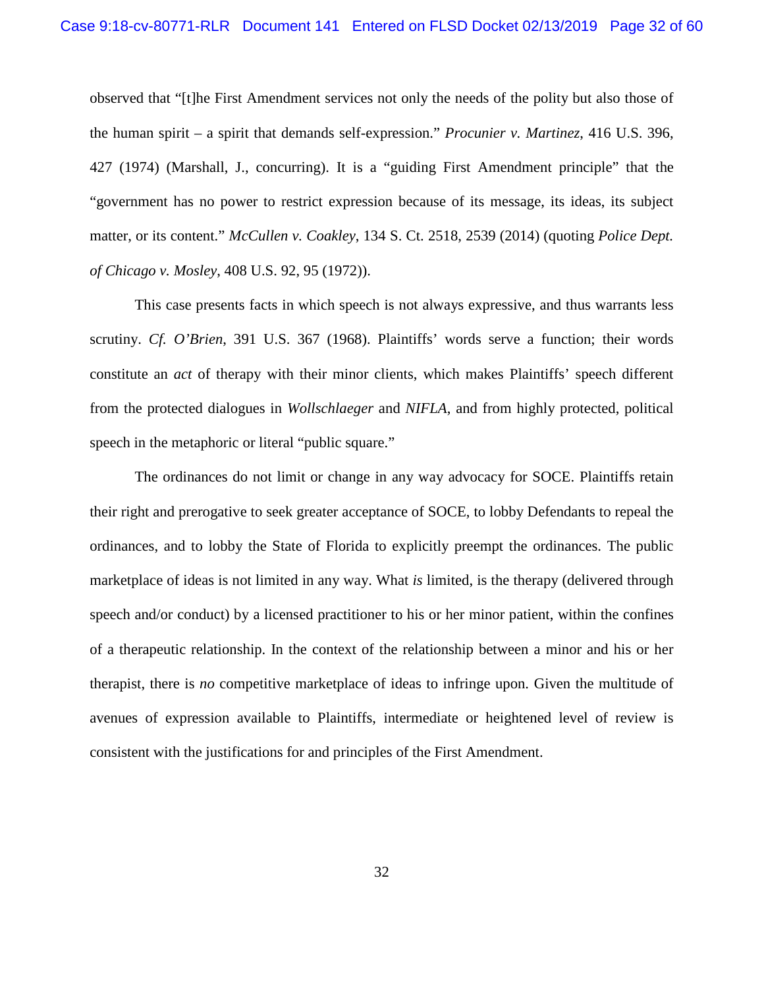observed that "[t]he First Amendment services not only the needs of the polity but also those of the human spirit – a spirit that demands self-expression." *Procunier v. Martinez*, 416 U.S. 396, 427 (1974) (Marshall, J., concurring). It is a "guiding First Amendment principle" that the "government has no power to restrict expression because of its message, its ideas, its subject matter, or its content." *McCullen v. Coakley*, 134 S. Ct. 2518, 2539 (2014) (quoting *Police Dept. of Chicago v. Mosley*, 408 U.S. 92, 95 (1972)).

This case presents facts in which speech is not always expressive, and thus warrants less scrutiny. *Cf. O'Brien*, 391 U.S. 367 (1968). Plaintiffs' words serve a function; their words constitute an *act* of therapy with their minor clients, which makes Plaintiffs' speech different from the protected dialogues in *Wollschlaeger* and *NIFLA*, and from highly protected, political speech in the metaphoric or literal "public square."

The ordinances do not limit or change in any way advocacy for SOCE. Plaintiffs retain their right and prerogative to seek greater acceptance of SOCE, to lobby Defendants to repeal the ordinances, and to lobby the State of Florida to explicitly preempt the ordinances. The public marketplace of ideas is not limited in any way. What *is* limited, is the therapy (delivered through speech and/or conduct) by a licensed practitioner to his or her minor patient, within the confines of a therapeutic relationship. In the context of the relationship between a minor and his or her therapist, there is *no* competitive marketplace of ideas to infringe upon. Given the multitude of avenues of expression available to Plaintiffs, intermediate or heightened level of review is consistent with the justifications for and principles of the First Amendment.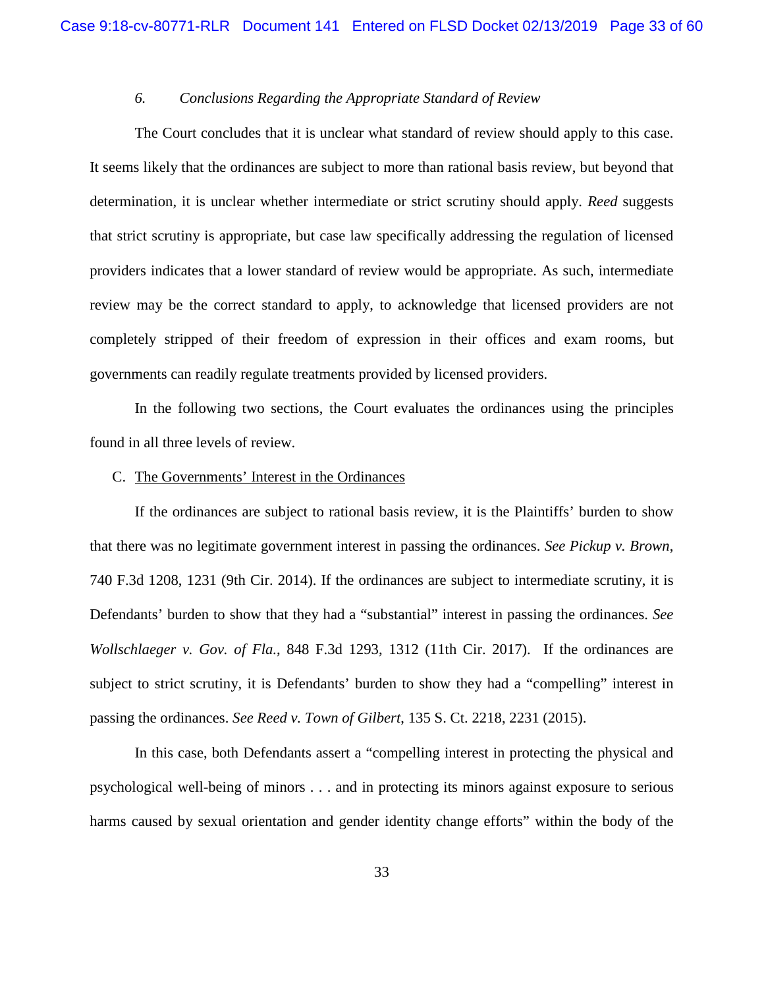# *6. Conclusions Regarding the Appropriate Standard of Review*

The Court concludes that it is unclear what standard of review should apply to this case. It seems likely that the ordinances are subject to more than rational basis review, but beyond that determination, it is unclear whether intermediate or strict scrutiny should apply. *Reed* suggests that strict scrutiny is appropriate, but case law specifically addressing the regulation of licensed providers indicates that a lower standard of review would be appropriate. As such, intermediate review may be the correct standard to apply, to acknowledge that licensed providers are not completely stripped of their freedom of expression in their offices and exam rooms, but governments can readily regulate treatments provided by licensed providers.

In the following two sections, the Court evaluates the ordinances using the principles found in all three levels of review.

#### <span id="page-32-0"></span>C. The Governments' Interest in the Ordinances

If the ordinances are subject to rational basis review, it is the Plaintiffs' burden to show that there was no legitimate government interest in passing the ordinances. *See Pickup v. Brown*, 740 F.3d 1208, 1231 (9th Cir. 2014). If the ordinances are subject to intermediate scrutiny, it is Defendants' burden to show that they had a "substantial" interest in passing the ordinances. *See Wollschlaeger v. Gov. of Fla.*, 848 F.3d 1293, 1312 (11th Cir. 2017). If the ordinances are subject to strict scrutiny, it is Defendants' burden to show they had a "compelling" interest in passing the ordinances. *See Reed v. Town of Gilbert*, 135 S. Ct. 2218, 2231 (2015).

In this case, both Defendants assert a "compelling interest in protecting the physical and psychological well-being of minors . . . and in protecting its minors against exposure to serious harms caused by sexual orientation and gender identity change efforts" within the body of the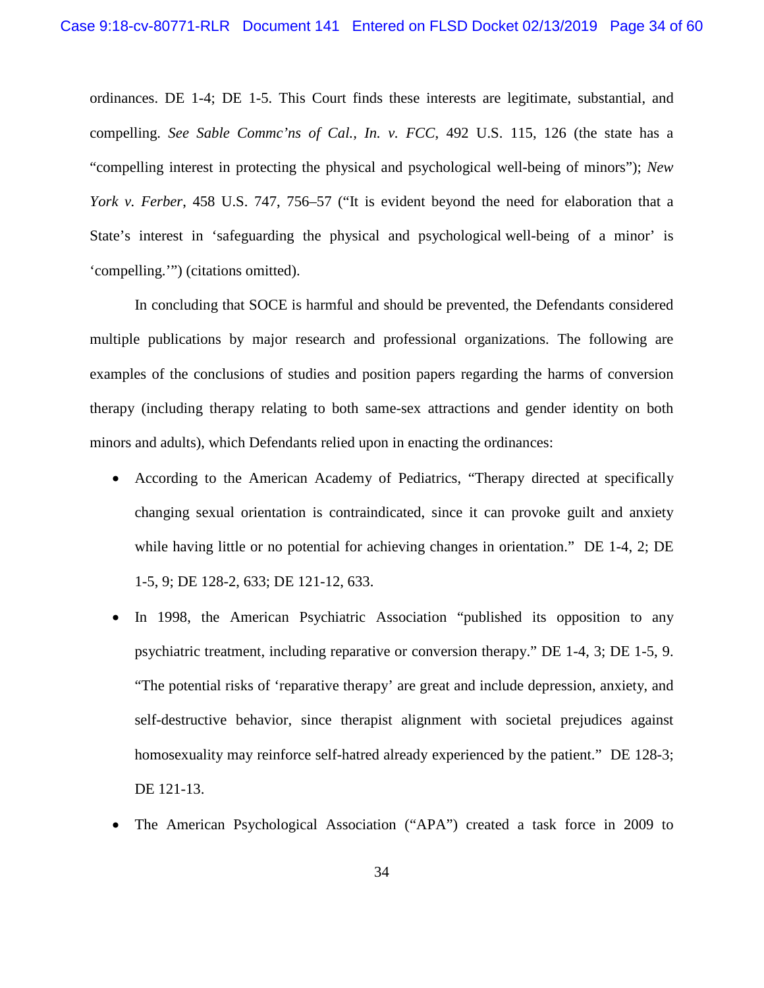ordinances. DE 1-4; DE 1-5. This Court finds these interests are legitimate, substantial, and compelling. *See Sable Commc'ns of Cal., In. v. FCC*, 492 U.S. 115, 126 (the state has a "compelling interest in protecting the physical and psychological well-being of minors"); *New York v. Ferber*, 458 U.S. 747, 756–57 ("It is evident beyond the need for elaboration that a State's interest in 'safeguarding the physical and psychological well-being of a minor' is 'compelling.'") (citations omitted).

In concluding that SOCE is harmful and should be prevented, the Defendants considered multiple publications by major research and professional organizations. The following are examples of the conclusions of studies and position papers regarding the harms of conversion therapy (including therapy relating to both same-sex attractions and gender identity on both minors and adults), which Defendants relied upon in enacting the ordinances:

- According to the American Academy of Pediatrics, "Therapy directed at specifically changing sexual orientation is contraindicated, since it can provoke guilt and anxiety while having little or no potential for achieving changes in orientation." DE 1-4, 2; DE 1-5, 9; DE 128-2, 633; DE 121-12, 633.
- In 1998, the American Psychiatric Association "published its opposition to any psychiatric treatment, including reparative or conversion therapy." DE 1-4, 3; DE 1-5, 9. "The potential risks of 'reparative therapy' are great and include depression, anxiety, and self-destructive behavior, since therapist alignment with societal prejudices against homosexuality may reinforce self-hatred already experienced by the patient." DE 128-3; DE 121-13.
- The American Psychological Association ("APA") created a task force in 2009 to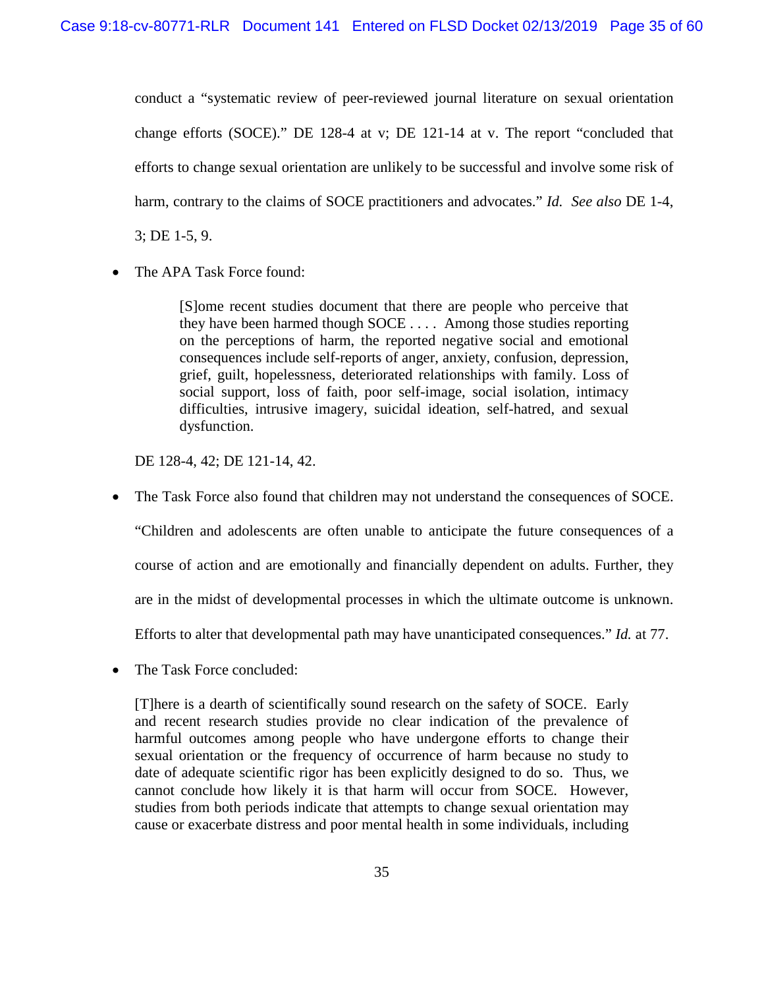conduct a "systematic review of peer-reviewed journal literature on sexual orientation change efforts (SOCE)." DE 128-4 at v; DE 121-14 at v. The report "concluded that efforts to change sexual orientation are unlikely to be successful and involve some risk of harm, contrary to the claims of SOCE practitioners and advocates." *Id. See also* DE 1-4, 3; DE 1-5, 9.

• The APA Task Force found:

[S]ome recent studies document that there are people who perceive that they have been harmed though SOCE . . . . Among those studies reporting on the perceptions of harm, the reported negative social and emotional consequences include self-reports of anger, anxiety, confusion, depression, grief, guilt, hopelessness, deteriorated relationships with family. Loss of social support, loss of faith, poor self-image, social isolation, intimacy difficulties, intrusive imagery, suicidal ideation, self-hatred, and sexual dysfunction.

DE 128-4, 42; DE 121-14, 42.

- The Task Force also found that children may not understand the consequences of SOCE. "Children and adolescents are often unable to anticipate the future consequences of a course of action and are emotionally and financially dependent on adults. Further, they are in the midst of developmental processes in which the ultimate outcome is unknown. Efforts to alter that developmental path may have unanticipated consequences." *Id.* at 77.
- The Task Force concluded:

[T]here is a dearth of scientifically sound research on the safety of SOCE. Early and recent research studies provide no clear indication of the prevalence of harmful outcomes among people who have undergone efforts to change their sexual orientation or the frequency of occurrence of harm because no study to date of adequate scientific rigor has been explicitly designed to do so. Thus, we cannot conclude how likely it is that harm will occur from SOCE. However, studies from both periods indicate that attempts to change sexual orientation may cause or exacerbate distress and poor mental health in some individuals, including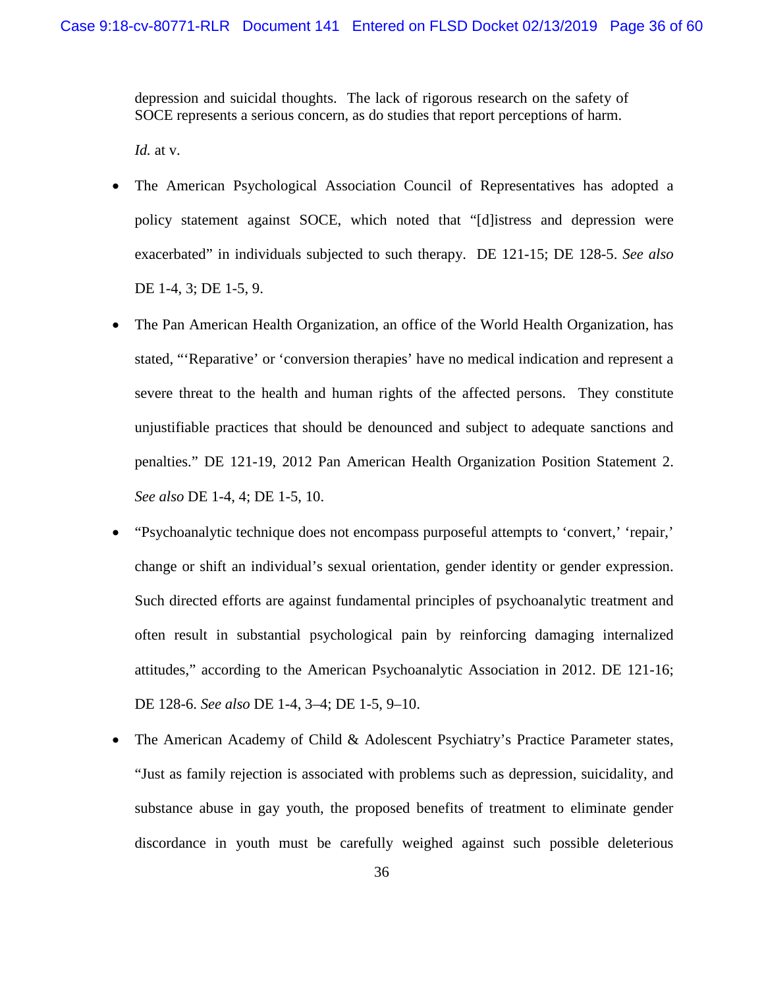depression and suicidal thoughts. The lack of rigorous research on the safety of SOCE represents a serious concern, as do studies that report perceptions of harm.

*Id.* at v.

- The American Psychological Association Council of Representatives has adopted a policy statement against SOCE, which noted that "[d]istress and depression were exacerbated" in individuals subjected to such therapy. DE 121-15; DE 128-5. *See also* DE 1-4, 3; DE 1-5, 9.
- The Pan American Health Organization, an office of the World Health Organization, has stated, "'Reparative' or 'conversion therapies' have no medical indication and represent a severe threat to the health and human rights of the affected persons. They constitute unjustifiable practices that should be denounced and subject to adequate sanctions and penalties." DE 121-19, 2012 Pan American Health Organization Position Statement 2. *See also* DE 1-4, 4; DE 1-5, 10.
- "Psychoanalytic technique does not encompass purposeful attempts to 'convert,' 'repair,' change or shift an individual's sexual orientation, gender identity or gender expression. Such directed efforts are against fundamental principles of psychoanalytic treatment and often result in substantial psychological pain by reinforcing damaging internalized attitudes," according to the American Psychoanalytic Association in 2012. DE 121-16; DE 128-6. *See also* DE 1-4, 3–4; DE 1-5, 9–10.
- The American Academy of Child & Adolescent Psychiatry's Practice Parameter states, "Just as family rejection is associated with problems such as depression, suicidality, and substance abuse in gay youth, the proposed benefits of treatment to eliminate gender discordance in youth must be carefully weighed against such possible deleterious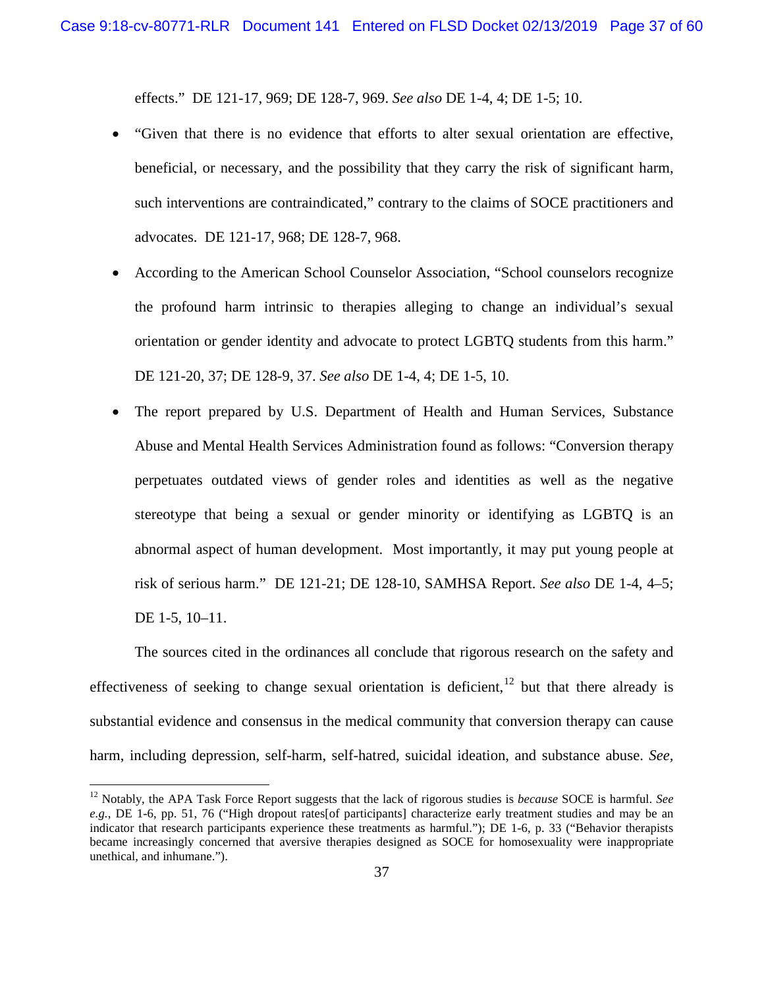effects." DE 121-17, 969; DE 128-7, 969. *See also* DE 1-4, 4; DE 1-5; 10.

- "Given that there is no evidence that efforts to alter sexual orientation are effective, beneficial, or necessary, and the possibility that they carry the risk of significant harm, such interventions are contraindicated," contrary to the claims of SOCE practitioners and advocates. DE 121-17, 968; DE 128-7, 968.
- According to the American School Counselor Association, "School counselors recognize the profound harm intrinsic to therapies alleging to change an individual's sexual orientation or gender identity and advocate to protect LGBTQ students from this harm." DE 121-20, 37; DE 128-9, 37. *See also* DE 1-4, 4; DE 1-5, 10.
- The report prepared by U.S. Department of Health and Human Services, Substance Abuse and Mental Health Services Administration found as follows: "Conversion therapy perpetuates outdated views of gender roles and identities as well as the negative stereotype that being a sexual or gender minority or identifying as LGBTQ is an abnormal aspect of human development. Most importantly, it may put young people at risk of serious harm." DE 121-21; DE 128-10, SAMHSA Report. *See also* DE 1-4, 4–5; DE 1-5, 10–11.

The sources cited in the ordinances all conclude that rigorous research on the safety and effectiveness of seeking to change sexual orientation is deficient,  $^{12}$  $^{12}$  $^{12}$  but that there already is substantial evidence and consensus in the medical community that conversion therapy can cause harm, including depression, self-harm, self-hatred, suicidal ideation, and substance abuse. *See,* 

<span id="page-36-0"></span> <sup>12</sup> Notably, the APA Task Force Report suggests that the lack of rigorous studies is *because* SOCE is harmful. *See e.g.*, DE 1-6, pp. 51, 76 ("High dropout rates[of participants] characterize early treatment studies and may be an indicator that research participants experience these treatments as harmful."); DE 1-6, p. 33 ("Behavior therapists became increasingly concerned that aversive therapies designed as SOCE for homosexuality were inappropriate unethical, and inhumane.").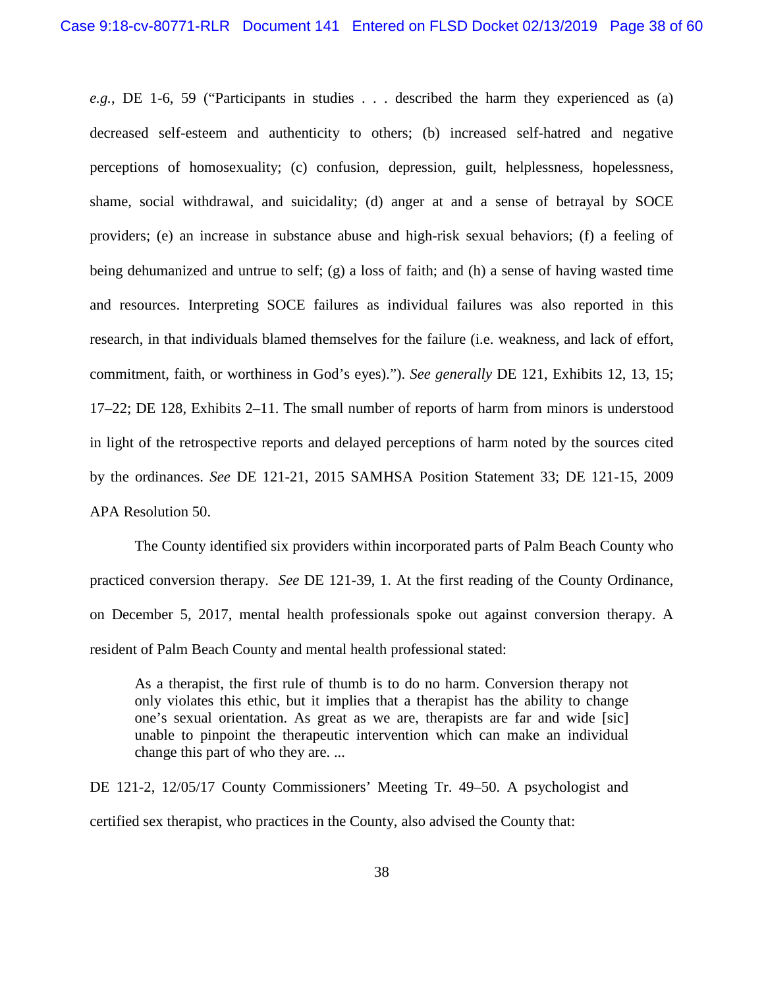*e.g.*, DE 1-6, 59 ("Participants in studies . . . described the harm they experienced as (a) decreased self-esteem and authenticity to others; (b) increased self-hatred and negative perceptions of homosexuality; (c) confusion, depression, guilt, helplessness, hopelessness, shame, social withdrawal, and suicidality; (d) anger at and a sense of betrayal by SOCE providers; (e) an increase in substance abuse and high-risk sexual behaviors; (f) a feeling of being dehumanized and untrue to self; (g) a loss of faith; and (h) a sense of having wasted time and resources. Interpreting SOCE failures as individual failures was also reported in this research, in that individuals blamed themselves for the failure (i.e. weakness, and lack of effort, commitment, faith, or worthiness in God's eyes)."). *See generally* DE 121, Exhibits 12, 13, 15; 17–22; DE 128, Exhibits 2–11. The small number of reports of harm from minors is understood in light of the retrospective reports and delayed perceptions of harm noted by the sources cited by the ordinances. *See* DE 121-21, 2015 SAMHSA Position Statement 33; DE 121-15, 2009 APA Resolution 50.

The County identified six providers within incorporated parts of Palm Beach County who practiced conversion therapy. *See* DE 121-39, 1. At the first reading of the County Ordinance, on December 5, 2017, mental health professionals spoke out against conversion therapy. A resident of Palm Beach County and mental health professional stated:

As a therapist, the first rule of thumb is to do no harm. Conversion therapy not only violates this ethic, but it implies that a therapist has the ability to change one's sexual orientation. As great as we are, therapists are far and wide [sic] unable to pinpoint the therapeutic intervention which can make an individual change this part of who they are. ...

DE 121-2, 12/05/17 County Commissioners' Meeting Tr. 49–50. A psychologist and certified sex therapist, who practices in the County, also advised the County that: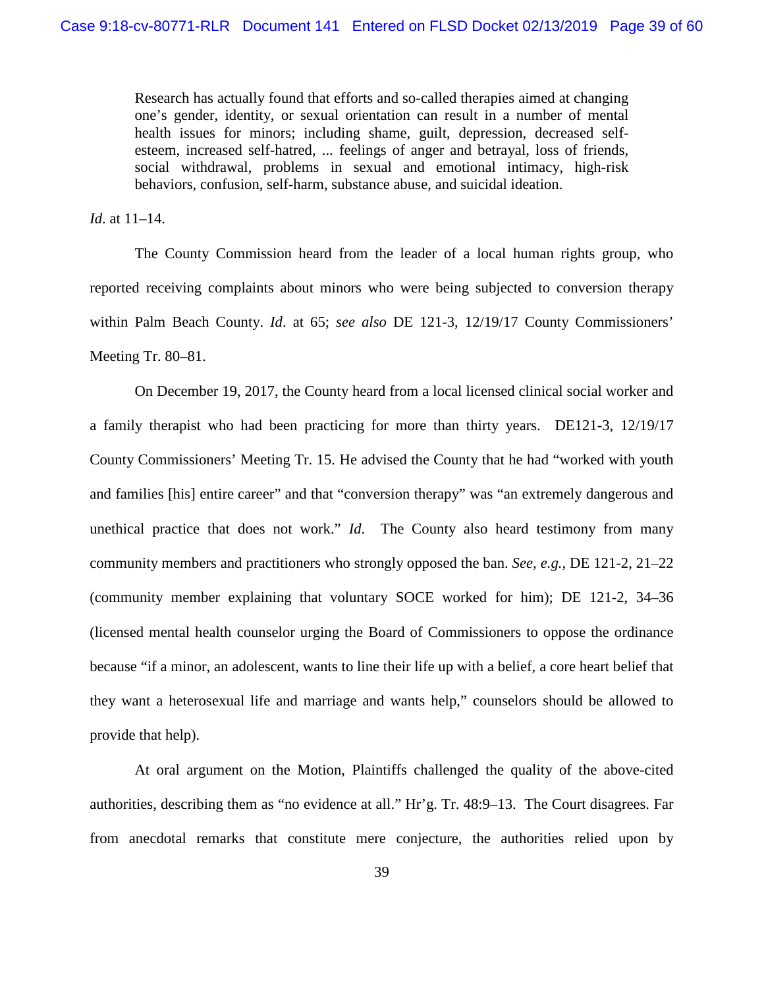Research has actually found that efforts and so-called therapies aimed at changing one's gender, identity, or sexual orientation can result in a number of mental health issues for minors; including shame, guilt, depression, decreased selfesteem, increased self-hatred, ... feelings of anger and betrayal, loss of friends, social withdrawal, problems in sexual and emotional intimacy, high-risk behaviors, confusion, self-harm, substance abuse, and suicidal ideation.

*Id*. at 11–14.

The County Commission heard from the leader of a local human rights group, who reported receiving complaints about minors who were being subjected to conversion therapy within Palm Beach County. *Id*. at 65; *see also* DE 121-3, 12/19/17 County Commissioners' Meeting Tr. 80–81.

On December 19, 2017, the County heard from a local licensed clinical social worker and a family therapist who had been practicing for more than thirty years. DE121-3, 12/19/17 County Commissioners' Meeting Tr. 15. He advised the County that he had "worked with youth and families [his] entire career" and that "conversion therapy" was "an extremely dangerous and unethical practice that does not work." *Id*. The County also heard testimony from many community members and practitioners who strongly opposed the ban. *See, e.g.*, DE 121-2, 21–22 (community member explaining that voluntary SOCE worked for him); DE 121-2, 34–36 (licensed mental health counselor urging the Board of Commissioners to oppose the ordinance because "if a minor, an adolescent, wants to line their life up with a belief, a core heart belief that they want a heterosexual life and marriage and wants help," counselors should be allowed to provide that help).

At oral argument on the Motion, Plaintiffs challenged the quality of the above-cited authorities, describing them as "no evidence at all." Hr'g. Tr. 48:9–13. The Court disagrees. Far from anecdotal remarks that constitute mere conjecture, the authorities relied upon by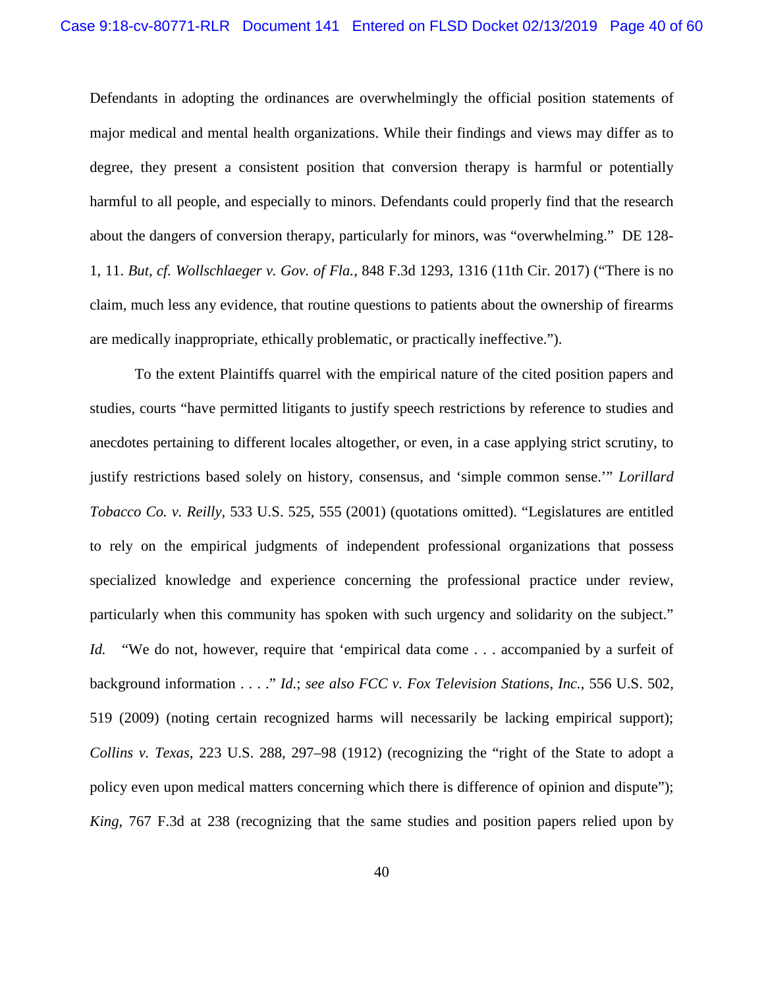Defendants in adopting the ordinances are overwhelmingly the official position statements of major medical and mental health organizations. While their findings and views may differ as to degree, they present a consistent position that conversion therapy is harmful or potentially harmful to all people, and especially to minors. Defendants could properly find that the research about the dangers of conversion therapy, particularly for minors, was "overwhelming." DE 128- 1, 11. *But, cf. Wollschlaeger v. Gov. of Fla.*, 848 F.3d 1293, 1316 (11th Cir. 2017) ("There is no claim, much less any evidence, that routine questions to patients about the ownership of firearms are medically inappropriate, ethically problematic, or practically ineffective.").

To the extent Plaintiffs quarrel with the empirical nature of the cited position papers and studies, courts "have permitted litigants to justify speech restrictions by reference to studies and anecdotes pertaining to different locales altogether, or even, in a case applying strict scrutiny, to justify restrictions based solely on history, consensus, and 'simple common sense.'" *Lorillard Tobacco Co. v. Reilly*, 533 U.S. 525, 555 (2001) (quotations omitted). "Legislatures are entitled to rely on the empirical judgments of independent professional organizations that possess specialized knowledge and experience concerning the professional practice under review, particularly when this community has spoken with such urgency and solidarity on the subject." *Id.* "We do not, however, require that 'empirical data come . . . accompanied by a surfeit of background information . . . ." *Id.*; *see also FCC v. Fox Television Stations, Inc.*, 556 U.S. 502, 519 (2009) (noting certain recognized harms will necessarily be lacking empirical support); *Collins v. Texas*, 223 U.S. 288, 297–98 (1912) (recognizing the "right of the State to adopt a policy even upon medical matters concerning which there is difference of opinion and dispute"); *King*, 767 F.3d at 238 (recognizing that the same studies and position papers relied upon by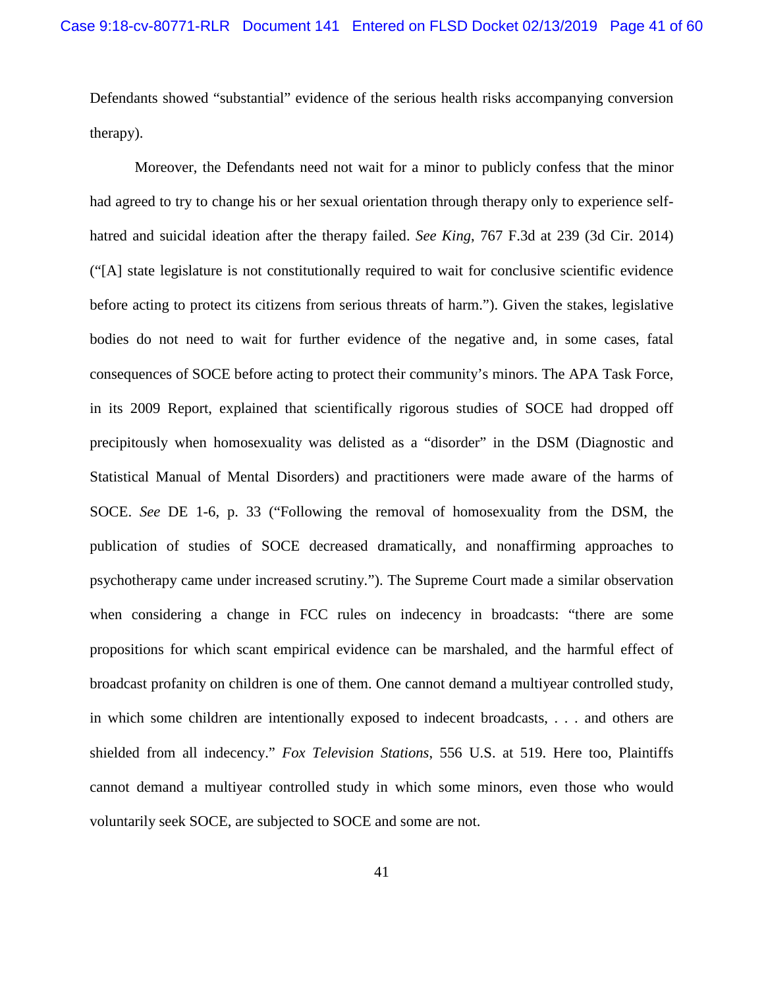Defendants showed "substantial" evidence of the serious health risks accompanying conversion therapy).

Moreover, the Defendants need not wait for a minor to publicly confess that the minor had agreed to try to change his or her sexual orientation through therapy only to experience selfhatred and suicidal ideation after the therapy failed. *See King*, 767 F.3d at 239 (3d Cir. 2014) ("[A] state legislature is not constitutionally required to wait for conclusive scientific evidence before acting to protect its citizens from serious threats of harm."). Given the stakes, legislative bodies do not need to wait for further evidence of the negative and, in some cases, fatal consequences of SOCE before acting to protect their community's minors. The APA Task Force, in its 2009 Report, explained that scientifically rigorous studies of SOCE had dropped off precipitously when homosexuality was delisted as a "disorder" in the DSM (Diagnostic and Statistical Manual of Mental Disorders) and practitioners were made aware of the harms of SOCE. *See* DE 1-6, p. 33 ("Following the removal of homosexuality from the DSM, the publication of studies of SOCE decreased dramatically, and nonaffirming approaches to psychotherapy came under increased scrutiny."). The Supreme Court made a similar observation when considering a change in FCC rules on indecency in broadcasts: "there are some propositions for which scant empirical evidence can be marshaled, and the harmful effect of broadcast profanity on children is one of them. One cannot demand a multiyear controlled study, in which some children are intentionally exposed to indecent broadcasts, . . . and others are shielded from all indecency." *Fox Television Stations*, 556 U.S. at 519. Here too, Plaintiffs cannot demand a multiyear controlled study in which some minors, even those who would voluntarily seek SOCE, are subjected to SOCE and some are not.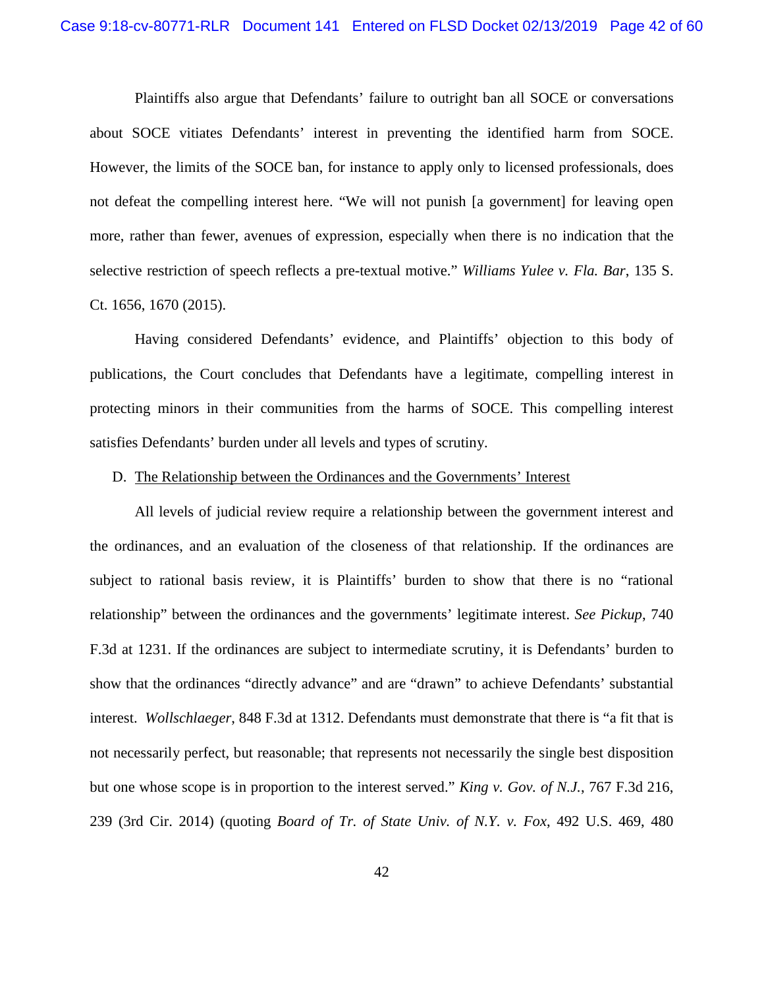Plaintiffs also argue that Defendants' failure to outright ban all SOCE or conversations about SOCE vitiates Defendants' interest in preventing the identified harm from SOCE. However, the limits of the SOCE ban, for instance to apply only to licensed professionals, does not defeat the compelling interest here. "We will not punish [a government] for leaving open more, rather than fewer, avenues of expression, especially when there is no indication that the selective restriction of speech reflects a pre-textual motive." *Williams Yulee v. Fla. Bar*, 135 S. Ct. 1656, 1670 (2015).

Having considered Defendants' evidence, and Plaintiffs' objection to this body of publications, the Court concludes that Defendants have a legitimate, compelling interest in protecting minors in their communities from the harms of SOCE. This compelling interest satisfies Defendants' burden under all levels and types of scrutiny.

#### <span id="page-41-0"></span>D. The Relationship between the Ordinances and the Governments' Interest

All levels of judicial review require a relationship between the government interest and the ordinances, and an evaluation of the closeness of that relationship. If the ordinances are subject to rational basis review, it is Plaintiffs' burden to show that there is no "rational relationship" between the ordinances and the governments' legitimate interest. *See Pickup*, 740 F.3d at 1231. If the ordinances are subject to intermediate scrutiny, it is Defendants' burden to show that the ordinances "directly advance" and are "drawn" to achieve Defendants' substantial interest. *Wollschlaeger*, 848 F.3d at 1312. Defendants must demonstrate that there is "a fit that is not necessarily perfect, but reasonable; that represents not necessarily the single best disposition but one whose scope is in proportion to the interest served." *King v. Gov. of N.J.*, 767 F.3d 216, 239 (3rd Cir. 2014) (quoting *Board of Tr. of State Univ. of N.Y. v. Fox*, 492 U.S. 469, 480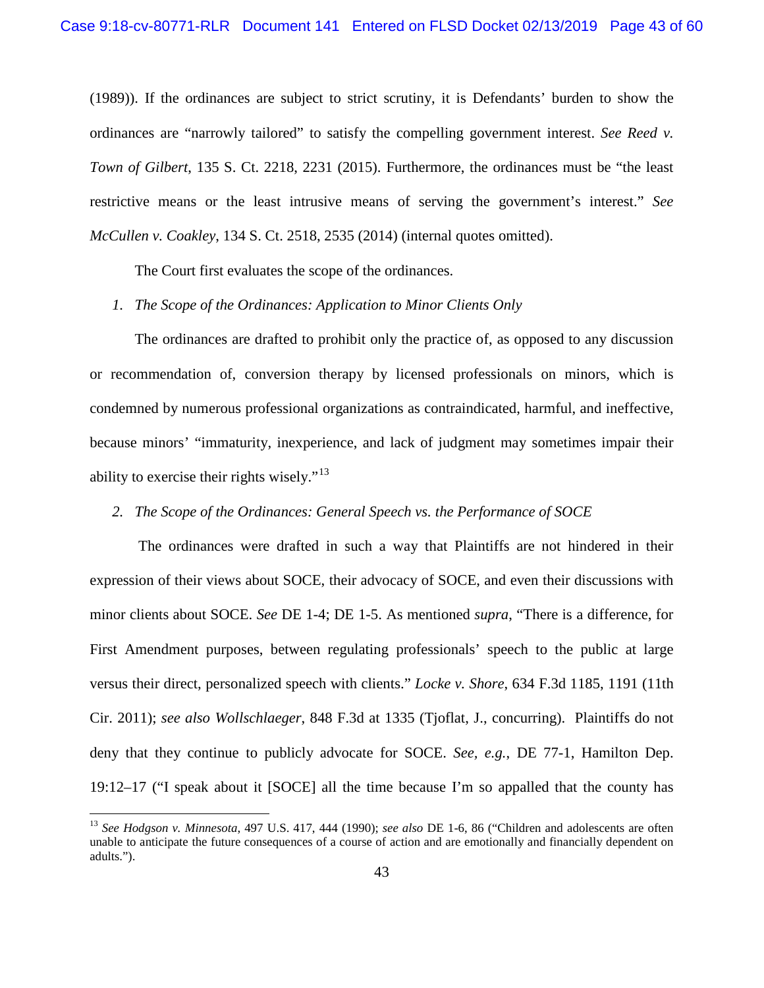(1989)). If the ordinances are subject to strict scrutiny, it is Defendants' burden to show the ordinances are "narrowly tailored" to satisfy the compelling government interest. *See Reed v. Town of Gilbert*, 135 S. Ct. 2218, 2231 (2015). Furthermore, the ordinances must be "the least restrictive means or the least intrusive means of serving the government's interest." *See McCullen v. Coakley*, 134 S. Ct. 2518, 2535 (2014) (internal quotes omitted).

The Court first evaluates the scope of the ordinances.

## *1. The Scope of the Ordinances: Application to Minor Clients Only*

The ordinances are drafted to prohibit only the practice of, as opposed to any discussion or recommendation of, conversion therapy by licensed professionals on minors, which is condemned by numerous professional organizations as contraindicated, harmful, and ineffective, because minors' "immaturity, inexperience, and lack of judgment may sometimes impair their ability to exercise their rights wisely."<sup>[13](#page-42-0)</sup>

## *2. The Scope of the Ordinances: General Speech vs. the Performance of SOCE*

The ordinances were drafted in such a way that Plaintiffs are not hindered in their expression of their views about SOCE, their advocacy of SOCE, and even their discussions with minor clients about SOCE. *See* DE 1-4; DE 1-5. As mentioned *supra*, "There is a difference, for First Amendment purposes, between regulating professionals' speech to the public at large versus their direct, personalized speech with clients." *Locke v. Shore*, 634 F.3d 1185, 1191 (11th Cir. 2011); *see also Wollschlaeger*, 848 F.3d at 1335 (Tjoflat, J., concurring). Plaintiffs do not deny that they continue to publicly advocate for SOCE. *See, e.g.*, DE 77-1, Hamilton Dep. 19:12–17 ("I speak about it [SOCE] all the time because I'm so appalled that the county has

<span id="page-42-0"></span> <sup>13</sup> *See Hodgson v. Minnesota*, 497 U.S. 417, 444 (1990); *see also* DE 1-6, 86 ("Children and adolescents are often unable to anticipate the future consequences of a course of action and are emotionally and financially dependent on adults.").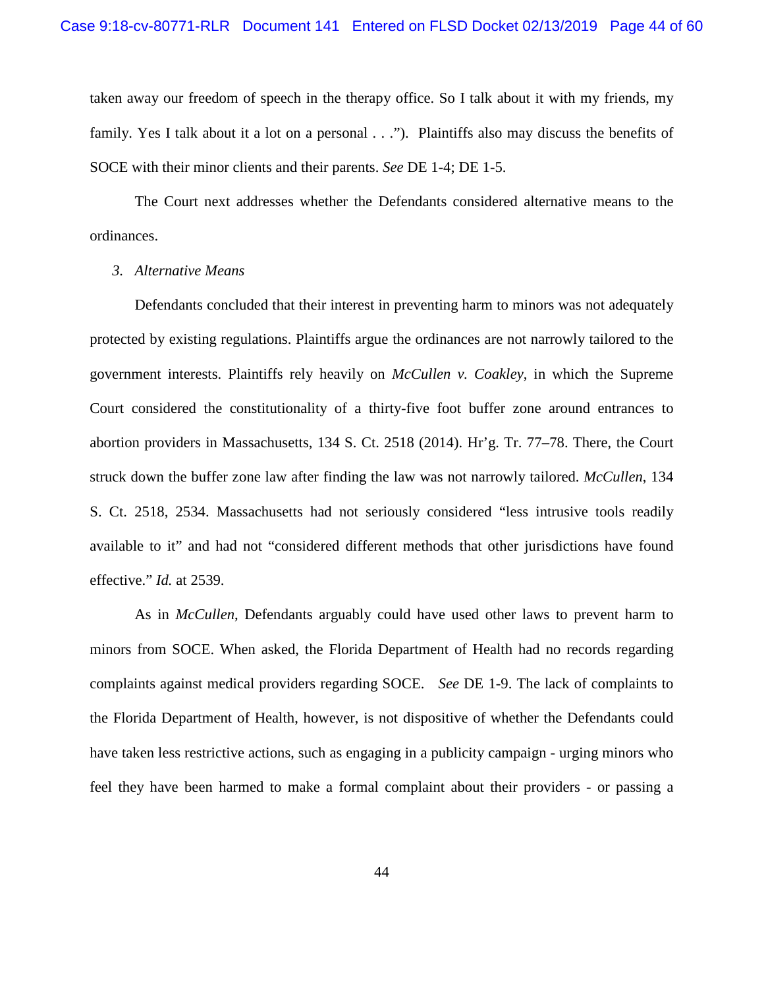taken away our freedom of speech in the therapy office. So I talk about it with my friends, my family. Yes I talk about it a lot on a personal . . ."). Plaintiffs also may discuss the benefits of SOCE with their minor clients and their parents. *See* DE 1-4; DE 1-5.

The Court next addresses whether the Defendants considered alternative means to the ordinances.

## *3. Alternative Means*

Defendants concluded that their interest in preventing harm to minors was not adequately protected by existing regulations. Plaintiffs argue the ordinances are not narrowly tailored to the government interests. Plaintiffs rely heavily on *McCullen v. Coakley*, in which the Supreme Court considered the constitutionality of a thirty-five foot buffer zone around entrances to abortion providers in Massachusetts, 134 S. Ct. 2518 (2014). Hr'g. Tr. 77–78. There, the Court struck down the buffer zone law after finding the law was not narrowly tailored. *McCullen*, 134 S. Ct. 2518, 2534. Massachusetts had not seriously considered "less intrusive tools readily available to it" and had not "considered different methods that other jurisdictions have found effective." *Id.* at 2539.

As in *McCullen*, Defendants arguably could have used other laws to prevent harm to minors from SOCE. When asked, the Florida Department of Health had no records regarding complaints against medical providers regarding SOCE. *See* DE 1-9. The lack of complaints to the Florida Department of Health, however, is not dispositive of whether the Defendants could have taken less restrictive actions, such as engaging in a publicity campaign - urging minors who feel they have been harmed to make a formal complaint about their providers - or passing a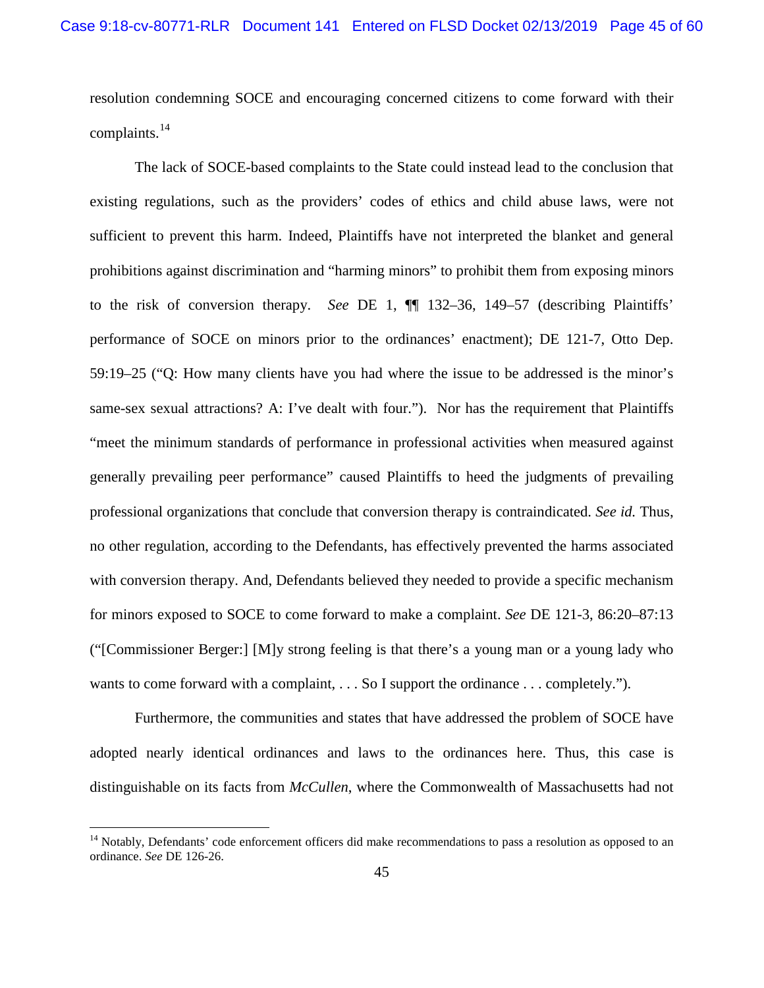resolution condemning SOCE and encouraging concerned citizens to come forward with their complaints.[14](#page-44-0)

The lack of SOCE-based complaints to the State could instead lead to the conclusion that existing regulations, such as the providers' codes of ethics and child abuse laws, were not sufficient to prevent this harm. Indeed, Plaintiffs have not interpreted the blanket and general prohibitions against discrimination and "harming minors" to prohibit them from exposing minors to the risk of conversion therapy. *See* DE 1, ¶¶ 132–36, 149–57 (describing Plaintiffs' performance of SOCE on minors prior to the ordinances' enactment); DE 121-7, Otto Dep. 59:19–25 ("Q: How many clients have you had where the issue to be addressed is the minor's same-sex sexual attractions? A: I've dealt with four."). Nor has the requirement that Plaintiffs "meet the minimum standards of performance in professional activities when measured against generally prevailing peer performance" caused Plaintiffs to heed the judgments of prevailing professional organizations that conclude that conversion therapy is contraindicated. *See id.* Thus, no other regulation, according to the Defendants, has effectively prevented the harms associated with conversion therapy. And, Defendants believed they needed to provide a specific mechanism for minors exposed to SOCE to come forward to make a complaint. *See* DE 121-3, 86:20–87:13 ("[Commissioner Berger:] [M]y strong feeling is that there's a young man or a young lady who wants to come forward with a complaint, ... So I support the ordinance ... completely.").

Furthermore, the communities and states that have addressed the problem of SOCE have adopted nearly identical ordinances and laws to the ordinances here. Thus, this case is distinguishable on its facts from *McCullen*, where the Commonwealth of Massachusetts had not

<span id="page-44-0"></span><sup>&</sup>lt;sup>14</sup> Notably, Defendants' code enforcement officers did make recommendations to pass a resolution as opposed to an ordinance. *See* DE 126-26.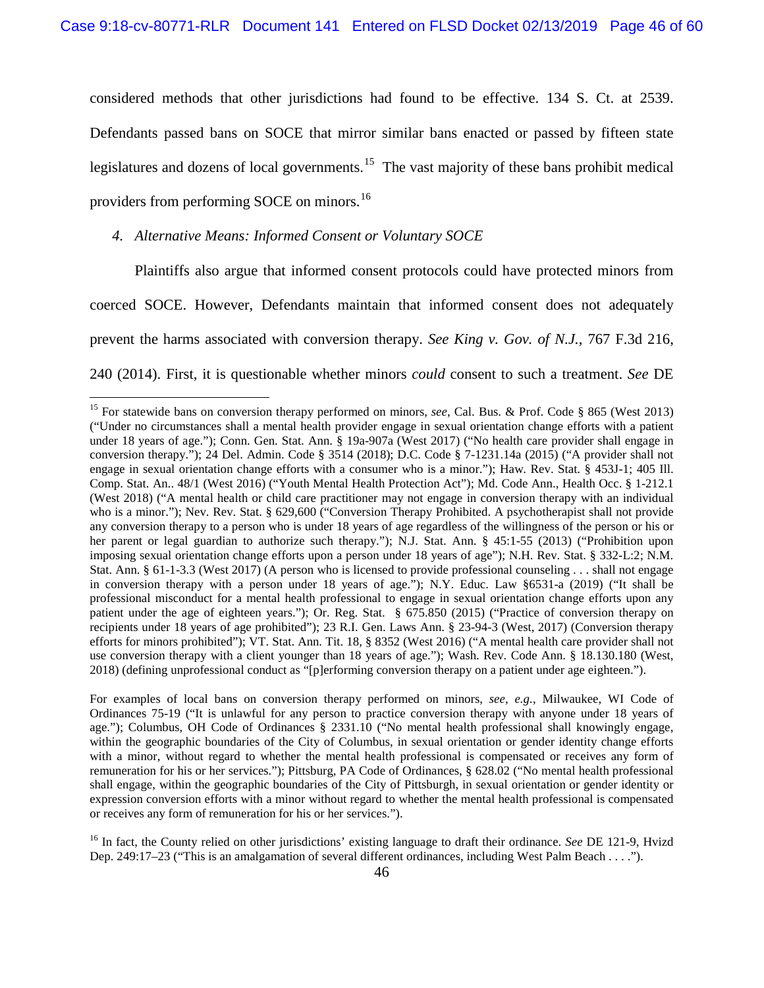considered methods that other jurisdictions had found to be effective. 134 S. Ct. at 2539. Defendants passed bans on SOCE that mirror similar bans enacted or passed by fifteen state legislatures and dozens of local governments.<sup>[15](#page-45-0)</sup> The vast majority of these bans prohibit medical providers from performing SOCE on minors.<sup>[16](#page-45-1)</sup>

## *4. Alternative Means: Informed Consent or Voluntary SOCE*

Plaintiffs also argue that informed consent protocols could have protected minors from coerced SOCE. However, Defendants maintain that informed consent does not adequately prevent the harms associated with conversion therapy. *See King v. Gov. of N.J.*, 767 F.3d 216, 240 (2014). First, it is questionable whether minors *could* consent to such a treatment. *See* DE

For examples of local bans on conversion therapy performed on minors, *see, e.g.*, Milwaukee, WI Code of Ordinances 75-19 ("It is unlawful for any person to practice conversion therapy with anyone under 18 years of age."); Columbus, OH Code of Ordinances § 2331.10 ("No mental health professional shall knowingly engage, within the geographic boundaries of the City of Columbus, in sexual orientation or gender identity change efforts with a minor, without regard to whether the mental health professional is compensated or receives any form of remuneration for his or her services."); Pittsburg, PA Code of Ordinances, § 628.02 ("No mental health professional shall engage, within the geographic boundaries of the City of Pittsburgh, in sexual orientation or gender identity or expression conversion efforts with a minor without regard to whether the mental health professional is compensated or receives any form of remuneration for his or her services.").

<span id="page-45-1"></span><sup>16</sup> In fact, the County relied on other jurisdictions' existing language to draft their ordinance. *See* DE 121-9, Hvizd Dep. 249:17–23 ("This is an amalgamation of several different ordinances, including West Palm Beach . . . .").

<span id="page-45-0"></span><sup>&</sup>lt;sup>15</sup> For statewide bans on conversion therapy performed on minors, see, Cal. Bus. & Prof. Code § 865 (West 2013) ("Under no circumstances shall a mental health provider engage in sexual orientation change efforts with a patient under 18 years of age."); Conn. Gen. Stat. Ann. § 19a-907a (West 2017) ("No health care provider shall engage in conversion therapy."); 24 Del. Admin. Code § 3514 (2018); D.C. Code § 7-1231.14a (2015) ("A provider shall not engage in sexual orientation change efforts with a consumer who is a minor."); Haw. Rev. Stat. § 453J-1; 405 Ill. Comp. Stat. An.. 48/1 (West 2016) ("Youth Mental Health Protection Act"); Md. Code Ann., Health Occ. § 1-212.1 (West 2018) ("A mental health or child care practitioner may not engage in conversion therapy with an individual who is a minor."); Nev. Rev. Stat. § 629,600 ("Conversion Therapy Prohibited. A psychotherapist shall not provide any conversion therapy to a person who is under 18 years of age regardless of the willingness of the person or his or her parent or legal guardian to authorize such therapy."); N.J. Stat. Ann. § 45:1-55 (2013) ("Prohibition upon imposing sexual orientation change efforts upon a person under 18 years of age"); N.H. Rev. Stat. § 332-L:2; N.M. Stat. Ann. § 61-1-3.3 (West 2017) (A person who is licensed to provide professional counseling . . . shall not engage in conversion therapy with a person under 18 years of age."); N.Y. Educ. Law §6531-a (2019) ("It shall be professional misconduct for a mental health professional to engage in sexual orientation change efforts upon any patient under the age of eighteen years."); Or. Reg. Stat. § 675.850 (2015) ("Practice of conversion therapy on recipients under 18 years of age prohibited"); 23 R.I. Gen. Laws Ann. § 23-94-3 (West, 2017) (Conversion therapy efforts for minors prohibited"); VT. Stat. Ann. Tit. 18, § 8352 (West 2016) ("A mental health care provider shall not use conversion therapy with a client younger than 18 years of age."); Wash. Rev. Code Ann. § 18.130.180 (West, 2018) (defining unprofessional conduct as "[p]erforming conversion therapy on a patient under age eighteen.").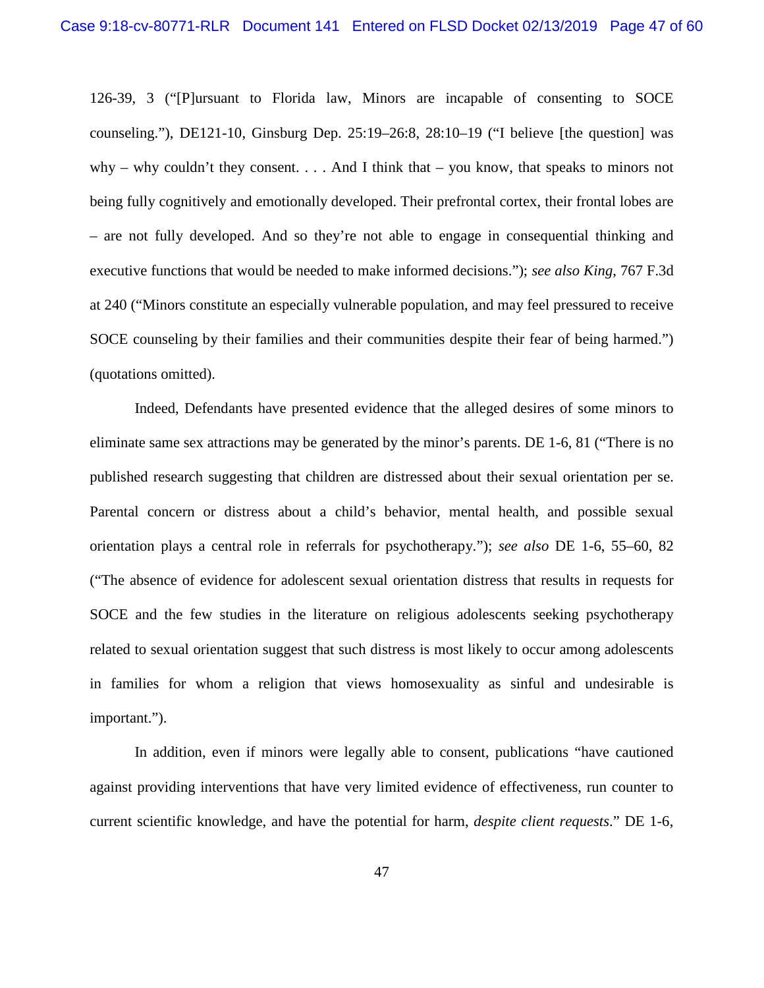126-39, 3 ("[P]ursuant to Florida law, Minors are incapable of consenting to SOCE counseling."), DE121-10, Ginsburg Dep.  $25:19-26:8$ ,  $28:10-19$  ("I believe [the question] was why – why couldn't they consent.  $\ldots$  And I think that – you know, that speaks to minors not being fully cognitively and emotionally developed. Their prefrontal cortex, their frontal lobes are – are not fully developed. And so they're not able to engage in consequential thinking and executive functions that would be needed to make informed decisions."); *see also King*, 767 F.3d at 240 ("Minors constitute an especially vulnerable population, and may feel pressured to receive SOCE counseling by their families and their communities despite their fear of being harmed.") (quotations omitted).

Indeed, Defendants have presented evidence that the alleged desires of some minors to eliminate same sex attractions may be generated by the minor's parents. DE 1-6, 81 ("There is no published research suggesting that children are distressed about their sexual orientation per se. Parental concern or distress about a child's behavior, mental health, and possible sexual orientation plays a central role in referrals for psychotherapy."); *see also* DE 1-6, 55–60, 82 ("The absence of evidence for adolescent sexual orientation distress that results in requests for SOCE and the few studies in the literature on religious adolescents seeking psychotherapy related to sexual orientation suggest that such distress is most likely to occur among adolescents in families for whom a religion that views homosexuality as sinful and undesirable is important.").

In addition, even if minors were legally able to consent, publications "have cautioned against providing interventions that have very limited evidence of effectiveness, run counter to current scientific knowledge, and have the potential for harm, *despite client requests*." DE 1-6,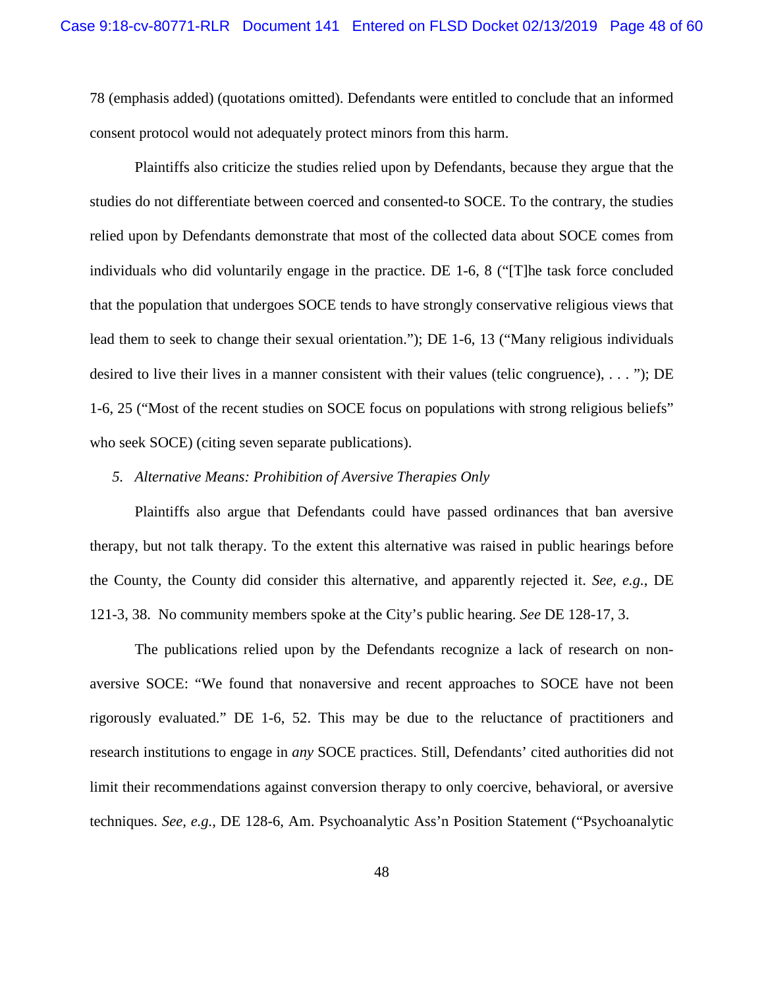78 (emphasis added) (quotations omitted). Defendants were entitled to conclude that an informed consent protocol would not adequately protect minors from this harm.

Plaintiffs also criticize the studies relied upon by Defendants, because they argue that the studies do not differentiate between coerced and consented-to SOCE. To the contrary, the studies relied upon by Defendants demonstrate that most of the collected data about SOCE comes from individuals who did voluntarily engage in the practice. DE 1-6, 8 ("[T]he task force concluded that the population that undergoes SOCE tends to have strongly conservative religious views that lead them to seek to change their sexual orientation."); DE 1-6, 13 ("Many religious individuals desired to live their lives in a manner consistent with their values (telic congruence), ..."); DE 1-6, 25 ("Most of the recent studies on SOCE focus on populations with strong religious beliefs" who seek SOCE) (citing seven separate publications).

#### *5. Alternative Means: Prohibition of Aversive Therapies Only*

Plaintiffs also argue that Defendants could have passed ordinances that ban aversive therapy, but not talk therapy. To the extent this alternative was raised in public hearings before the County, the County did consider this alternative, and apparently rejected it. *See, e.g.*, DE 121-3, 38. No community members spoke at the City's public hearing. *See* DE 128-17, 3.

The publications relied upon by the Defendants recognize a lack of research on nonaversive SOCE: "We found that nonaversive and recent approaches to SOCE have not been rigorously evaluated." DE 1-6, 52. This may be due to the reluctance of practitioners and research institutions to engage in *any* SOCE practices. Still, Defendants' cited authorities did not limit their recommendations against conversion therapy to only coercive, behavioral, or aversive techniques. *See, e.g.*, DE 128-6, Am. Psychoanalytic Ass'n Position Statement ("Psychoanalytic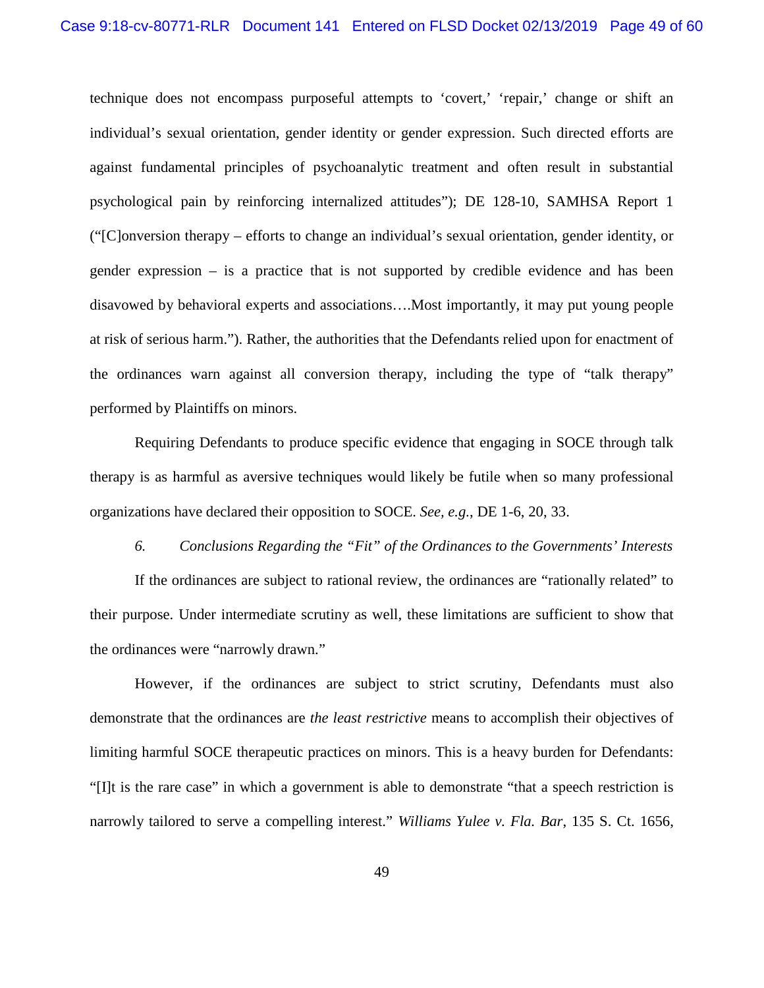technique does not encompass purposeful attempts to 'covert,' 'repair,' change or shift an individual's sexual orientation, gender identity or gender expression. Such directed efforts are against fundamental principles of psychoanalytic treatment and often result in substantial psychological pain by reinforcing internalized attitudes"); DE 128-10, SAMHSA Report 1 ("[C]onversion therapy – efforts to change an individual's sexual orientation, gender identity, or gender expression – is a practice that is not supported by credible evidence and has been disavowed by behavioral experts and associations….Most importantly, it may put young people at risk of serious harm."). Rather, the authorities that the Defendants relied upon for enactment of the ordinances warn against all conversion therapy, including the type of "talk therapy" performed by Plaintiffs on minors.

Requiring Defendants to produce specific evidence that engaging in SOCE through talk therapy is as harmful as aversive techniques would likely be futile when so many professional organizations have declared their opposition to SOCE. *See, e.g.*, DE 1-6, 20, 33.

*6. Conclusions Regarding the "Fit" of the Ordinances to the Governments' Interests* 

If the ordinances are subject to rational review, the ordinances are "rationally related" to their purpose. Under intermediate scrutiny as well, these limitations are sufficient to show that the ordinances were "narrowly drawn."

However, if the ordinances are subject to strict scrutiny, Defendants must also demonstrate that the ordinances are *the least restrictive* means to accomplish their objectives of limiting harmful SOCE therapeutic practices on minors. This is a heavy burden for Defendants: "[I]t is the rare case" in which a government is able to demonstrate "that a speech restriction is narrowly tailored to serve a compelling interest." *Williams Yulee v. Fla. Bar*, 135 S. Ct. 1656,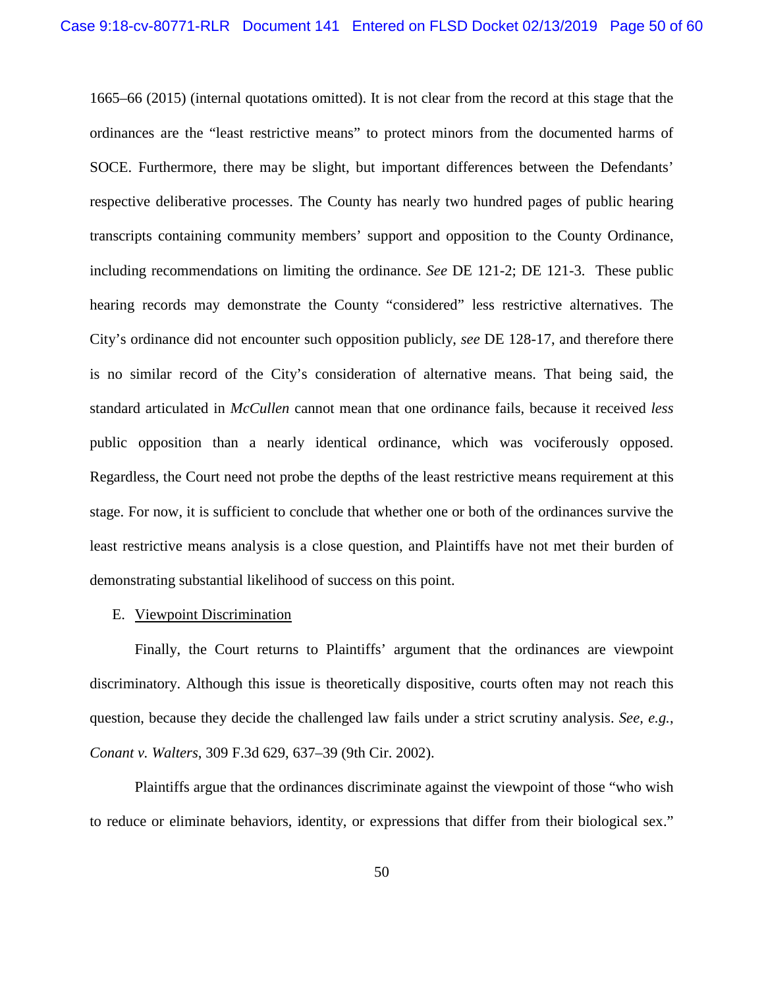1665–66 (2015) (internal quotations omitted). It is not clear from the record at this stage that the ordinances are the "least restrictive means" to protect minors from the documented harms of SOCE. Furthermore, there may be slight, but important differences between the Defendants' respective deliberative processes. The County has nearly two hundred pages of public hearing transcripts containing community members' support and opposition to the County Ordinance, including recommendations on limiting the ordinance. *See* DE 121-2; DE 121-3. These public hearing records may demonstrate the County "considered" less restrictive alternatives. The City's ordinance did not encounter such opposition publicly, *see* DE 128-17, and therefore there is no similar record of the City's consideration of alternative means. That being said, the standard articulated in *McCullen* cannot mean that one ordinance fails, because it received *less* public opposition than a nearly identical ordinance, which was vociferously opposed. Regardless, the Court need not probe the depths of the least restrictive means requirement at this stage. For now, it is sufficient to conclude that whether one or both of the ordinances survive the least restrictive means analysis is a close question, and Plaintiffs have not met their burden of demonstrating substantial likelihood of success on this point.

## <span id="page-49-0"></span>E. Viewpoint Discrimination

Finally, the Court returns to Plaintiffs' argument that the ordinances are viewpoint discriminatory. Although this issue is theoretically dispositive, courts often may not reach this question, because they decide the challenged law fails under a strict scrutiny analysis. *See, e.g.*, *Conant v. Walters*, 309 F.3d 629, 637–39 (9th Cir. 2002).

Plaintiffs argue that the ordinances discriminate against the viewpoint of those "who wish to reduce or eliminate behaviors, identity, or expressions that differ from their biological sex."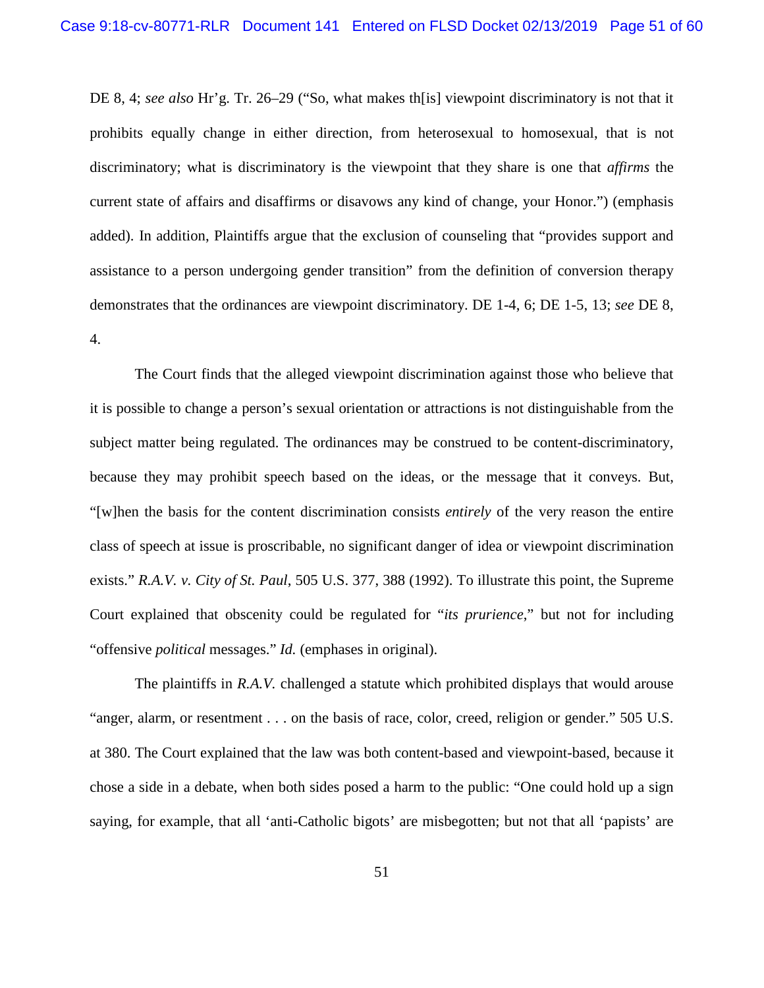DE 8, 4; *see also* Hr'g. Tr. 26–29 ("So, what makes th[is] viewpoint discriminatory is not that it prohibits equally change in either direction, from heterosexual to homosexual, that is not discriminatory; what is discriminatory is the viewpoint that they share is one that *affirms* the current state of affairs and disaffirms or disavows any kind of change, your Honor.") (emphasis added). In addition, Plaintiffs argue that the exclusion of counseling that "provides support and assistance to a person undergoing gender transition" from the definition of conversion therapy demonstrates that the ordinances are viewpoint discriminatory. DE 1-4, 6; DE 1-5, 13; *see* DE 8, 4.

The Court finds that the alleged viewpoint discrimination against those who believe that it is possible to change a person's sexual orientation or attractions is not distinguishable from the subject matter being regulated. The ordinances may be construed to be content-discriminatory, because they may prohibit speech based on the ideas, or the message that it conveys. But, "[w]hen the basis for the content discrimination consists *entirely* of the very reason the entire class of speech at issue is proscribable, no significant danger of idea or viewpoint discrimination exists." *R.A.V. v. City of St. Paul*, 505 U.S. 377, 388 (1992). To illustrate this point, the Supreme Court explained that obscenity could be regulated for "*its prurience*," but not for including "offensive *political* messages." *Id.* (emphases in original).

The plaintiffs in *R.A.V.* challenged a statute which prohibited displays that would arouse "anger, alarm, or resentment . . . on the basis of race, color, creed, religion or gender." 505 U.S. at 380. The Court explained that the law was both content-based and viewpoint-based, because it chose a side in a debate, when both sides posed a harm to the public: "One could hold up a sign saying, for example, that all 'anti-Catholic bigots' are misbegotten; but not that all 'papists' are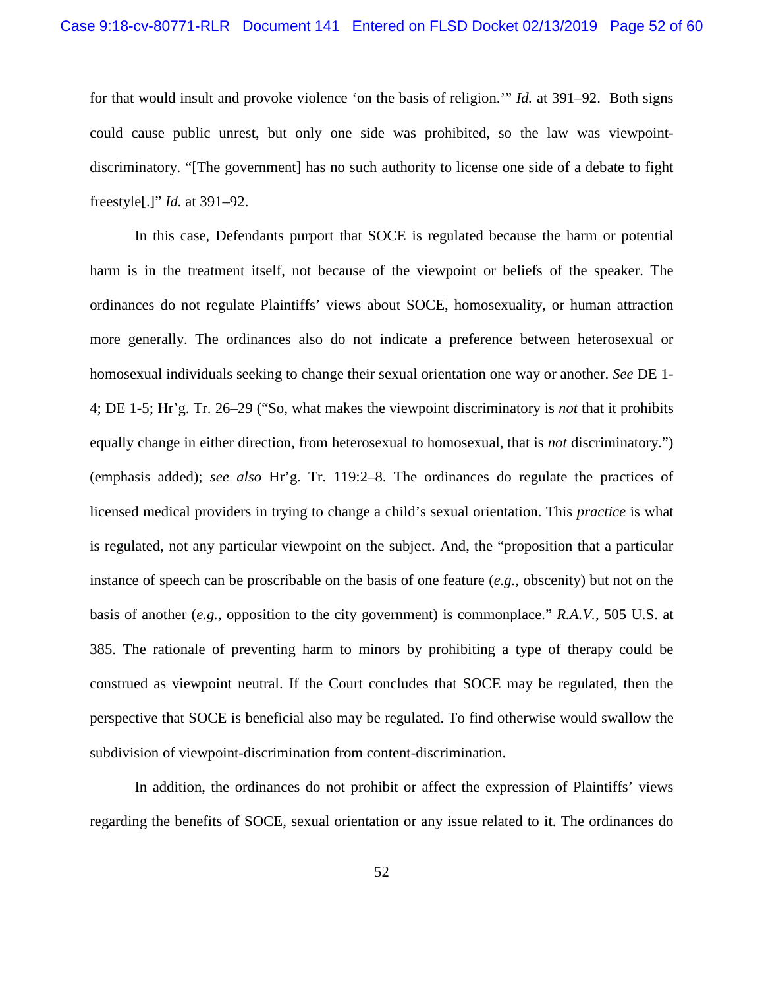for that would insult and provoke violence 'on the basis of religion.'" *Id.* at 391–92. Both signs could cause public unrest, but only one side was prohibited, so the law was viewpointdiscriminatory. "[The government] has no such authority to license one side of a debate to fight freestyle[.]" *Id.* at 391–92.

In this case, Defendants purport that SOCE is regulated because the harm or potential harm is in the treatment itself, not because of the viewpoint or beliefs of the speaker. The ordinances do not regulate Plaintiffs' views about SOCE, homosexuality, or human attraction more generally. The ordinances also do not indicate a preference between heterosexual or homosexual individuals seeking to change their sexual orientation one way or another. *See* DE 1- 4; DE 1-5; Hr'g. Tr. 26–29 ("So, what makes the viewpoint discriminatory is *not* that it prohibits equally change in either direction, from heterosexual to homosexual, that is *not* discriminatory.") (emphasis added); *see also* Hr'g. Tr. 119:2–8. The ordinances do regulate the practices of licensed medical providers in trying to change a child's sexual orientation. This *practice* is what is regulated, not any particular viewpoint on the subject. And, the "proposition that a particular instance of speech can be proscribable on the basis of one feature (*e.g.,* obscenity) but not on the basis of another (*e.g.,* opposition to the city government) is commonplace." *R.A.V.*, 505 U.S. at 385. The rationale of preventing harm to minors by prohibiting a type of therapy could be construed as viewpoint neutral. If the Court concludes that SOCE may be regulated, then the perspective that SOCE is beneficial also may be regulated. To find otherwise would swallow the subdivision of viewpoint-discrimination from content-discrimination.

In addition, the ordinances do not prohibit or affect the expression of Plaintiffs' views regarding the benefits of SOCE, sexual orientation or any issue related to it. The ordinances do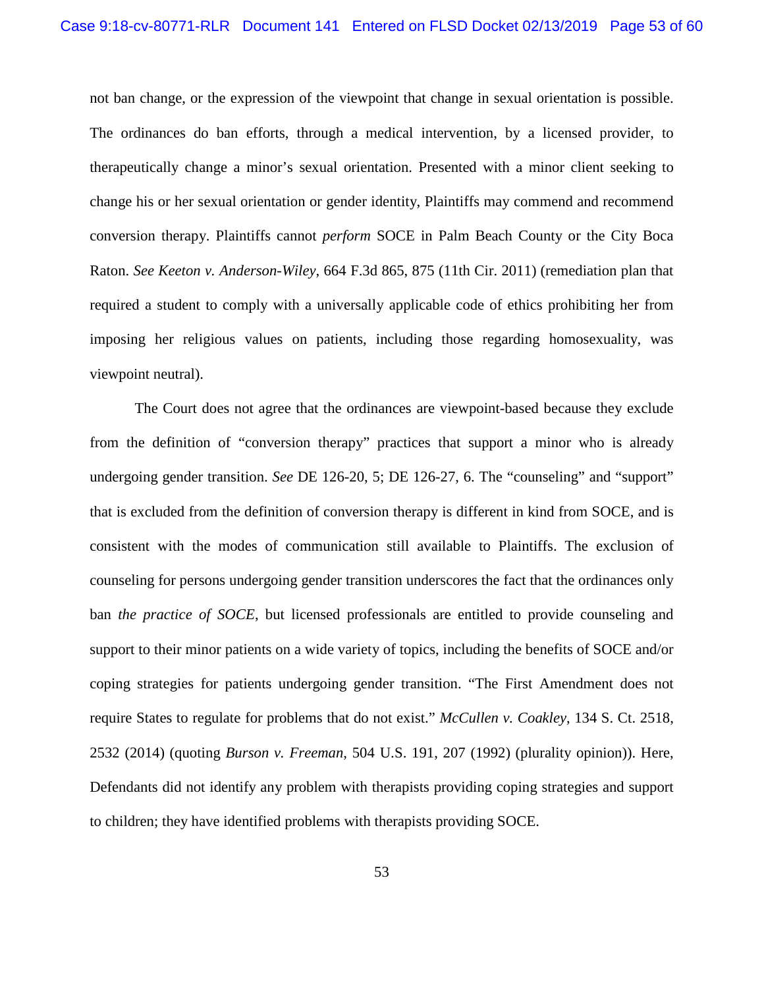not ban change, or the expression of the viewpoint that change in sexual orientation is possible. The ordinances do ban efforts, through a medical intervention, by a licensed provider, to therapeutically change a minor's sexual orientation. Presented with a minor client seeking to change his or her sexual orientation or gender identity, Plaintiffs may commend and recommend conversion therapy. Plaintiffs cannot *perform* SOCE in Palm Beach County or the City Boca Raton. *See Keeton v. Anderson-Wiley*, 664 F.3d 865, 875 (11th Cir. 2011) (remediation plan that required a student to comply with a universally applicable code of ethics prohibiting her from imposing her religious values on patients, including those regarding homosexuality, was viewpoint neutral).

The Court does not agree that the ordinances are viewpoint-based because they exclude from the definition of "conversion therapy" practices that support a minor who is already undergoing gender transition. *See* DE 126-20, 5; DE 126-27, 6. The "counseling" and "support" that is excluded from the definition of conversion therapy is different in kind from SOCE, and is consistent with the modes of communication still available to Plaintiffs. The exclusion of counseling for persons undergoing gender transition underscores the fact that the ordinances only ban *the practice of SOCE*, but licensed professionals are entitled to provide counseling and support to their minor patients on a wide variety of topics, including the benefits of SOCE and/or coping strategies for patients undergoing gender transition. "The First Amendment does not require States to regulate for problems that do not exist." *McCullen v. Coakley*, 134 S. Ct. 2518, 2532 (2014) (quoting *Burson v. Freeman*, 504 U.S. 191, 207 (1992) (plurality opinion)). Here, Defendants did not identify any problem with therapists providing coping strategies and support to children; they have identified problems with therapists providing SOCE.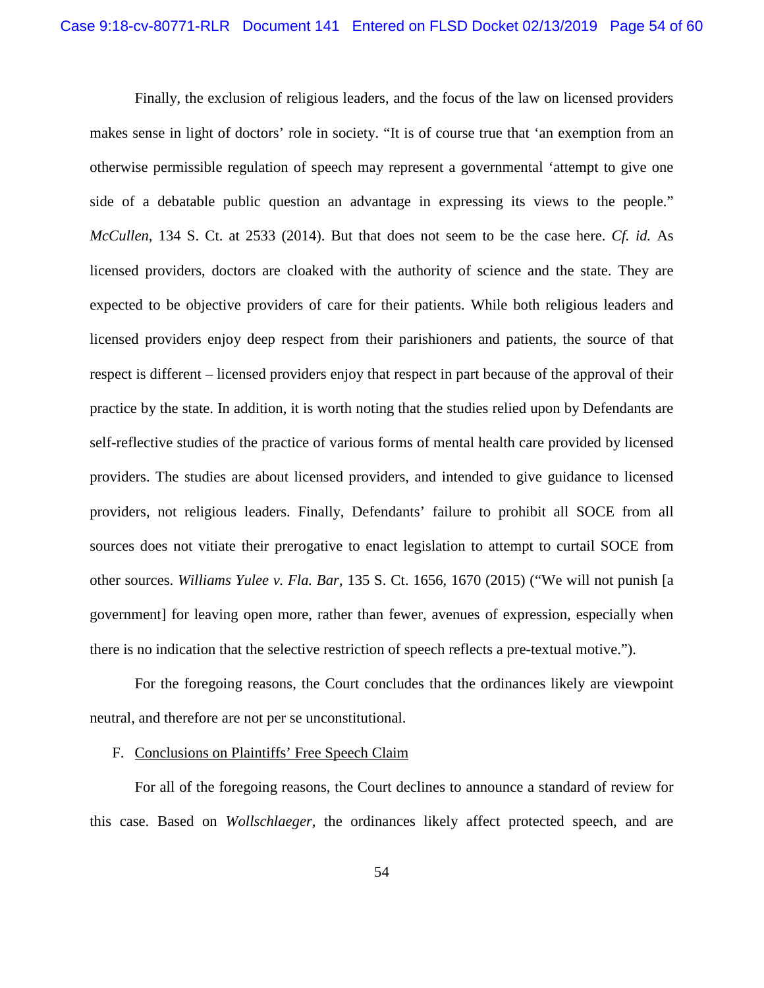Finally, the exclusion of religious leaders, and the focus of the law on licensed providers makes sense in light of doctors' role in society. "It is of course true that 'an exemption from an otherwise permissible regulation of speech may represent a governmental 'attempt to give one side of a debatable public question an advantage in expressing its views to the people." *McCullen*, 134 S. Ct. at 2533 (2014). But that does not seem to be the case here. *Cf. id.* As licensed providers, doctors are cloaked with the authority of science and the state. They are expected to be objective providers of care for their patients. While both religious leaders and licensed providers enjoy deep respect from their parishioners and patients, the source of that respect is different – licensed providers enjoy that respect in part because of the approval of their practice by the state. In addition, it is worth noting that the studies relied upon by Defendants are self-reflective studies of the practice of various forms of mental health care provided by licensed providers. The studies are about licensed providers, and intended to give guidance to licensed providers, not religious leaders. Finally, Defendants' failure to prohibit all SOCE from all sources does not vitiate their prerogative to enact legislation to attempt to curtail SOCE from other sources. *Williams Yulee v. Fla. Bar*, 135 S. Ct. 1656, 1670 (2015) ("We will not punish [a government] for leaving open more, rather than fewer, avenues of expression, especially when there is no indication that the selective restriction of speech reflects a pre-textual motive.").

For the foregoing reasons, the Court concludes that the ordinances likely are viewpoint neutral, and therefore are not per se unconstitutional.

## <span id="page-53-0"></span>F. Conclusions on Plaintiffs' Free Speech Claim

For all of the foregoing reasons, the Court declines to announce a standard of review for this case. Based on *Wollschlaeger*, the ordinances likely affect protected speech, and are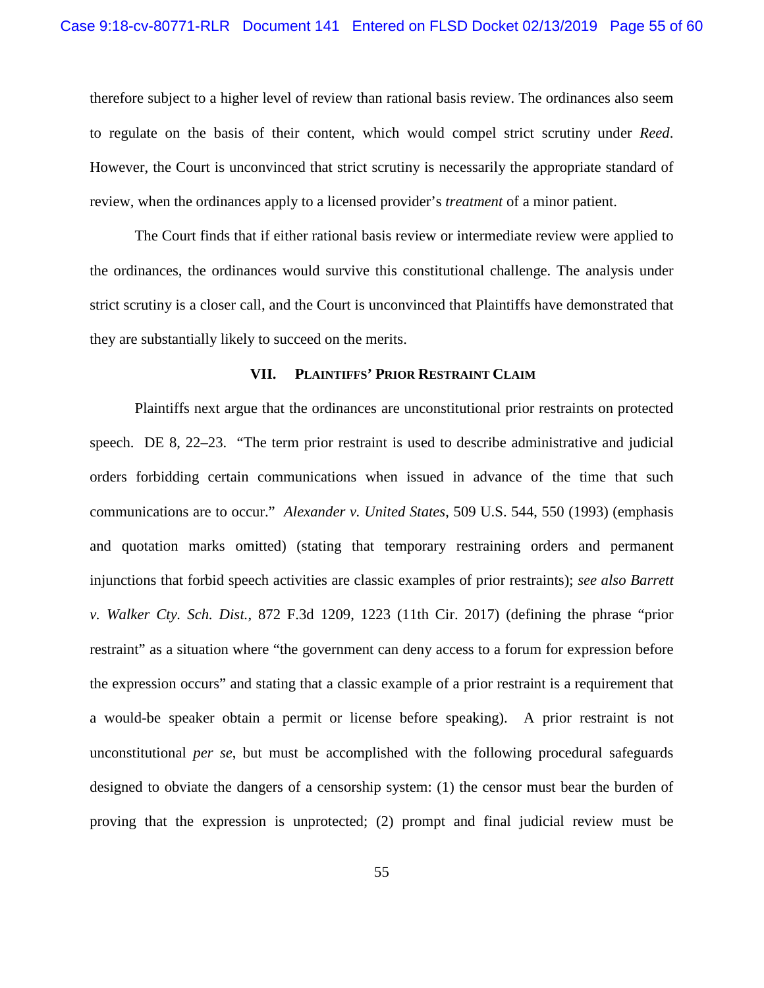therefore subject to a higher level of review than rational basis review. The ordinances also seem to regulate on the basis of their content, which would compel strict scrutiny under *Reed*. However, the Court is unconvinced that strict scrutiny is necessarily the appropriate standard of review, when the ordinances apply to a licensed provider's *treatment* of a minor patient.

The Court finds that if either rational basis review or intermediate review were applied to the ordinances, the ordinances would survive this constitutional challenge. The analysis under strict scrutiny is a closer call, and the Court is unconvinced that Plaintiffs have demonstrated that they are substantially likely to succeed on the merits.

#### **VII. PLAINTIFFS' PRIOR RESTRAINT CLAIM**

<span id="page-54-0"></span>Plaintiffs next argue that the ordinances are unconstitutional prior restraints on protected speech. DE 8, 22–23. "The term prior restraint is used to describe administrative and judicial orders forbidding certain communications when issued in advance of the time that such communications are to occur." *Alexander v. United States*, 509 U.S. 544, 550 (1993) (emphasis and quotation marks omitted) (stating that temporary restraining orders and permanent injunctions that forbid speech activities are classic examples of prior restraints); *see also Barrett v. Walker Cty. Sch. Dist.*, 872 F.3d 1209, 1223 (11th Cir. 2017) (defining the phrase "prior restraint" as a situation where "the government can deny access to a forum for expression before the expression occurs" and stating that a classic example of a prior restraint is a requirement that a would-be speaker obtain a permit or license before speaking). A prior restraint is not unconstitutional *per se*, but must be accomplished with the following procedural safeguards designed to obviate the dangers of a censorship system: (1) the censor must bear the burden of proving that the expression is unprotected; (2) prompt and final judicial review must be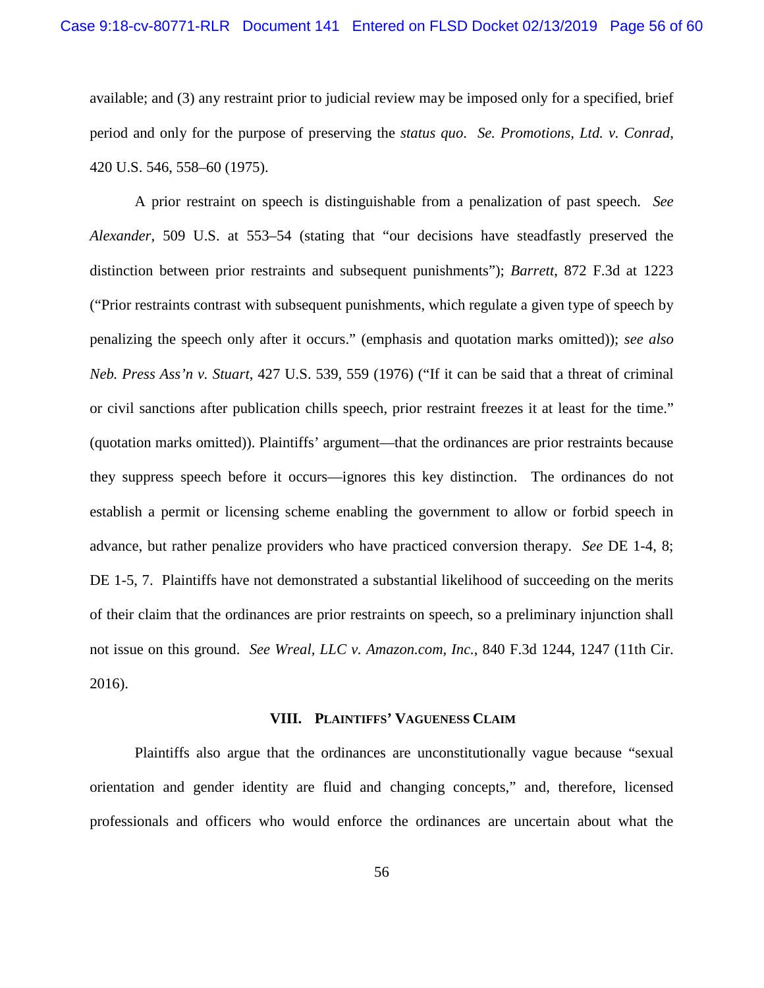available; and (3) any restraint prior to judicial review may be imposed only for a specified, brief period and only for the purpose of preserving the *status quo*. *Se. Promotions, Ltd. v. Conrad*, 420 U.S. 546, 558–60 (1975).

A prior restraint on speech is distinguishable from a penalization of past speech. *See Alexander*, 509 U.S. at 553–54 (stating that "our decisions have steadfastly preserved the distinction between prior restraints and subsequent punishments"); *Barrett*, 872 F.3d at 1223 ("Prior restraints contrast with subsequent punishments, which regulate a given type of speech by penalizing the speech only after it occurs." (emphasis and quotation marks omitted)); *see also Neb. Press Ass'n v. Stuart*, 427 U.S. 539, 559 (1976) ("If it can be said that a threat of criminal or civil sanctions after publication chills speech, prior restraint freezes it at least for the time." (quotation marks omitted)). Plaintiffs' argument—that the ordinances are prior restraints because they suppress speech before it occurs—ignores this key distinction. The ordinances do not establish a permit or licensing scheme enabling the government to allow or forbid speech in advance, but rather penalize providers who have practiced conversion therapy. *See* DE 1-4, 8; DE 1-5, 7. Plaintiffs have not demonstrated a substantial likelihood of succeeding on the merits of their claim that the ordinances are prior restraints on speech, so a preliminary injunction shall not issue on this ground. *See Wreal, LLC v. Amazon.com, Inc.*, 840 F.3d 1244, 1247 (11th Cir. 2016).

# **VIII. PLAINTIFFS' VAGUENESS CLAIM**

<span id="page-55-0"></span>Plaintiffs also argue that the ordinances are unconstitutionally vague because "sexual orientation and gender identity are fluid and changing concepts," and, therefore, licensed professionals and officers who would enforce the ordinances are uncertain about what the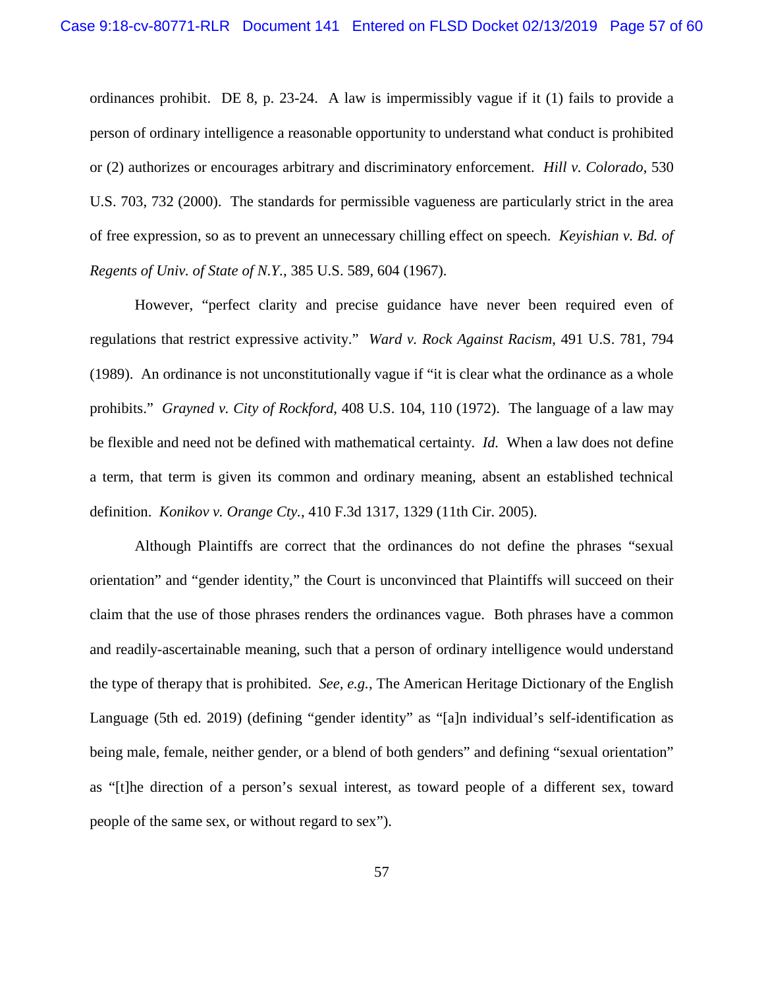ordinances prohibit. DE 8, p. 23-24. A law is impermissibly vague if it (1) fails to provide a person of ordinary intelligence a reasonable opportunity to understand what conduct is prohibited or (2) authorizes or encourages arbitrary and discriminatory enforcement. *Hill v. Colorado*, 530 U.S. 703, 732 (2000). The standards for permissible vagueness are particularly strict in the area of free expression, so as to prevent an unnecessary chilling effect on speech. *Keyishian v. Bd. of Regents of Univ. of State of N.Y.*, 385 U.S. 589, 604 (1967).

However, "perfect clarity and precise guidance have never been required even of regulations that restrict expressive activity." *Ward v. Rock Against Racism*, 491 U.S. 781, 794 (1989). An ordinance is not unconstitutionally vague if "it is clear what the ordinance as a whole prohibits." *Grayned v. City of Rockford*, 408 U.S. 104, 110 (1972). The language of a law may be flexible and need not be defined with mathematical certainty. *Id.* When a law does not define a term, that term is given its common and ordinary meaning, absent an established technical definition. *Konikov v. Orange Cty.*, 410 F.3d 1317, 1329 (11th Cir. 2005).

Although Plaintiffs are correct that the ordinances do not define the phrases "sexual orientation" and "gender identity," the Court is unconvinced that Plaintiffs will succeed on their claim that the use of those phrases renders the ordinances vague. Both phrases have a common and readily-ascertainable meaning, such that a person of ordinary intelligence would understand the type of therapy that is prohibited. *See, e.g.*, The American Heritage Dictionary of the English Language (5th ed. 2019) (defining "gender identity" as "[a]n individual's self-identification as being male, female, neither gender, or a blend of both genders" and defining "sexual orientation" as "[t]he direction of a person's sexual interest, as toward people of a different sex, toward people of the same sex, or without regard to sex").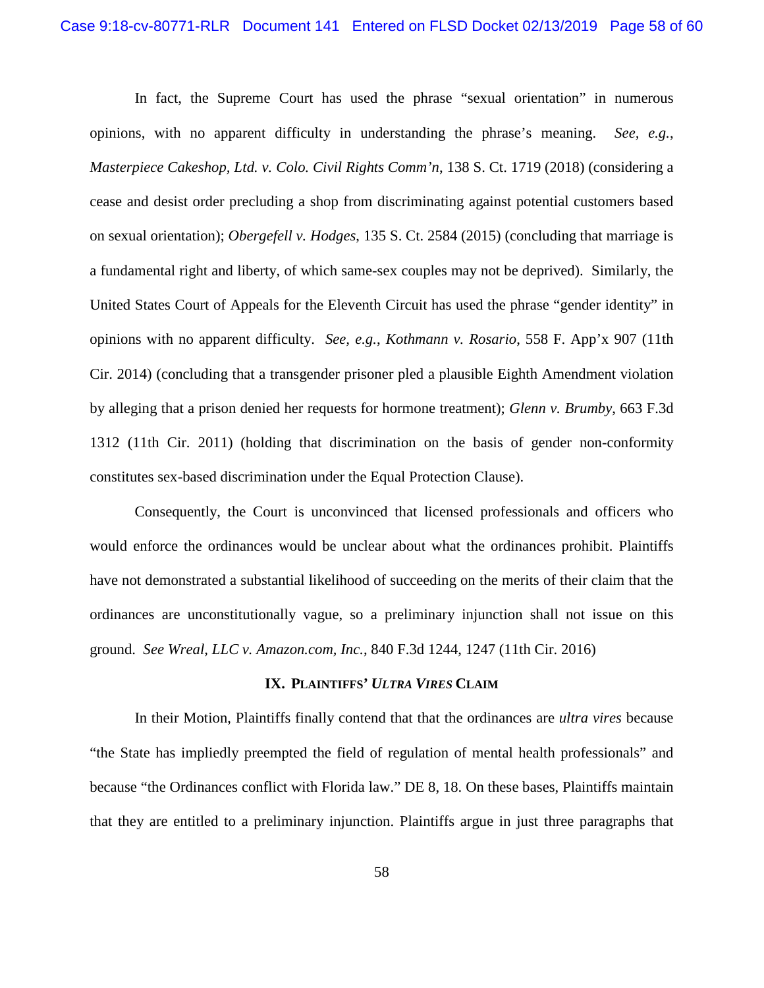In fact, the Supreme Court has used the phrase "sexual orientation" in numerous opinions, with no apparent difficulty in understanding the phrase's meaning. *See, e.g.*, *Masterpiece Cakeshop, Ltd. v. Colo. Civil Rights Comm'n*, 138 S. Ct. 1719 (2018) (considering a cease and desist order precluding a shop from discriminating against potential customers based on sexual orientation); *Obergefell v. Hodges*, 135 S. Ct. 2584 (2015) (concluding that marriage is a fundamental right and liberty, of which same-sex couples may not be deprived). Similarly, the United States Court of Appeals for the Eleventh Circuit has used the phrase "gender identity" in opinions with no apparent difficulty. *See, e.g.*, *Kothmann v. Rosario*, 558 F. App'x 907 (11th Cir. 2014) (concluding that a transgender prisoner pled a plausible Eighth Amendment violation by alleging that a prison denied her requests for hormone treatment); *Glenn v. Brumby*, 663 F.3d 1312 (11th Cir. 2011) (holding that discrimination on the basis of gender non-conformity constitutes sex-based discrimination under the Equal Protection Clause).

Consequently, the Court is unconvinced that licensed professionals and officers who would enforce the ordinances would be unclear about what the ordinances prohibit. Plaintiffs have not demonstrated a substantial likelihood of succeeding on the merits of their claim that the ordinances are unconstitutionally vague, so a preliminary injunction shall not issue on this ground. *See Wreal, LLC v. Amazon.com, Inc.*, 840 F.3d 1244, 1247 (11th Cir. 2016)

### **IX. PLAINTIFFS'** *ULTRA VIRES* **CLAIM**

<span id="page-57-0"></span>In their Motion, Plaintiffs finally contend that that the ordinances are *ultra vires* because "the State has impliedly preempted the field of regulation of mental health professionals" and because "the Ordinances conflict with Florida law." DE 8, 18. On these bases, Plaintiffs maintain that they are entitled to a preliminary injunction. Plaintiffs argue in just three paragraphs that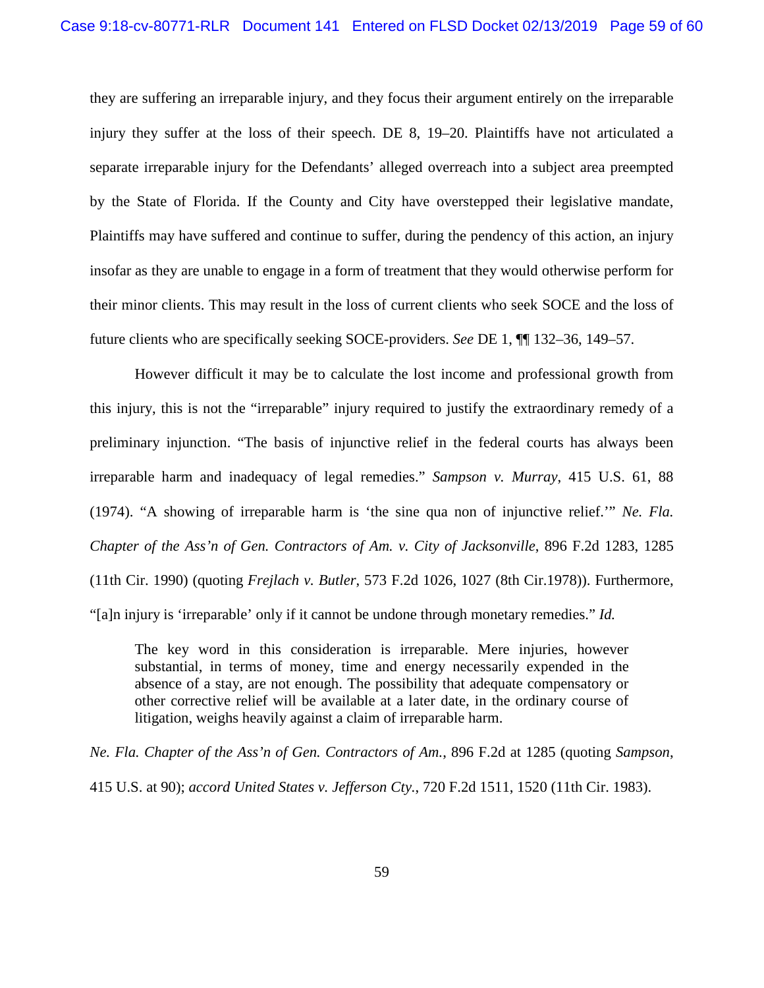they are suffering an irreparable injury, and they focus their argument entirely on the irreparable injury they suffer at the loss of their speech. DE 8, 19–20. Plaintiffs have not articulated a separate irreparable injury for the Defendants' alleged overreach into a subject area preempted by the State of Florida. If the County and City have overstepped their legislative mandate, Plaintiffs may have suffered and continue to suffer, during the pendency of this action, an injury insofar as they are unable to engage in a form of treatment that they would otherwise perform for their minor clients. This may result in the loss of current clients who seek SOCE and the loss of future clients who are specifically seeking SOCE-providers. *See* DE 1, ¶¶ 132–36, 149–57.

However difficult it may be to calculate the lost income and professional growth from this injury, this is not the "irreparable" injury required to justify the extraordinary remedy of a preliminary injunction. "The basis of injunctive relief in the federal courts has always been irreparable harm and inadequacy of legal remedies." *Sampson v. Murray*, 415 U.S. 61, 88 (1974). "A showing of irreparable harm is 'the sine qua non of injunctive relief.'" *Ne. Fla. Chapter of the Ass'n of Gen. Contractors of Am. v. City of Jacksonville*, 896 F.2d 1283, 1285 (11th Cir. 1990) (quoting *Frejlach v. Butler*, 573 F.2d 1026, 1027 (8th Cir.1978)). Furthermore, "[a]n injury is 'irreparable' only if it cannot be undone through monetary remedies." *Id.* 

The key word in this consideration is irreparable. Mere injuries, however substantial, in terms of money, time and energy necessarily expended in the absence of a stay, are not enough. The possibility that adequate compensatory or other corrective relief will be available at a later date, in the ordinary course of litigation, weighs heavily against a claim of irreparable harm.

*Ne. Fla. Chapter of the Ass'n of Gen. Contractors of Am.*, 896 F.2d at 1285 (quoting *Sampson*, 415 U.S. at 90); *accord United States v. Jefferson Cty.*, 720 F.2d 1511, 1520 (11th Cir. 1983).